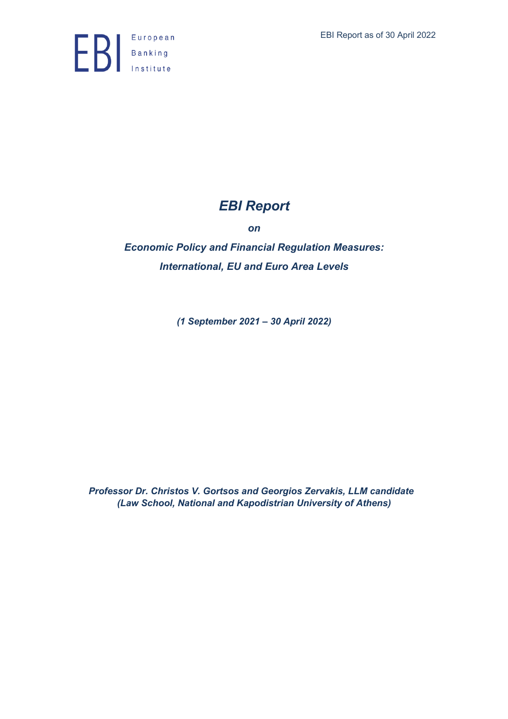

# *EBI Report*

*on*

*Economic Policy and Financial Regulation Measures: International, EU and Euro Area Levels*

*(1 September 2021 – 30 April 2022)*

*Professor Dr. Christos V. Gortsos and Georgios Zervakis, LLM candidate (Law School, National and Kapodistrian University of Athens)*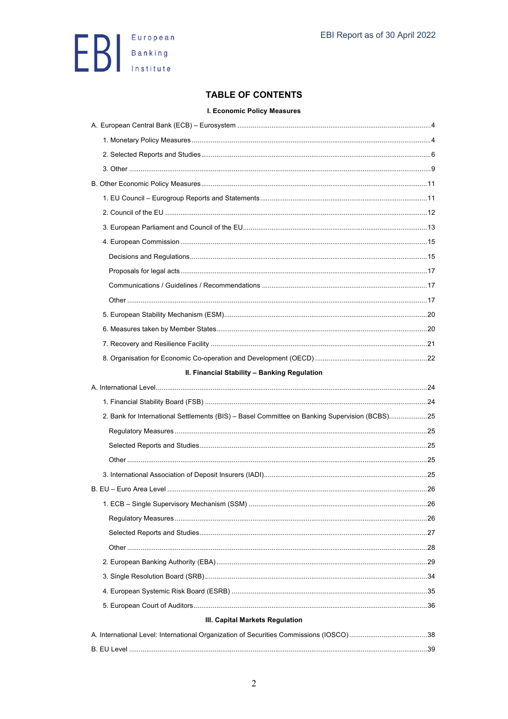

# **TABLE OF CONTENTS**

# I. Economic Policy Measures

| II. Financial Stability - Banking Regulation                                                  |    |
|-----------------------------------------------------------------------------------------------|----|
|                                                                                               |    |
|                                                                                               |    |
|                                                                                               |    |
| 2. Bank for International Settlements (BIS) - Basel Committee on Banking Supervision (BCBS)25 |    |
|                                                                                               |    |
|                                                                                               |    |
|                                                                                               |    |
|                                                                                               |    |
|                                                                                               |    |
| 1. ECB - Single Supervisory Mechanism (SSM)                                                   | 26 |
|                                                                                               |    |
|                                                                                               |    |
|                                                                                               |    |
|                                                                                               |    |
|                                                                                               |    |
|                                                                                               |    |
|                                                                                               |    |
| III. Capital Markets Regulation                                                               |    |
|                                                                                               |    |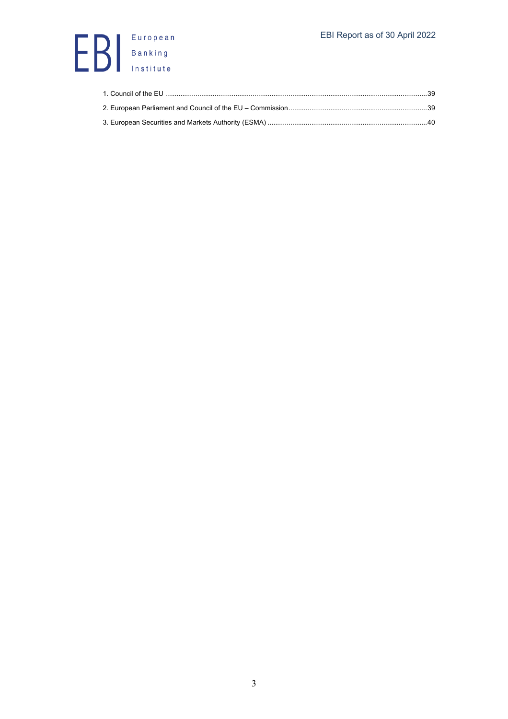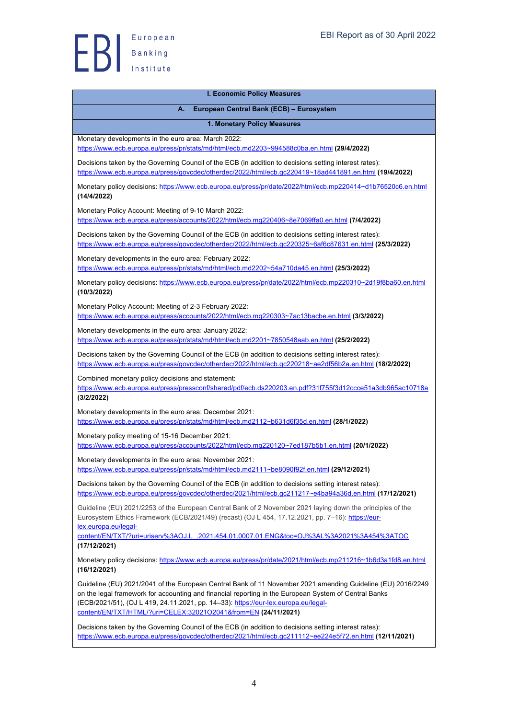

#### **I. Economic Policy Measures**

# **A. European Central Bank (ECB) – Eurosystem**

**1. Monetary Policy Measures**

Monetary developments in the euro area: March 2022:

https://www.ecb.europa.eu/press/pr/stats/md/html/ecb.md2203~994588c0ba.en.html **(29/4/2022)**

Decisions taken by the Governing Council of the ECB (in addition to decisions setting interest rates): https://www.ecb.europa.eu/press/govcdec/otherdec/2022/html/ecb.gc220419~18ad441891.en.html **(19/4/2022)**

Monetary policy decisions: https://www.ecb.europa.eu/press/pr/date/2022/html/ecb.mp220414~d1b76520c6.en.html **(14/4/2022)**

Monetary Policy Account: Meeting of 9-10 March 2022:

https://www.ecb.europa.eu/press/accounts/2022/html/ecb.mg220406~8e7069ffa0.en.html **(7/4/2022)**

Decisions taken by the Governing Council of the ECB (in addition to decisions setting interest rates): https://www.ecb.europa.eu/press/govcdec/otherdec/2022/html/ecb.gc220325~6af6c87631.en.html **(25/3/2022)**

Monetary developments in the euro area: February 2022:

https://www.ecb.europa.eu/press/pr/stats/md/html/ecb.md2202~54a710da45.en.html **(25/3/2022)**

Monetary policy decisions: https://www.ecb.europa.eu/press/pr/date/2022/html/ecb.mp220310~2d19f8ba60.en.html **(10/3/2022)**

Monetary Policy Account: Meeting of 2-3 February 2022: https://www.ecb.europa.eu/press/accounts/2022/html/ecb.mg220303~7ac13bacbe.en.html **(3/3/2022)**

Monetary developments in the euro area: January 2022: https://www.ecb.europa.eu/press/pr/stats/md/html/ecb.md2201~7850548aab.en.html **(25/2/2022)**

Decisions taken by the Governing Council of the ECB (in addition to decisions setting interest rates): https://www.ecb.europa.eu/press/govcdec/otherdec/2022/html/ecb.gc220218~ae2df56b2a.en.html **(18/2/2022)**

Combined monetary policy decisions and statement:

https://www.ecb.europa.eu/press/pressconf/shared/pdf/ecb.ds220203.en.pdf?31f755f3d12ccce51a3db965ac10718a **(3/2/2022)**

Monetary developments in the euro area: December 2021: https://www.ecb.europa.eu/press/pr/stats/md/html/ecb.md2112~b631d6f35d.en.html **(28/1/2022)**

Monetary policy meeting of 15-16 December 2021: https://www.ecb.europa.eu/press/accounts/2022/html/ecb.mg220120~7ed187b5b1.en.html **(20/1/2022)**

Monetary developments in the euro area: November 2021:

https://www.ecb.europa.eu/press/pr/stats/md/html/ecb.md2111~be8090f92f.en.html **(29/12/2021)**

Decisions taken by the Governing Council of the ECB (in addition to decisions setting interest rates): https://www.ecb.europa.eu/press/govcdec/otherdec/2021/html/ecb.gc211217~e4ba94a36d.en.html **(17/12/2021)**

Guideline (EU) 2021/2253 of the European Central Bank of 2 November 2021 laying down the principles of the Eurosystem Ethics Framework (ECB/2021/49) (recast) (OJ L 454, 17.12.2021, pp. 7–16): https://eurlex.europa.eu/legal-

content/EN/TXT/?uri=uriserv%3AOJ.L\_.2021.454.01.0007.01.ENG&toc=OJ%3AL%3A2021%3A454%3ATOC **(17/12/2021)**

Monetary policy decisions: https://www.ecb.europa.eu/press/pr/date/2021/html/ecb.mp211216~1b6d3a1fd8.en.html **(16/12/2021)**

Guideline (EU) 2021/2041 of the European Central Bank of 11 November 2021 amending Guideline (EU) 2016/2249 on the legal framework for accounting and financial reporting in the European System of Central Banks (ECB/2021/51), (OJ L 419, 24.11.2021, pp. 14–33): https://eur-lex.europa.eu/legalcontent/EN/TXT/HTML/?uri=CELEX:32021O2041&from=EN **(24/11/2021)**

Decisions taken by the Governing Council of the ECB (in addition to decisions setting interest rates): https://www.ecb.europa.eu/press/govcdec/otherdec/2021/html/ecb.gc211112~ee224e5f72.en.html **(12/11/2021)**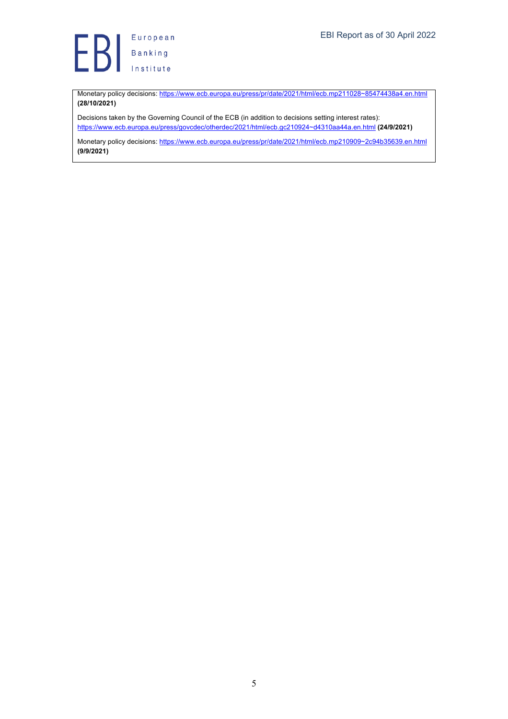

Monetary policy decisions: https://www.ecb.europa.eu/press/pr/date/2021/html/ecb.mp211028~85474438a4.en.html **(28/10/2021)**

Decisions taken by the Governing Council of the ECB (in addition to decisions setting interest rates): https://www.ecb.europa.eu/press/govcdec/otherdec/2021/html/ecb.gc210924~d4310aa44a.en.html **(24/9/2021)**

Monetary policy decisions: https://www.ecb.europa.eu/press/pr/date/2021/html/ecb.mp210909~2c94b35639.en.html **(9/9/2021)**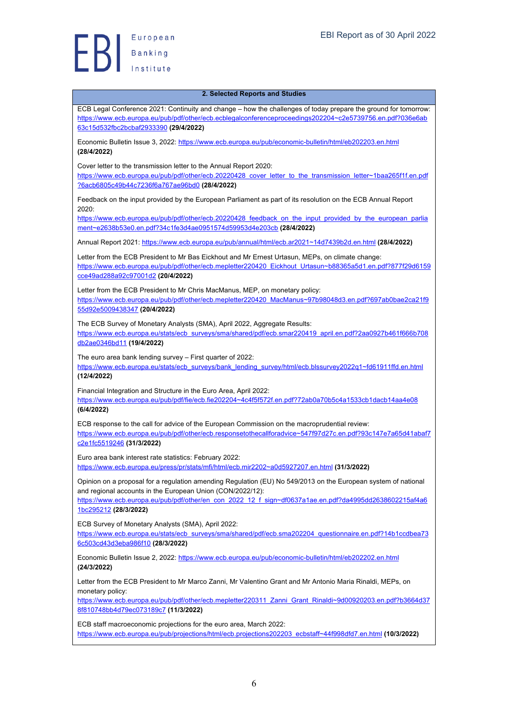#### **2. Selected Reports and Studies**

ECB Legal Conference 2021: Continuity and change – how the challenges of today prepare the ground for tomorrow: https://www.ecb.europa.eu/pub/pdf/other/ecb.ecblegalconferenceproceedings202204~c2e5739756.en.pdf?036e6ab 63c15d532fbc2bcbaf2933390 **(29/4/2022)**

Economic Bulletin Issue 3, 2022: https://www.ecb.europa.eu/pub/economic-bulletin/html/eb202203.en.html **(28/4/2022)**

Cover letter to the transmission letter to the Annual Report 2020:

https://www.ecb.europa.eu/pub/pdf/other/ecb.20220428\_cover\_letter\_to\_the\_transmission\_letter~1baa265f1f.en.pdf ?6acb6805c49b44c7236f6a767ae96bd0 **(28/4/2022)**

Feedback on the input provided by the European Parliament as part of its resolution on the ECB Annual Report 2020:

https://www.ecb.europa.eu/pub/pdf/other/ecb.20220428\_feedback\_on\_the\_input\_provided\_by\_the\_european\_parlia ment~e2638b53e0.en.pdf?34c1fe3d4ae0951574d59953d4e203cb **(28/4/2022)**

Annual Report 2021: https://www.ecb.europa.eu/pub/annual/html/ecb.ar2021~14d7439b2d.en.html **(28/4/2022)**

Letter from the ECB President to Mr Bas Eickhout and Mr Ernest Urtasun, MEPs, on climate change: https://www.ecb.europa.eu/pub/pdf/other/ecb.mepletter220420\_Eickhout\_Urtasun~b88365a5d1.en.pdf?877f29d6159 cce49ad288a92c97001d2 **(20/4/2022)**

Letter from the ECB President to Mr Chris MacManus, MEP, on monetary policy: https://www.ecb.europa.eu/pub/pdf/other/ecb.mepletter220420\_MacManus~97b98048d3.en.pdf?697ab0bae2ca21f9 55d92e5009438347 **(20/4/2022)**

The ECB Survey of Monetary Analysts (SMA), April 2022, Aggregate Results: https://www.ecb.europa.eu/stats/ecb\_surveys/sma/shared/pdf/ecb.smar220419\_april.en.pdf?2aa0927b461f666b708 db2ae0346bd11 **(19/4/2022)**

The euro area bank lending survey – First quarter of 2022: https://www.ecb.europa.eu/stats/ecb\_surveys/bank\_lending\_survey/html/ecb.blssurvey2022q1~fd61911ffd.en.html **(12/4/2022)**

Financial Integration and Structure in the Euro Area, April 2022: https://www.ecb.europa.eu/pub/pdf/fie/ecb.fie202204~4c4f5f572f.en.pdf?72ab0a70b5c4a1533cb1dacb14aa4e08 **(6/4/2022)**

ECB response to the call for advice of the European Commission on the macroprudential review: https://www.ecb.europa.eu/pub/pdf/other/ecb.responsetothecallforadvice~547f97d27c.en.pdf?93c147e7a65d41abaf7 c2e1fc5519246 **(31/3/2022)**

Euro area bank interest rate statistics: February 2022:

https://www.ecb.europa.eu/press/pr/stats/mfi/html/ecb.mir2202~a0d5927207.en.html **(31/3/2022)**

Opinion on a proposal for a regulation amending Regulation (EU) No 549/2013 on the European system of national and regional accounts in the European Union (CON/2022/12):

https://www.ecb.europa.eu/pub/pdf/other/en\_con\_2022\_12\_f\_sign~df0637a1ae.en.pdf?da4995dd2638602215af4a6 1bc295212 **(28/3/2022)**

ECB Survey of Monetary Analysts (SMA), April 2022:

https://www.ecb.europa.eu/stats/ecb\_surveys/sma/shared/pdf/ecb.sma202204\_questionnaire.en.pdf?14b1ccdbea73 6c503cd43d3eba986f10 **(28/3/2022)**

Economic Bulletin Issue 2, 2022: https://www.ecb.europa.eu/pub/economic-bulletin/html/eb202202.en.html **(24/3/2022)**

Letter from the ECB President to Mr Marco Zanni, Mr Valentino Grant and Mr Antonio Maria Rinaldi, MEPs, on monetary policy:

https://www.ecb.europa.eu/pub/pdf/other/ecb.mepletter220311\_Zanni\_Grant\_Rinaldi~9d00920203.en.pdf?b3664d37 8f810748bb4d79ec073189c7 **(11/3/2022)**

ECB staff macroeconomic projections for the euro area, March 2022: https://www.ecb.europa.eu/pub/projections/html/ecb.projections202203\_ecbstaff~44f998dfd7.en.html **(10/3/2022)**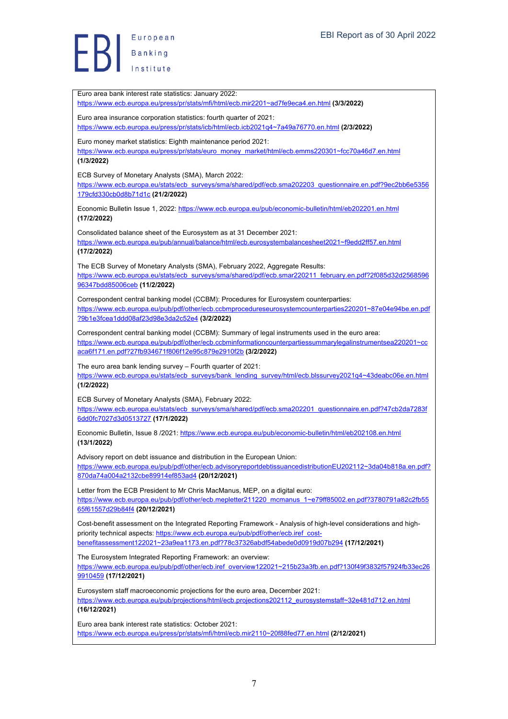Euro area bank interest rate statistics: January 2022: https://www.ecb.europa.eu/press/pr/stats/mfi/html/ecb.mir2201~ad7fe9eca4.en.html **(3/3/2022)** Euro area insurance corporation statistics: fourth quarter of 2021: https://www.ecb.europa.eu/press/pr/stats/icb/html/ecb.icb2021q4~7a49a76770.en.html **(2/3/2022)** Euro money market statistics: Eighth maintenance period 2021: https://www.ecb.europa.eu/press/pr/stats/euro\_money\_market/html/ecb.emms220301~fcc70a46d7.en.html **(1/3/2022)** ECB Survey of Monetary Analysts (SMA), March 2022: https://www.ecb.europa.eu/stats/ecb\_surveys/sma/shared/pdf/ecb.sma202203\_questionnaire.en.pdf?9ec2bb6e5356 179cfd330cb0d8b71d1c **(21/2/2022)** Economic Bulletin Issue 1, 2022: https://www.ecb.europa.eu/pub/economic-bulletin/html/eb202201.en.html **(17/2/2022)** Consolidated balance sheet of the Eurosystem as at 31 December 2021: https://www.ecb.europa.eu/pub/annual/balance/html/ecb.eurosystembalancesheet2021~f9edd2ff57.en.html **(17/2/2022)** The ECB Survey of Monetary Analysts (SMA), February 2022, Aggregate Results: https://www.ecb.europa.eu/stats/ecb\_surveys/sma/shared/pdf/ecb.smar220211\_february.en.pdf?2f085d32d2568596 96347bdd85006ceb **(11/2/2022)** Correspondent central banking model (CCBM): Procedures for Eurosystem counterparties: https://www.ecb.europa.eu/pub/pdf/other/ecb.ccbmprocedureseurosystemcounterparties220201~87e04e94be.en.pdf ?9b1e3fcea1ddd08af23d98e3da2c52e4 **(3/2/2022)** Correspondent central banking model (CCBM): Summary of legal instruments used in the euro area: https://www.ecb.europa.eu/pub/pdf/other/ecb.ccbminformationcounterpartiessummarylegalinstrumentsea220201~cc aca6f171.en.pdf?27fb934671f806f12e95c879e2910f2b **(3/2/2022)** The euro area bank lending survey – Fourth quarter of 2021: https://www.ecb.europa.eu/stats/ecb\_surveys/bank\_lending\_survey/html/ecb.blssurvey2021q4~43deabc06e.en.html **(1/2/2022)** ECB Survey of Monetary Analysts (SMA), February 2022: https://www.ecb.europa.eu/stats/ecb\_surveys/sma/shared/pdf/ecb.sma202201\_questionnaire.en.pdf?47cb2da7283f 6dd0fc7027d3d0513727 **(17/1/2022)** Economic Bulletin, Issue 8 /2021: https://www.ecb.europa.eu/pub/economic-bulletin/html/eb202108.en.html **(13/1/2022)** Advisory report on debt issuance and distribution in the European Union: https://www.ecb.europa.eu/pub/pdf/other/ecb.advisoryreportdebtissuancedistributionEU202112~3da04b818a.en.pdf? 870da74a004a2132cbe89914ef853ad4 **(20/12/2021)** Letter from the ECB President to Mr Chris MacManus, MEP, on a digital euro: https://www.ecb.europa.eu/pub/pdf/other/ecb.mepletter211220\_mcmanus\_1~e79ff85002.en.pdf?3780791a82c2fb55 65f61557d29b84f4 **(20/12/2021)** Cost-benefit assessment on the Integrated Reporting Framework - Analysis of high-level considerations and highpriority technical aspects: https://www.ecb.europa.eu/pub/pdf/other/ecb.iref\_costbenefitassessment122021~23a9ea1173.en.pdf?78c37326abdf54abede0d0919d07b294 **(17/12/2021)** The Eurosystem Integrated Reporting Framework: an overview: https://www.ecb.europa.eu/pub/pdf/other/ecb.iref\_overview122021~215b23a3fb.en.pdf?130f49f3832f57924fb33ec26 9910459 **(17/12/2021)** Eurosystem staff macroeconomic projections for the euro area, December 2021: https://www.ecb.europa.eu/pub/projections/html/ecb.projections202112\_eurosystemstaff~32e481d712.en.html **(16/12/2021)** Euro area bank interest rate statistics: October 2021: https://www.ecb.europa.eu/press/pr/stats/mfi/html/ecb.mir2110~20f88fed77.en.html **(2/12/2021)**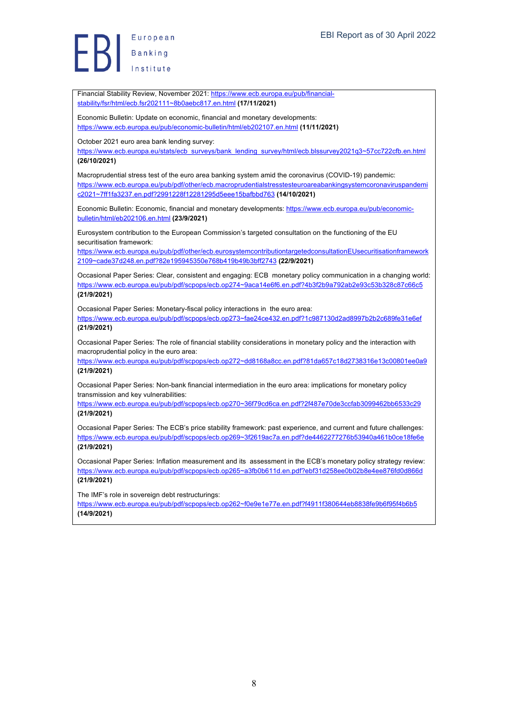Financial Stability Review, November 2021: https://www.ecb.europa.eu/pub/financial-

stability/fsr/html/ecb.fsr202111~8b0aebc817.en.html **(17/11/2021)** Economic Bulletin: Update on economic, financial and monetary developments: https://www.ecb.europa.eu/pub/economic-bulletin/html/eb202107.en.html **(11/11/2021)** October 2021 euro area bank lending survey: https://www.ecb.europa.eu/stats/ecb\_surveys/bank\_lending\_survey/html/ecb.blssurvey2021q3~57cc722cfb.en.html **(26/10/2021)** Macroprudential stress test of the euro area banking system amid the coronavirus (COVID-19) pandemic: https://www.ecb.europa.eu/pub/pdf/other/ecb.macroprudentialstresstesteuroareabankingsystemcoronaviruspandemi c2021~7ff1fa3237.en.pdf?2991228f12281295d5eee15bafbbd763 **(14/10/2021)** Economic Bulletin: Economic, financial and monetary developments: https://www.ecb.europa.eu/pub/economicbulletin/html/eb202106.en.html **(23/9/2021)** Eurosystem contribution to the European Commission's targeted consultation on the functioning of the EU securitisation framework: https://www.ecb.europa.eu/pub/pdf/other/ecb.eurosystemcontributiontargetedconsultationEUsecuritisationframework 2109~cade37d248.en.pdf?82e195945350e768b419b49b3bff2743 **(22/9/2021)** Occasional Paper Series: Clear, consistent and engaging: ECB monetary policy communication in a changing world: https://www.ecb.europa.eu/pub/pdf/scpops/ecb.op274~9aca14e6f6.en.pdf?4b3f2b9a792ab2e93c53b328c87c66c5 **(21/9/2021)** Occasional Paper Series: Monetary-fiscal policy interactions in the euro area: https://www.ecb.europa.eu/pub/pdf/scpops/ecb.op273~fae24ce432.en.pdf?1c987130d2ad8997b2b2c689fe31e6ef **(21/9/2021)** Occasional Paper Series: The role of financial stability considerations in monetary policy and the interaction with macroprudential policy in the euro area: https://www.ecb.europa.eu/pub/pdf/scpops/ecb.op272~dd8168a8cc.en.pdf?81da657c18d2738316e13c00801ee0a9 **(21/9/2021)** Occasional Paper Series: Non-bank financial intermediation in the euro area: implications for monetary policy transmission and key vulnerabilities: https://www.ecb.europa.eu/pub/pdf/scpops/ecb.op270~36f79cd6ca.en.pdf?2f487e70de3ccfab3099462bb6533c29 **(21/9/2021)** Occasional Paper Series: The ECB's price stability framework: past experience, and current and future challenges: https://www.ecb.europa.eu/pub/pdf/scpops/ecb.op269~3f2619ac7a.en.pdf?de4462277276b53940a461b0ce18fe6e **(21/9/2021)** Occasional Paper Series: Inflation measurement and its assessment in the ECB's monetary policy strategy review: https://www.ecb.europa.eu/pub/pdf/scpops/ecb.op265~a3fb0b611d.en.pdf?ebf31d258ee0b02b8e4ee876fd0d866d **(21/9/2021)** The IMF's role in sovereign debt restructurings: https://www.ecb.europa.eu/pub/pdf/scpops/ecb.op262~f0e9e1e77e.en.pdf?f4911f380644eb8838fe9b6f95f4b6b5 **(14/9/2021)**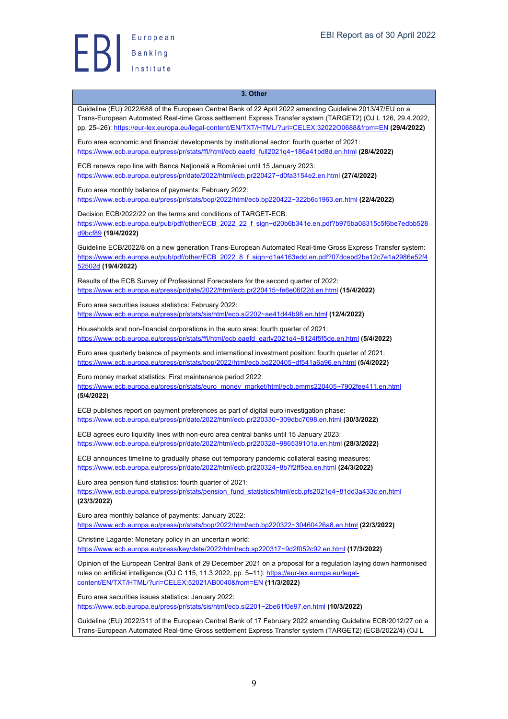

# **3. Other** Guideline (EU) 2022/688 of the European Central Bank of 22 April 2022 amending Guideline 2013/47/EU on a Trans-European Automated Real-time Gross settlement Express Transfer system (TARGET2) (OJ L 126, 29.4.2022, pp. 25–26): https://eur-lex.europa.eu/legal-content/EN/TXT/HTML/?uri=CELEX:32022O0688&from=EN **(29/4/2022)** Euro area economic and financial developments by institutional sector: fourth quarter of 2021: https://www.ecb.europa.eu/press/pr/stats/ffi/html/ecb.eaefd\_full2021q4~186a41bd8d.en.html **(28/4/2022)** ECB renews repo line with Banca Natională a României until 15 January 2023: https://www.ecb.europa.eu/press/pr/date/2022/html/ecb.pr220427~d0fa3154e2.en.html **(27/4/2022)** Euro area monthly balance of payments: February 2022: https://www.ecb.europa.eu/press/pr/stats/bop/2022/html/ecb.bp220422~322b6c1963.en.html **(22/4/2022)** Decision ECB/2022/22 on the terms and conditions of TARGET-ECB: https://www.ecb.europa.eu/pub/pdf/other/ECB\_2022\_22\_f\_sign~d20b6b341e.en.pdf?b975ba08315c5f6be7edbb528 d9bcf89 **(19/4/2022)** Guideline ECB/2022/8 on a new generation Trans-European Automated Real-time Gross Express Transfer system: https://www.ecb.europa.eu/pub/pdf/other/ECB\_2022\_8\_f\_sign~d1a4163edd.en.pdf?07dcebd2be12c7e1a2986e52f4 52502d **(19/4/2022)** Results of the ECB Survey of Professional Forecasters for the second quarter of 2022: https://www.ecb.europa.eu/press/pr/date/2022/html/ecb.pr220415~fe6e06f22d.en.html **(15/4/2022)** Euro area securities issues statistics: February 2022: https://www.ecb.europa.eu/press/pr/stats/sis/html/ecb.si2202~ae41d44b98.en.html **(12/4/2022)** Households and non-financial corporations in the euro area: fourth quarter of 2021: https://www.ecb.europa.eu/press/pr/stats/ffi/html/ecb.eaefd\_early2021q4~8124f5f5de.en.html **(5/4/2022)** Euro area quarterly balance of payments and international investment position: fourth quarter of 2021: https://www.ecb.europa.eu/press/pr/stats/bop/2022/html/ecb.bq220405~df541a6a96.en.html **(5/4/2022)** Euro money market statistics: First maintenance period 2022: https://www.ecb.europa.eu/press/pr/stats/euro\_money\_market/html/ecb.emms220405~7902fee411.en.html **(5/4/2022)** ECB publishes report on payment preferences as part of digital euro investigation phase: https://www.ecb.europa.eu/press/pr/date/2022/html/ecb.pr220330~309dbc7098.en.html **(30/3/2022)** ECB agrees euro liquidity lines with non-euro area central banks until 15 January 2023: https://www.ecb.europa.eu/press/pr/date/2022/html/ecb.pr220328~986539101a.en.html **(28/3/2022)** ECB announces timeline to gradually phase out temporary pandemic collateral easing measures: https://www.ecb.europa.eu/press/pr/date/2022/html/ecb.pr220324~8b7f2ff5ea.en.html **(24/3/2022)** Euro area pension fund statistics: fourth quarter of 2021: https://www.ecb.europa.eu/press/pr/stats/pension\_fund\_statistics/html/ecb.pfs2021q4~81dd3a433c.en.html **(23/3/2022)** Euro area monthly balance of payments: January 2022: https://www.ecb.europa.eu/press/pr/stats/bop/2022/html/ecb.bp220322~30460426a8.en.html **(22/3/2022)** Christine Lagarde: Monetary policy in an uncertain world: https://www.ecb.europa.eu/press/key/date/2022/html/ecb.sp220317~9d2f052c92.en.html **(17/3/2022)** Opinion of the European Central Bank of 29 December 2021 on a proposal for a regulation laying down harmonised rules on artificial intelligence (OJ C 115, 11.3.2022, pp. 5–11): https://eur-lex.europa.eu/legalcontent/EN/TXT/HTML/?uri=CELEX:52021AB0040&from=EN **(11/3/2022)** Euro area securities issues statistics: January 2022: https://www.ecb.europa.eu/press/pr/stats/sis/html/ecb.si2201~2be61f0e97.en.html **(10/3/2022)** Guideline (EU) 2022/311 of the European Central Bank of 17 February 2022 amending Guideline ECB/2012/27 on a Trans-European Automated Real-time Gross settlement Express Transfer system (TARGET2) (ECB/2022/4) (OJ L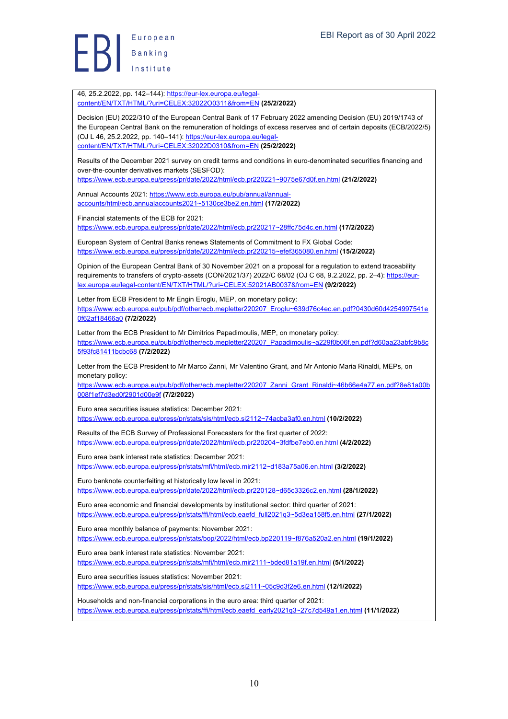46, 25.2.2022, pp. 142–144): https://eur-lex.europa.eu/legalcontent/EN/TXT/HTML/?uri=CELEX:32022O0311&from=EN **(25/2/2022)**

Decision (EU) 2022/310 of the European Central Bank of 17 February 2022 amending Decision (EU) 2019/1743 of the European Central Bank on the remuneration of holdings of excess reserves and of certain deposits (ECB/2022/5) (OJ L 46, 25.2.2022, pp. 140–141): https://eur-lex.europa.eu/legalcontent/EN/TXT/HTML/?uri=CELEX:32022D0310&from=EN **(25/2/2022)**

Results of the December 2021 survey on credit terms and conditions in euro-denominated securities financing and over-the-counter derivatives markets (SESFOD):

https://www.ecb.europa.eu/press/pr/date/2022/html/ecb.pr220221~9075e67d0f.en.html **(21/2/2022)**

Annual Accounts 2021: https://www.ecb.europa.eu/pub/annual/annualaccounts/html/ecb.annualaccounts2021~5130ce3be2.en.html **(17/2/2022)**

Financial statements of the ECB for 2021:

https://www.ecb.europa.eu/press/pr/date/2022/html/ecb.pr220217~28ffc75d4c.en.html **(17/2/2022)**

European System of Central Banks renews Statements of Commitment to FX Global Code: https://www.ecb.europa.eu/press/pr/date/2022/html/ecb.pr220215~efef365080.en.html **(15/2/2022)**

Opinion of the European Central Bank of 30 November 2021 on a proposal for a regulation to extend traceability requirements to transfers of crypto-assets (CON/2021/37) 2022/C 68/02 (OJ C 68, 9.2.2022, pp. 2-4): https://eurlex.europa.eu/legal-content/EN/TXT/HTML/?uri=CELEX:52021AB0037&from=EN **(9/2/2022)**

Letter from ECB President to Mr Engin Eroglu, MEP, on monetary policy: https://www.ecb.europa.eu/pub/pdf/other/ecb.mepletter220207\_Eroglu~639d76c4ec.en.pdf?0430d60d4254997541e 0f62af18466a0 **(7/2/2022)**

Letter from the ECB President to Mr Dimitrios Papadimoulis, MEP, on monetary policy: https://www.ecb.europa.eu/pub/pdf/other/ecb.mepletter220207\_Papadimoulis~a229f0b06f.en.pdf?d60aa23abfc9b8c 5f93fc81411bcbc68 **(7/2/2022)**

Letter from the ECB President to Mr Marco Zanni, Mr Valentino Grant, and Mr Antonio Maria Rinaldi, MEPs, on monetary policy:

https://www.ecb.europa.eu/pub/pdf/other/ecb.mepletter220207\_Zanni\_Grant\_Rinaldi~46b66e4a77.en.pdf?8e81a00b 008f1ef7d3ed0f2901d00e9f **(7/2/2022)**

Euro area securities issues statistics: December 2021: https://www.ecb.europa.eu/press/pr/stats/sis/html/ecb.si2112~74acba3af0.en.html **(10/2/2022)**

Results of the ECB Survey of Professional Forecasters for the first quarter of 2022: https://www.ecb.europa.eu/press/pr/date/2022/html/ecb.pr220204~3fdfbe7eb0.en.html **(4/2/2022)**

Euro area bank interest rate statistics: December 2021: https://www.ecb.europa.eu/press/pr/stats/mfi/html/ecb.mir2112~d183a75a06.en.html **(3/2/2022)**

Euro banknote counterfeiting at historically low level in 2021: https://www.ecb.europa.eu/press/pr/date/2022/html/ecb.pr220128~d65c3326c2.en.html **(28/1/2022)**

Euro area economic and financial developments by institutional sector: third quarter of 2021: https://www.ecb.europa.eu/press/pr/stats/ffi/html/ecb.eaefd\_full2021q3~5d3ea158f5.en.html **(27/1/2022)**

Euro area monthly balance of payments: November 2021: https://www.ecb.europa.eu/press/pr/stats/bop/2022/html/ecb.bp220119~f876a520a2.en.html **(19/1/2022)**

Euro area bank interest rate statistics: November 2021: https://www.ecb.europa.eu/press/pr/stats/mfi/html/ecb.mir2111~bded81a19f.en.html **(5/1/2022)**

Euro area securities issues statistics: November 2021:

https://www.ecb.europa.eu/press/pr/stats/sis/html/ecb.si2111~05c9d3f2e6.en.html **(12/1/2022)**

Households and non-financial corporations in the euro area: third quarter of 2021: https://www.ecb.europa.eu/press/pr/stats/ffi/html/ecb.eaefd\_early2021q3~27c7d549a1.en.html **(11/1/2022)**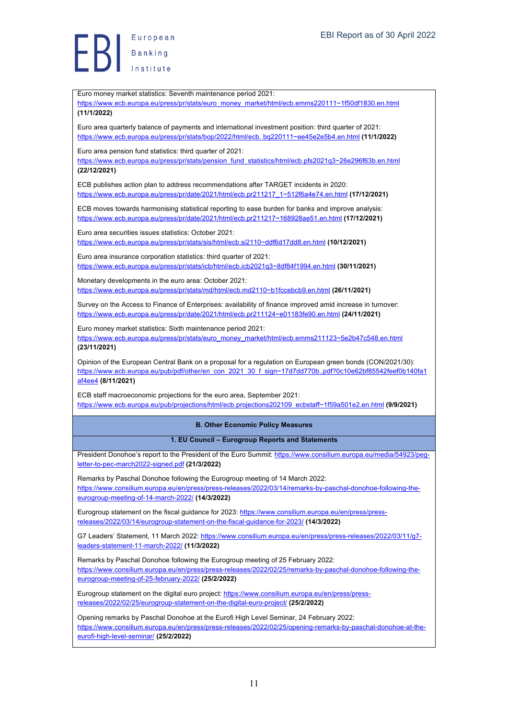Euro money market statistics: Seventh maintenance period 2021: https://www.ecb.europa.eu/press/pr/stats/euro\_money\_market/html/ecb.emms220111~1f50df1830.en.html **(11/1/2022)** Euro area quarterly balance of payments and international investment position: third quarter of 2021: https://www.ecb.europa.eu/press/pr/stats/bop/2022/html/ecb. bq220111~ee45e2e5b4.en.html **(11/1/2022)** Euro area pension fund statistics: third quarter of 2021: https://www.ecb.europa.eu/press/pr/stats/pension\_fund\_statistics/html/ecb.pfs2021q3~26e296f63b.en.html **(22/12/2021)** ECB publishes action plan to address recommendations after TARGET incidents in 2020: https://www.ecb.europa.eu/press/pr/date/2021/html/ecb.pr211217\_1~512f6a4e74.en.html **(17/12/2021)** ECB moves towards harmonising statistical reporting to ease burden for banks and improve analysis: https://www.ecb.europa.eu/press/pr/date/2021/html/ecb.pr211217~168928ae51.en.html **(17/12/2021)** Euro area securities issues statistics: October 2021: https://www.ecb.europa.eu/press/pr/stats/sis/html/ecb.si2110~ddf6d17dd8.en.html **(10/12/2021)** Euro area insurance corporation statistics: third quarter of 2021: https://www.ecb.europa.eu/press/pr/stats/icb/html/ecb.icb2021q3~8df84f1994.en.html **(30/11/2021)** Monetary developments in the euro area: October 2021: https://www.ecb.europa.eu/press/pr/stats/md/html/ecb.md2110~b1fccebcb9.en.html **(26/11/2021)** Survey on the Access to Finance of Enterprises: availability of finance improved amid increase in turnover: https://www.ecb.europa.eu/press/pr/date/2021/html/ecb.pr211124~e01183fe90.en.html **(24/11/2021)** Euro money market statistics: Sixth maintenance period 2021: https://www.ecb.europa.eu/press/pr/stats/euro\_money\_market/html/ecb.emms211123~5e2b47c548.en.html **(23/11/2021)** Opinion of the European Central Bank on a proposal for a regulation on European green bonds (CON/2021/30): https://www.ecb.europa.eu/pub/pdf/other/en\_con\_2021\_30\_f\_sign~17d7dd770b..pdf?0c10e62bf85542feef0b140fa1 af4ee4 **(8/11/2021)** ECB staff macroeconomic projections for the euro area, September 2021: https://www.ecb.europa.eu/pub/projections/html/ecb.projections202109\_ecbstaff~1f59a501e2.en.html **(9/9/2021) B. Other Economic Policy Measures 1. EU Council – Eurogroup Reports and Statements** President Donohoe's report to the President of the Euro Summit: https://www.consilium.europa.eu/media/54923/pegletter-to-pec-march2022-signed.pdf **(21/3/2022)** Remarks by Paschal Donohoe following the Eurogroup meeting of 14 March 2022: https://www.consilium.europa.eu/en/press/press-releases/2022/03/14/remarks-by-paschal-donohoe-following-theeurogroup-meeting-of-14-march-2022/ **(14/3/2022)** Eurogroup statement on the fiscal guidance for 2023: https://www.consilium.europa.eu/en/press/pressreleases/2022/03/14/eurogroup-statement-on-the-fiscal-guidance-for-2023/ **(14/3/2022)** G7 Leaders' Statement, 11 March 2022: https://www.consilium.europa.eu/en/press/press-releases/2022/03/11/g7 leaders-statement-11-march-2022/ **(11/3/2022)** Remarks by Paschal Donohoe following the Eurogroup meeting of 25 February 2022: https://www.consilium.europa.eu/en/press/press-releases/2022/02/25/remarks-by-paschal-donohoe-following-theeurogroup-meeting-of-25-february-2022/ **(25/2/2022)** Eurogroup statement on the digital euro project: https://www.consilium.europa.eu/en/press/pressreleases/2022/02/25/eurogroup-statement-on-the-digital-euro-project/ **(25/2/2022)** Opening remarks by Paschal Donohoe at the Eurofi High Level Seminar, 24 February 2022: https://www.consilium.europa.eu/en/press/press-releases/2022/02/25/opening-remarks-by-paschal-donohoe-at-theeurofi-high-level-seminar/ **(25/2/2022)**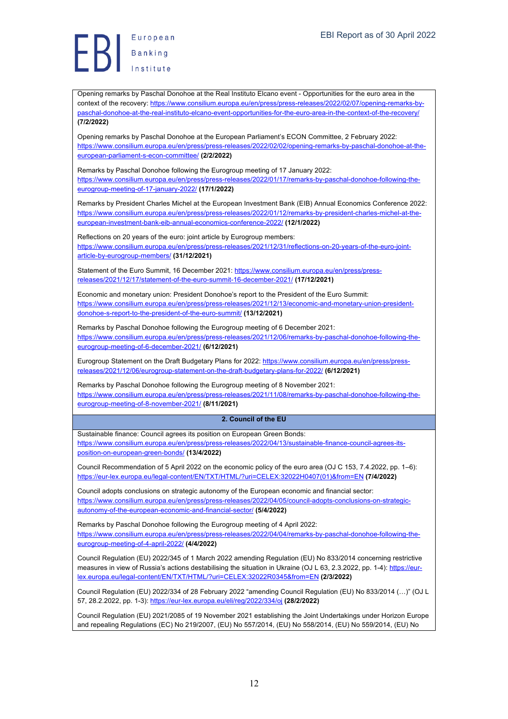Opening remarks by Paschal Donohoe at the Real Instituto Elcano event - Opportunities for the euro area in the context of the recovery: https://www.consilium.europa.eu/en/press/press-releases/2022/02/07/opening-remarks-bypaschal-donohoe-at-the-real-instituto-elcano-event-opportunities-for-the-euro-area-in-the-context-of-the-recovery/ **(7/2/2022)**

Opening remarks by Paschal Donohoe at the European Parliament's ECON Committee, 2 February 2022: https://www.consilium.europa.eu/en/press/press-releases/2022/02/02/opening-remarks-by-paschal-donohoe-at-theeuropean-parliament-s-econ-committee/ **(2/2/2022)**

Remarks by Paschal Donohoe following the Eurogroup meeting of 17 January 2022: https://www.consilium.europa.eu/en/press/press-releases/2022/01/17/remarks-by-paschal-donohoe-following-theeurogroup-meeting-of-17-january-2022/ **(17/1/2022)**

Remarks by President Charles Michel at the European Investment Bank (EIB) Annual Economics Conference 2022: https://www.consilium.europa.eu/en/press/press-releases/2022/01/12/remarks-by-president-charles-michel-at-theeuropean-investment-bank-eib-annual-economics-conference-2022/ **(12/1/2022)**

Reflections on 20 years of the euro: joint article by Eurogroup members: https://www.consilium.europa.eu/en/press/press-releases/2021/12/31/reflections-on-20-years-of-the-euro-jointarticle-by-eurogroup-members/ **(31/12/2021)**

Statement of the Euro Summit, 16 December 2021: https://www.consilium.europa.eu/en/press/pressreleases/2021/12/17/statement-of-the-euro-summit-16-december-2021/ **(17/12/2021)**

Economic and monetary union: President Donohoe's report to the President of the Euro Summit: https://www.consilium.europa.eu/en/press/press-releases/2021/12/13/economic-and-monetary-union-presidentdonohoe-s-report-to-the-president-of-the-euro-summit/ **(13/12/2021)**

Remarks by Paschal Donohoe following the Eurogroup meeting of 6 December 2021: https://www.consilium.europa.eu/en/press/press-releases/2021/12/06/remarks-by-paschal-donohoe-following-theeurogroup-meeting-of-6-december-2021/ **(6/12/2021)**

Eurogroup Statement on the Draft Budgetary Plans for 2022: https://www.consilium.europa.eu/en/press/pressreleases/2021/12/06/eurogroup-statement-on-the-draft-budgetary-plans-for-2022/ **(6/12/2021)**

Remarks by Paschal Donohoe following the Eurogroup meeting of 8 November 2021: https://www.consilium.europa.eu/en/press/press-releases/2021/11/08/remarks-by-paschal-donohoe-following-theeurogroup-meeting-of-8-november-2021/ **(8/11/2021)**

**2. Council of the EU**

Sustainable finance: Council agrees its position on European Green Bonds: https://www.consilium.europa.eu/en/press/press-releases/2022/04/13/sustainable-finance-council-agrees-itsposition-on-european-green-bonds/ **(13/4/2022)**

Council Recommendation of 5 April 2022 on the economic policy of the euro area (OJ C 153, 7.4.2022, pp. 1–6): https://eur-lex.europa.eu/legal-content/EN/TXT/HTML/?uri=CELEX:32022H0407(01)&from=EN **(7/4/2022)**

Council adopts conclusions on strategic autonomy of the European economic and financial sector: https://www.consilium.europa.eu/en/press/press-releases/2022/04/05/council-adopts-conclusions-on-strategicautonomy-of-the-european-economic-and-financial-sector/ **(5/4/2022)**

Remarks by Paschal Donohoe following the Eurogroup meeting of 4 April 2022: https://www.consilium.europa.eu/en/press/press-releases/2022/04/04/remarks-by-paschal-donohoe-following-theeurogroup-meeting-of-4-april-2022/ **(4/4/2022)**

Council Regulation (EU) 2022/345 of 1 March 2022 amending Regulation (EU) No 833/2014 concerning restrictive measures in view of Russia's actions destabilising the situation in Ukraine (OJ L 63, 2.3.2022, pp. 1-4): https://eurlex.europa.eu/legal-content/EN/TXT/HTML/?uri=CELEX:32022R0345&from=EN **(2/3/2022)**

Council Regulation (EU) 2022/334 of 28 February 2022 "amending Council Regulation (EU) No 833/2014 (…)" (OJ L 57, 28.2.2022, pp. 1-3): https://eur-lex.europa.eu/eli/reg/2022/334/oj **(28/2/2022)**

Council Regulation (EU) 2021/2085 of 19 November 2021 establishing the Joint Undertakings under Horizon Europe and repealing Regulations (EC) No 219/2007, (EU) No 557/2014, (EU) No 558/2014, (EU) No 559/2014, (EU) No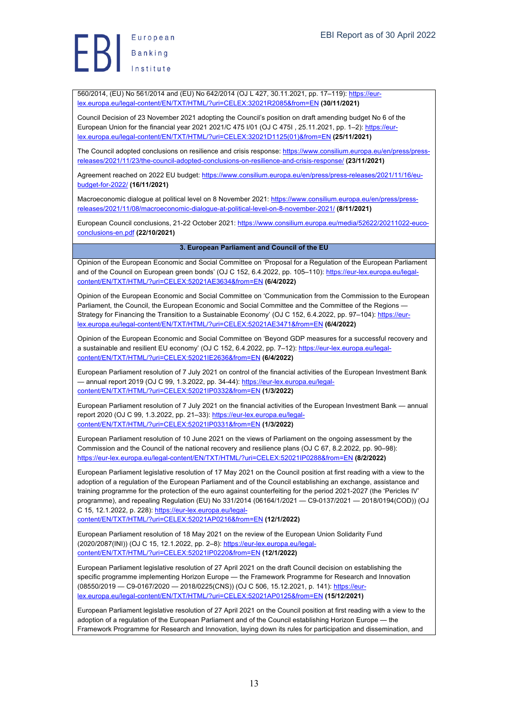Europea<br>Banking

560/2014, (EU) No 561/2014 and (EU) No 642/2014 (OJ L 427, 30.11.2021, pp. 17–119): https://eurlex.europa.eu/legal-content/EN/TXT/HTML/?uri=CELEX:32021R2085&from=EN **(30/11/2021)**

Council Decision of 23 November 2021 adopting the Council's position on draft amending budget No 6 of the European Union for the financial year 2021 2021/C 475 I/01 (OJ C 475I , 25.11.2021, pp. 1–2): https://eurlex.europa.eu/legal-content/EN/TXT/HTML/?uri=CELEX:32021D1125(01)&from=EN **(25/11/2021)**

The Council adopted conclusions on resilience and crisis response: https://www.consilium.europa.eu/en/press/pressreleases/2021/11/23/the-council-adopted-conclusions-on-resilience-and-crisis-response/ **(23/11/2021)**

Agreement reached on 2022 EU budget: https://www.consilium.europa.eu/en/press/press-releases/2021/11/16/eubudget-for-2022/ **(16/11/2021)**

Macroeconomic dialogue at political level on 8 November 2021: https://www.consilium.europa.eu/en/press/pressreleases/2021/11/08/macroeconomic-dialogue-at-political-level-on-8-november-2021/ **(8/11/2021)**

European Council conclusions, 21-22 October 2021: https://www.consilium.europa.eu/media/52622/20211022-eucoconclusions-en.pdf **(22/10/2021)**

# **3. European Parliament and Council of the EU**

Opinion of the European Economic and Social Committee on 'Proposal for a Regulation of the European Parliament and of the Council on European green bonds' (OJ C 152, 6.4.2022, pp. 105–110): https://eur-lex.europa.eu/legalcontent/EN/TXT/HTML/?uri=CELEX:52021AE3634&from=EN **(6/4/2022)**

Opinion of the European Economic and Social Committee on 'Communication from the Commission to the European Parliament, the Council, the European Economic and Social Committee and the Committee of the Regions -Strategy for Financing the Transition to a Sustainable Economy' (OJ C 152, 6.4.2022, pp. 97–104): https://eurlex.europa.eu/legal-content/EN/TXT/HTML/?uri=CELEX:52021AE3471&from=EN **(6/4/2022)**

Opinion of the European Economic and Social Committee on 'Beyond GDP measures for a successful recovery and a sustainable and resilient EU economy' (OJ C 152, 6.4.2022, pp. 7–12): https://eur-lex.europa.eu/legalcontent/EN/TXT/HTML/?uri=CELEX:52021IE2636&from=EN **(6/4/2022)**

European Parliament resolution of 7 July 2021 on control of the financial activities of the European Investment Bank — annual report 2019 (OJ C 99, 1.3.2022, pp. 34-44): https://eur-lex.europa.eu/legalcontent/EN/TXT/HTML/?uri=CELEX:52021IP0332&from=EN **(1/3/2022)**

European Parliament resolution of 7 July 2021 on the financial activities of the European Investment Bank — annual report 2020 (OJ C 99, 1.3.2022, pp. 21–33): https://eur-lex.europa.eu/legalcontent/EN/TXT/HTML/?uri=CELEX:52021IP0331&from=EN **(1/3/2022)**

European Parliament resolution of 10 June 2021 on the views of Parliament on the ongoing assessment by the Commission and the Council of the national recovery and resilience plans (OJ C 67, 8.2.2022, pp. 90–98): https://eur-lex.europa.eu/legal-content/EN/TXT/HTML/?uri=CELEX:52021IP0288&from=EN **(8/2/2022)**

European Parliament legislative resolution of 17 May 2021 on the Council position at first reading with a view to the adoption of a regulation of the European Parliament and of the Council establishing an exchange, assistance and training programme for the protection of the euro against counterfeiting for the period 2021-2027 (the 'Pericles IV' programme), and repealing Regulation (EU) No 331/2014 (06164/1/2021 — C9-0137/2021 — 2018/0194(COD)) (OJ C 15, 12.1.2022, p. 228): https://eur-lex.europa.eu/legal-

content/EN/TXT/HTML/?uri=CELEX:52021AP0216&from=EN **(12/1/2022)**

European Parliament resolution of 18 May 2021 on the review of the European Union Solidarity Fund (2020/2087(INI)) (OJ C 15, 12.1.2022, pp. 2–8): https://eur-lex.europa.eu/legalcontent/EN/TXT/HTML/?uri=CELEX:52021IP0220&from=EN **(12/1/2022)**

European Parliament legislative resolution of 27 April 2021 on the draft Council decision on establishing the specific programme implementing Horizon Europe — the Framework Programme for Research and Innovation (08550/2019 — C9-0167/2020 — 2018/0225(CNS)) (OJ C 506, 15.12.2021, p. 141): https://eurlex.europa.eu/legal-content/EN/TXT/HTML/?uri=CELEX:52021AP0125&from=EN **(15/12/2021)**

European Parliament legislative resolution of 27 April 2021 on the Council position at first reading with a view to the adoption of a regulation of the European Parliament and of the Council establishing Horizon Europe — the Framework Programme for Research and Innovation, laying down its rules for participation and dissemination, and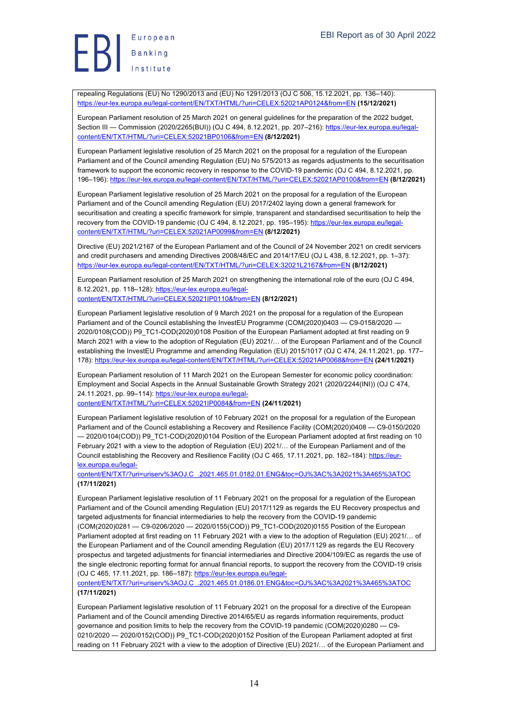repealing Regulations (EU) No 1290/2013 and (EU) No 1291/2013 (OJ C 506, 15.12.2021, pp. 136–140): https://eur-lex.europa.eu/legal-content/EN/TXT/HTML/?uri=CELEX:52021AP0124&from=EN **(15/12/2021)**

European Parliament resolution of 25 March 2021 on general guidelines for the preparation of the 2022 budget, Section III — Commission (2020/2265(BUI)) (OJ C 494, 8.12.2021, pp. 207–216): https://eur-lex.europa.eu/legalcontent/EN/TXT/HTML/?uri=CELEX:52021BP0106&from=EN **(8/12/2021)**

European Parliament legislative resolution of 25 March 2021 on the proposal for a regulation of the European Parliament and of the Council amending Regulation (EU) No 575/2013 as regards adjustments to the securitisation framework to support the economic recovery in response to the COVID-19 pandemic (OJ C 494, 8.12.2021, pp. 196–196): https://eur-lex.europa.eu/legal-content/EN/TXT/HTML/?uri=CELEX:52021AP0100&from=EN **(8/12/2021)**

European Parliament legislative resolution of 25 March 2021 on the proposal for a regulation of the European Parliament and of the Council amending Regulation (EU) 2017/2402 laying down a general framework for securitisation and creating a specific framework for simple, transparent and standardised securitisation to help the recovery from the COVID-19 pandemic (OJ C 494, 8.12.2021, pp. 195–195): https://eur-lex.europa.eu/legalcontent/EN/TXT/HTML/?uri=CELEX:52021AP0099&from=EN **(8/12/2021)**

Directive (EU) 2021/2167 of the European Parliament and of the Council of 24 November 2021 on credit servicers and credit purchasers and amending Directives 2008/48/EC and 2014/17/EU (OJ L 438, 8.12.2021, pp. 1–37): https://eur-lex.europa.eu/legal-content/EN/TXT/HTML/?uri=CELEX:32021L2167&from=EN **(8/12/2021)**

European Parliament resolution of 25 March 2021 on strengthening the international role of the euro (OJ C 494, 8.12.2021, pp. 118–128): https://eur-lex.europa.eu/legal-

content/EN/TXT/HTML/?uri=CELEX:52021IP0110&from=EN **(8/12/2021)**

European Parliament legislative resolution of 9 March 2021 on the proposal for a regulation of the European Parliament and of the Council establishing the InvestEU Programme (COM(2020)0403 - C9-0158/2020 -2020/0108(COD)) P9\_TC1-COD(2020)0108 Position of the European Parliament adopted at first reading on 9 March 2021 with a view to the adoption of Regulation (EU) 2021/… of the European Parliament and of the Council establishing the InvestEU Programme and amending Regulation (EU) 2015/1017 (OJ C 474, 24.11.2021, pp. 177– 178): https://eur-lex.europa.eu/legal-content/EN/TXT/HTML/?uri=CELEX:52021AP0068&from=EN **(24/11/2021)**

European Parliament resolution of 11 March 2021 on the European Semester for economic policy coordination: Employment and Social Aspects in the Annual Sustainable Growth Strategy 2021 (2020/2244(INI)) (OJ C 474, 24.11.2021, pp. 99–114): https://eur-lex.europa.eu/legalcontent/EN/TXT/HTML/?uri=CELEX:52021IP0084&from=EN **(24/11/2021)**

European Parliament legislative resolution of 10 February 2021 on the proposal for a regulation of the European Parliament and of the Council establishing a Recovery and Resilience Facility (COM(2020)0408 — C9-0150/2020 — 2020/0104(COD)) P9\_TC1-COD(2020)0104 Position of the European Parliament adopted at first reading on 10 February 2021 with a view to the adoption of Regulation (EU) 2021/… of the European Parliament and of the Council establishing the Recovery and Resilience Facility (OJ C 465, 17.11.2021, pp. 182–184): https://eurlex.europa.eu/legal-

content/EN/TXT/?uri=uriserv%3AOJ.C\_.2021.465.01.0182.01.ENG&toc=OJ%3AC%3A2021%3A465%3ATOC **(17/11/2021)**

European Parliament legislative resolution of 11 February 2021 on the proposal for a regulation of the European Parliament and of the Council amending Regulation (EU) 2017/1129 as regards the EU Recovery prospectus and targeted adjustments for financial intermediaries to help the recovery from the COVID-19 pandemic (COM(2020)0281 — C9-0206/2020 — 2020/0155(COD)) P9\_TC1-COD(2020)0155 Position of the European Parliament adopted at first reading on 11 February 2021 with a view to the adoption of Regulation (EU) 2021/… of the European Parliament and of the Council amending Regulation (EU) 2017/1129 as regards the EU Recovery prospectus and targeted adjustments for financial intermediaries and Directive 2004/109/EC as regards the use of the single electronic reporting format for annual financial reports, to support the recovery from the COVID-19 crisis (OJ C 465, 17.11.2021, pp. 186–187): https://eur-lex.europa.eu/legal-

content/EN/TXT/?uri=uriserv%3AOJ.C\_.2021.465.01.0186.01.ENG&toc=OJ%3AC%3A2021%3A465%3ATOC **(17/11/2021)**

European Parliament legislative resolution of 11 February 2021 on the proposal for a directive of the European Parliament and of the Council amending Directive 2014/65/EU as regards information requirements, product governance and position limits to help the recovery from the COVID-19 pandemic (COM(2020)0280 — C9- 0210/2020 - 2020/0152(COD)) P9\_TC1-COD(2020)0152 Position of the European Parliament adopted at first reading on 11 February 2021 with a view to the adoption of Directive (EU) 2021/… of the European Parliament and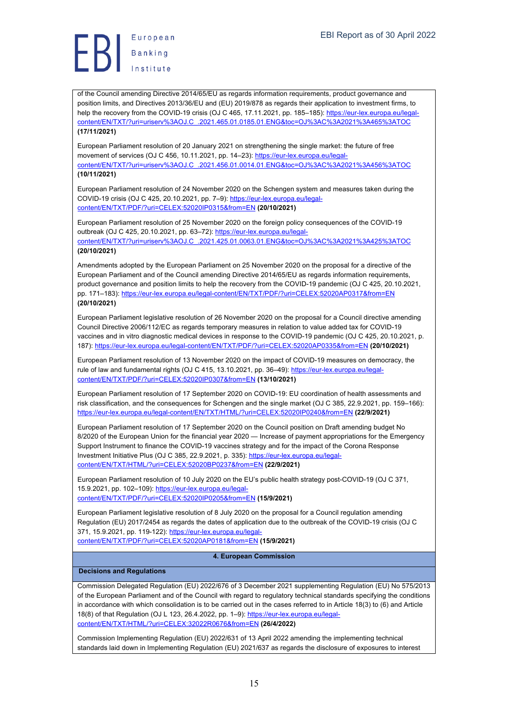of the Council amending Directive 2014/65/EU as regards information requirements, product governance and position limits, and Directives 2013/36/EU and (EU) 2019/878 as regards their application to investment firms, to help the recovery from the COVID-19 crisis (OJ C 465, 17.11.2021, pp. 185–185): https://eur-lex.europa.eu/legalcontent/EN/TXT/?uri=uriserv%3AOJ.C\_.2021.465.01.0185.01.ENG&toc=OJ%3AC%3A2021%3A465%3ATOC **(17/11/2021)**

European Parliament resolution of 20 January 2021 on strengthening the single market: the future of free movement of services (OJ C 456, 10.11.2021, pp. 14–23): https://eur-lex.europa.eu/legalcontent/EN/TXT/?uri=uriserv%3AOJ.C\_.2021.456.01.0014.01.ENG&toc=OJ%3AC%3A2021%3A456%3ATOC **(10/11/2021)**

European Parliament resolution of 24 November 2020 on the Schengen system and measures taken during the COVID-19 crisis (OJ C 425, 20.10.2021, pp. 7–9): https://eur-lex.europa.eu/legalcontent/EN/TXT/PDF/?uri=CELEX:52020IP0315&from=EN **(20/10/2021)**

European Parliament resolution of 25 November 2020 on the foreign policy consequences of the COVID-19 outbreak (OJ C 425, 20.10.2021, pp. 63-72): https://eur-lex.europa.eu/legalcontent/EN/TXT/?uri=uriserv%3AOJ.C\_.2021.425.01.0063.01.ENG&toc=OJ%3AC%3A2021%3A425%3ATOC **(20/10/2021)**

Amendments adopted by the European Parliament on 25 November 2020 on the proposal for a directive of the European Parliament and of the Council amending Directive 2014/65/EU as regards information requirements, product governance and position limits to help the recovery from the COVID-19 pandemic (OJ C 425, 20.10.2021, pp. 171–183): https://eur-lex.europa.eu/legal-content/EN/TXT/PDF/?uri=CELEX:52020AP0317&from=EN **(20/10/2021)**

European Parliament legislative resolution of 26 November 2020 on the proposal for a Council directive amending Council Directive 2006/112/EC as regards temporary measures in relation to value added tax for COVID-19 vaccines and in vitro diagnostic medical devices in response to the COVID-19 pandemic (OJ C 425, 20.10.2021, p. 187): https://eur-lex.europa.eu/legal-content/EN/TXT/PDF/?uri=CELEX:52020AP0335&from=EN **(20/10/2021)**

European Parliament resolution of 13 November 2020 on the impact of COVID-19 measures on democracy, the rule of law and fundamental rights (OJ C 415, 13.10.2021, pp. 36–49): https://eur-lex.europa.eu/legalcontent/EN/TXT/PDF/?uri=CELEX:52020IP0307&from=EN **(13/10/2021)**

European Parliament resolution of 17 September 2020 on COVID-19: EU coordination of health assessments and risk classification, and the consequences for Schengen and the single market (OJ C 385, 22.9.2021, pp. 159–166): https://eur-lex.europa.eu/legal-content/EN/TXT/HTML/?uri=CELEX:52020IP0240&from=EN **(22/9/2021)**

European Parliament resolution of 17 September 2020 on the Council position on Draft amending budget No 8/2020 of the European Union for the financial year 2020 — Increase of payment appropriations for the Emergency Support Instrument to finance the COVID-19 vaccines strategy and for the impact of the Corona Response Investment Initiative Plus (OJ C 385, 22.9.2021, p. 335): https://eur-lex.europa.eu/legalcontent/EN/TXT/HTML/?uri=CELEX:52020BP0237&from=EN **(22/9/2021)**

European Parliament resolution of 10 July 2020 on the EU's public health strategy post-COVID-19 (OJ C 371, 15.9.2021, pp. 102-109): https://eur-lex.europa.eu/legalcontent/EN/TXT/PDF/?uri=CELEX:52020IP0205&from=EN **(15/9/2021)**

European Parliament legislative resolution of 8 July 2020 on the proposal for a Council regulation amending Regulation (EU) 2017/2454 as regards the dates of application due to the outbreak of the COVID-19 crisis (OJ C 371, 15.9.2021, pp. 119-122): https://eur-lex.europa.eu/legalcontent/EN/TXT/PDF/?uri=CELEX:52020AP0181&from=EN **(15/9/2021)**

**4. European Commission**

# **Decisions and Regulations**

Commission Delegated Regulation (EU) 2022/676 of 3 December 2021 supplementing Regulation (EU) No 575/2013 of the European Parliament and of the Council with regard to regulatory technical standards specifying the conditions in accordance with which consolidation is to be carried out in the cases referred to in Article 18(3) to (6) and Article 18(8) of that Regulation (OJ L 123, 26.4.2022, pp. 1-9): https://eur-lex.europa.eu/legalcontent/EN/TXT/HTML/?uri=CELEX:32022R0676&from=EN **(26/4/2022)**

Commission Implementing Regulation (EU) 2022/631 of 13 April 2022 amending the implementing technical standards laid down in Implementing Regulation (EU) 2021/637 as regards the disclosure of exposures to interest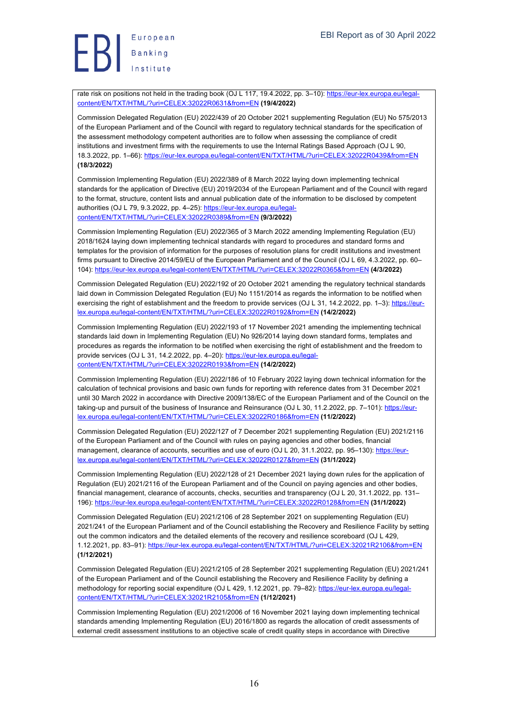rate risk on positions not held in the trading book (OJ L 117, 19.4.2022, pp. 3–10): https://eur-lex.europa.eu/legalcontent/EN/TXT/HTML/?uri=CELEX:32022R0631&from=EN **(19/4/2022)**

Commission Delegated Regulation (EU) 2022/439 of 20 October 2021 supplementing Regulation (EU) No 575/2013 of the European Parliament and of the Council with regard to regulatory technical standards for the specification of the assessment methodology competent authorities are to follow when assessing the compliance of credit institutions and investment firms with the requirements to use the Internal Ratings Based Approach (OJ L 90, 18.3.2022, pp. 1–66): https://eur-lex.europa.eu/legal-content/EN/TXT/HTML/?uri=CELEX:32022R0439&from=EN **(18/3/2022)**

Commission Implementing Regulation (EU) 2022/389 of 8 March 2022 laying down implementing technical standards for the application of Directive (EU) 2019/2034 of the European Parliament and of the Council with regard to the format, structure, content lists and annual publication date of the information to be disclosed by competent authorities (OJ L 79, 9.3.2022, pp. 4-25): https://eur-lex.europa.eu/legalcontent/EN/TXT/HTML/?uri=CELEX:32022R0389&from=EN **(9/3/2022)**

Commission Implementing Regulation (EU) 2022/365 of 3 March 2022 amending Implementing Regulation (EU) 2018/1624 laying down implementing technical standards with regard to procedures and standard forms and templates for the provision of information for the purposes of resolution plans for credit institutions and investment firms pursuant to Directive 2014/59/EU of the European Parliament and of the Council (OJ L 69, 4.3.2022, pp. 60– 104): https://eur-lex.europa.eu/legal-content/EN/TXT/HTML/?uri=CELEX:32022R0365&from=EN **(4/3/2022)**

Commission Delegated Regulation (EU) 2022/192 of 20 October 2021 amending the regulatory technical standards laid down in Commission Delegated Regulation (EU) No 1151/2014 as regards the information to be notified when exercising the right of establishment and the freedom to provide services (OJ L 31, 14.2.2022, pp. 1-3): https://eurlex.europa.eu/legal-content/EN/TXT/HTML/?uri=CELEX:32022R0192&from=EN **(14/2/2022)**

Commission Implementing Regulation (EU) 2022/193 of 17 November 2021 amending the implementing technical standards laid down in Implementing Regulation (EU) No 926/2014 laying down standard forms, templates and procedures as regards the information to be notified when exercising the right of establishment and the freedom to provide services (OJ L 31, 14.2.2022, pp. 4–20): https://eur-lex.europa.eu/legalcontent/EN/TXT/HTML/?uri=CELEX:32022R0193&from=EN **(14/2/2022)**

Commission Implementing Regulation (EU) 2022/186 of 10 February 2022 laying down technical information for the calculation of technical provisions and basic own funds for reporting with reference dates from 31 December 2021 until 30 March 2022 in accordance with Directive 2009/138/EC of the European Parliament and of the Council on the taking-up and pursuit of the business of Insurance and Reinsurance (OJ L 30, 11.2.2022, pp. 7–101): https://eurlex.europa.eu/legal-content/EN/TXT/HTML/?uri=CELEX:32022R0186&from=EN **(11/2/2022)**

Commission Delegated Regulation (EU) 2022/127 of 7 December 2021 supplementing Regulation (EU) 2021/2116 of the European Parliament and of the Council with rules on paying agencies and other bodies, financial management, clearance of accounts, securities and use of euro (OJ L 20, 31.1.2022, pp. 95-130): https://eurlex.europa.eu/legal-content/EN/TXT/HTML/?uri=CELEX:32022R0127&from=EN **(31/1/2022)**

Commission Implementing Regulation (EU) 2022/128 of 21 December 2021 laying down rules for the application of Regulation (EU) 2021/2116 of the European Parliament and of the Council on paying agencies and other bodies, financial management, clearance of accounts, checks, securities and transparency (OJ L 20, 31.1.2022, pp. 131– 196): https://eur-lex.europa.eu/legal-content/EN/TXT/HTML/?uri=CELEX:32022R0128&from=EN **(31/1/2022)**

Commission Delegated Regulation (EU) 2021/2106 of 28 September 2021 on supplementing Regulation (EU) 2021/241 of the European Parliament and of the Council establishing the Recovery and Resilience Facility by setting out the common indicators and the detailed elements of the recovery and resilience scoreboard (OJ L 429, 1.12.2021, pp. 83–91): https://eur-lex.europa.eu/legal-content/EN/TXT/HTML/?uri=CELEX:32021R2106&from=EN **(1/12/2021)**

Commission Delegated Regulation (EU) 2021/2105 of 28 September 2021 supplementing Regulation (EU) 2021/241 of the European Parliament and of the Council establishing the Recovery and Resilience Facility by defining a methodology for reporting social expenditure (OJ L 429, 1.12.2021, pp. 79–82): https://eur-lex.europa.eu/legalcontent/EN/TXT/HTML/?uri=CELEX:32021R2105&from=EN **(1/12/2021)**

Commission Implementing Regulation (EU) 2021/2006 of 16 November 2021 laying down implementing technical standards amending Implementing Regulation (EU) 2016/1800 as regards the allocation of credit assessments of external credit assessment institutions to an objective scale of credit quality steps in accordance with Directive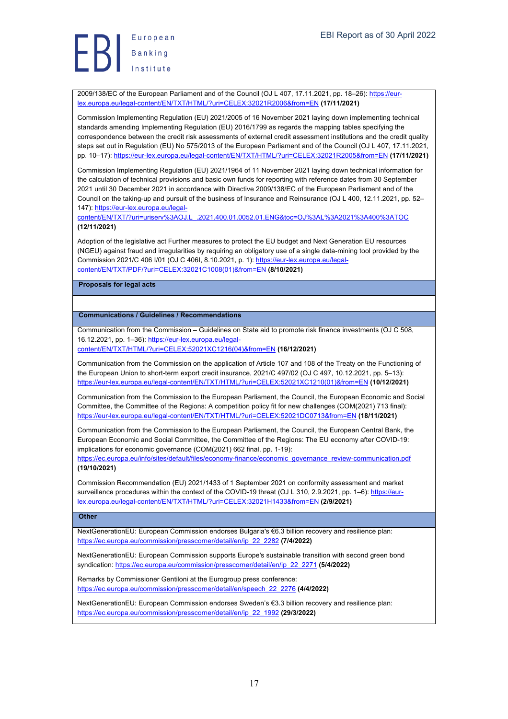2009/138/EC of the European Parliament and of the Council (OJ L 407, 17.11.2021, pp. 18–26): https://eurlex.europa.eu/legal-content/EN/TXT/HTML/?uri=CELEX:32021R2006&from=EN **(17/11/2021)**

Commission Implementing Regulation (EU) 2021/2005 of 16 November 2021 laying down implementing technical standards amending Implementing Regulation (EU) 2016/1799 as regards the mapping tables specifying the correspondence between the credit risk assessments of external credit assessment institutions and the credit quality steps set out in Regulation (EU) No 575/2013 of the European Parliament and of the Council (OJ L 407, 17.11.2021, pp. 10–17): https://eur-lex.europa.eu/legal-content/EN/TXT/HTML/?uri=CELEX:32021R2005&from=EN **(17/11/2021)**

Commission Implementing Regulation (EU) 2021/1964 of 11 November 2021 laying down technical information for the calculation of technical provisions and basic own funds for reporting with reference dates from 30 September 2021 until 30 December 2021 in accordance with Directive 2009/138/EC of the European Parliament and of the Council on the taking-up and pursuit of the business of Insurance and Reinsurance (OJ L 400, 12.11.2021, pp. 52– 147): https://eur-lex.europa.eu/legal-

content/EN/TXT/?uri=uriserv%3AOJ.L\_.2021.400.01.0052.01.ENG&toc=OJ%3AL%3A2021%3A400%3ATOC **(12/11/2021)**

Adoption of the legislative act Further measures to protect the EU budget and Next Generation EU resources (NGEU) against fraud and irregularities by requiring an obligatory use of a single data-mining tool provided by the Commission 2021/C 406 I/01 (OJ C 406I, 8.10.2021, p. 1): https://eur-lex.europa.eu/legalcontent/EN/TXT/PDF/?uri=CELEX:32021C1008(01)&from=EN **(8/10/2021)**

**Proposals for legal acts**

# **Communications / Guidelines / Recommendations**

Communication from the Commission – Guidelines on State aid to promote risk finance investments (OJ C 508, 16.12.2021, pp. 1–36): https://eur-lex.europa.eu/legalcontent/EN/TXT/HTML/?uri=CELEX:52021XC1216(04)&from=EN **(16/12/2021)**

Communication from the Commission on the application of Article 107 and 108 of the Treaty on the Functioning of the European Union to short-term export credit insurance, 2021/C 497/02 (OJ C 497, 10.12.2021, pp. 5–13): https://eur-lex.europa.eu/legal-content/EN/TXT/HTML/?uri=CELEX:52021XC1210(01)&from=EN **(10/12/2021)**

Communication from the Commission to the European Parliament, the Council, the European Economic and Social Committee, the Committee of the Regions: A competition policy fit for new challenges (COM(2021) 713 final): https://eur-lex.europa.eu/legal-content/EN/TXT/HTML/?uri=CELEX:52021DC0713&from=EN **(18/11/2021)**

Communication from the Commission to the European Parliament, the Council, the European Central Bank, the European Economic and Social Committee, the Committee of the Regions: The EU economy after COVID-19: implications for economic governance (COM(2021) 662 final, pp. 1-19):

https://ec.europa.eu/info/sites/default/files/economy-finance/economic\_governance\_review-communication.pdf **(19/10/2021)**

Commission Recommendation (EU) 2021/1433 of 1 September 2021 on conformity assessment and market surveillance procedures within the context of the COVID-19 threat (OJ L 310, 2.9.2021, pp. 1–6): https://eurlex.europa.eu/legal-content/EN/TXT/HTML/?uri=CELEX:32021H1433&from=EN **(2/9/2021)**

# **Other**

NextGenerationEU: European Commission endorses Bulgaria's €6.3 billion recovery and resilience plan: https://ec.europa.eu/commission/presscorner/detail/en/ip\_22\_2282 **(7/4/2022)**

NextGenerationEU: European Commission supports Europe's sustainable transition with second green bond syndication: https://ec.europa.eu/commission/presscorner/detail/en/ip\_22\_2271 **(5/4/2022)**

Remarks by Commissioner Gentiloni at the Eurogroup press conference: https://ec.europa.eu/commission/presscorner/detail/en/speech\_22\_2276 **(4/4/2022)**

NextGenerationEU: European Commission endorses Sweden's €3.3 billion recovery and resilience plan: https://ec.europa.eu/commission/presscorner/detail/en/ip\_22\_1992 **(29/3/2022)**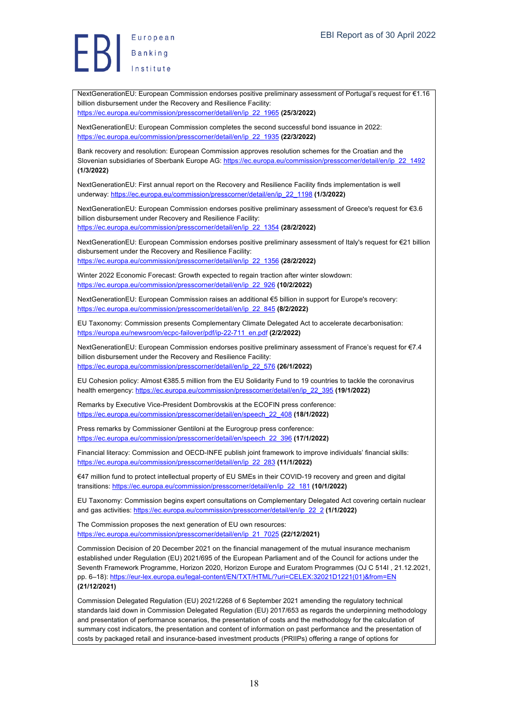NextGenerationEU: European Commission endorses positive preliminary assessment of Portugal's request for €1.16 billion disbursement under the Recovery and Resilience Facility: https://ec.europa.eu/commission/presscorner/detail/en/ip\_22\_1965 **(25/3/2022)**

NextGenerationEU: European Commission completes the second successful bond issuance in 2022: https://ec.europa.eu/commission/presscorner/detail/en/ip\_22\_1935 **(22/3/2022)**

Bank recovery and resolution: European Commission approves resolution schemes for the Croatian and the Slovenian subsidiaries of Sberbank Europe AG: https://ec.europa.eu/commission/presscorner/detail/en/ip\_22\_1492 **(1/3/2022)**

NextGenerationEU: First annual report on the Recovery and Resilience Facility finds implementation is well underway: https://ec.europa.eu/commission/presscorner/detail/en/ip\_22\_1198 **(1/3/2022)**

NextGenerationEU: European Commission endorses positive preliminary assessment of Greece's request for €3.6 billion disbursement under Recovery and Resilience Facility: https://ec.europa.eu/commission/presscorner/detail/en/ip\_22\_1354 **(28/2/2022)**

NextGenerationEU: European Commission endorses positive preliminary assessment of Italy's request for €21 billion disbursement under the Recovery and Resilience Facility: https://ec.europa.eu/commission/presscorner/detail/en/ip\_22\_1356 **(28/2/2022)**

Winter 2022 Economic Forecast: Growth expected to regain traction after winter slowdown: https://ec.europa.eu/commission/presscorner/detail/en/ip\_22\_926 **(10/2/2022)**

NextGenerationEU: European Commission raises an additional €5 billion in support for Europe's recovery: https://ec.europa.eu/commission/presscorner/detail/en/ip\_22\_845 **(8/2/2022)**

EU Taxonomy: Commission presents Complementary Climate Delegated Act to accelerate decarbonisation: https://europa.eu/newsroom/ecpc-failover/pdf/ip-22-711\_en.pdf **(2/2/2022)**

NextGenerationEU: European Commission endorses positive preliminary assessment of France's request for €7.4 billion disbursement under the Recovery and Resilience Facility: https://ec.europa.eu/commission/presscorner/detail/en/ip\_22\_576 **(26/1/2022)**

EU Cohesion policy: Almost €385.5 million from the EU Solidarity Fund to 19 countries to tackle the coronavirus health emergency: https://ec.europa.eu/commission/presscorner/detail/en/ip\_22\_395 **(19/1/2022)**

Remarks by Executive Vice-President Dombrovskis at the ECOFIN press conference: https://ec.europa.eu/commission/presscorner/detail/en/speech\_22\_408 **(18/1/2022)**

Press remarks by Commissioner Gentiloni at the Eurogroup press conference: https://ec.europa.eu/commission/presscorner/detail/en/speech\_22\_396 **(17/1/2022)**

Financial literacy: Commission and OECD-INFE publish joint framework to improve individuals' financial skills: https://ec.europa.eu/commission/presscorner/detail/en/ip\_22\_283 **(11/1/2022)**

€47 million fund to protect intellectual property of EU SMEs in their COVID-19 recovery and green and digital transitions: https://ec.europa.eu/commission/presscorner/detail/en/ip\_22\_181 **(10/1/2022)**

EU Taxonomy: Commission begins expert consultations on Complementary Delegated Act covering certain nuclear and gas activities: https://ec.europa.eu/commission/presscorner/detail/en/ip\_22\_2 **(1/1/2022)**

The Commission proposes the next generation of EU own resources: https://ec.europa.eu/commission/presscorner/detail/en/ip\_21\_7025 **(22/12/2021)**

Commission Decision of 20 December 2021 on the financial management of the mutual insurance mechanism established under Regulation (EU) 2021/695 of the European Parliament and of the Council for actions under the Seventh Framework Programme, Horizon 2020, Horizon Europe and Euratom Programmes (OJ C 514I , 21.12.2021, pp. 6–18): https://eur-lex.europa.eu/legal-content/EN/TXT/HTML/?uri=CELEX:32021D1221(01)&from=EN **(21/12/2021)**

Commission Delegated Regulation (EU) 2021/2268 of 6 September 2021 amending the regulatory technical standards laid down in Commission Delegated Regulation (EU) 2017/653 as regards the underpinning methodology and presentation of performance scenarios, the presentation of costs and the methodology for the calculation of summary cost indicators, the presentation and content of information on past performance and the presentation of costs by packaged retail and insurance-based investment products (PRIIPs) offering a range of options for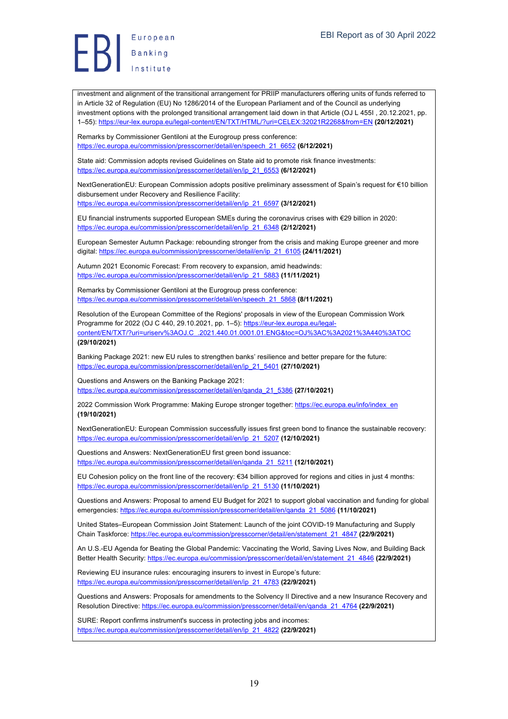investment and alignment of the transitional arrangement for PRIIP manufacturers offering units of funds referred to in Article 32 of Regulation (EU) No 1286/2014 of the European Parliament and of the Council as underlying investment options with the prolonged transitional arrangement laid down in that Article (OJ L 455I , 20.12.2021, pp. 1–55): https://eur-lex.europa.eu/legal-content/EN/TXT/HTML/?uri=CELEX:32021R2268&from=EN **(20/12/2021)**

Remarks by Commissioner Gentiloni at the Eurogroup press conference: https://ec.europa.eu/commission/presscorner/detail/en/speech\_21\_6652 **(6/12/2021)**

State aid: Commission adopts revised Guidelines on State aid to promote risk finance investments: https://ec.europa.eu/commission/presscorner/detail/en/ip\_21\_6553 **(6/12/2021)**

NextGenerationEU: European Commission adopts positive preliminary assessment of Spain's request for €10 billion disbursement under Recovery and Resilience Facility:

https://ec.europa.eu/commission/presscorner/detail/en/ip\_21\_6597 **(3/12/2021)**

EU financial instruments supported European SMEs during the coronavirus crises with €29 billion in 2020: https://ec.europa.eu/commission/presscorner/detail/en/ip\_21\_6348 **(2/12/2021)**

European Semester Autumn Package: rebounding stronger from the crisis and making Europe greener and more digital: https://ec.europa.eu/commission/presscorner/detail/en/ip\_21\_6105 **(24/11/2021)**

Autumn 2021 Economic Forecast: From recovery to expansion, amid headwinds: https://ec.europa.eu/commission/presscorner/detail/en/ip\_21\_5883 **(11/11/2021)**

Remarks by Commissioner Gentiloni at the Eurogroup press conference: https://ec.europa.eu/commission/presscorner/detail/en/speech\_21\_5868 **(8/11/2021)**

Resolution of the European Committee of the Regions' proposals in view of the European Commission Work Programme for 2022 (OJ C 440, 29.10.2021, pp. 1–5): https://eur-lex.europa.eu/legalcontent/EN/TXT/?uri=uriserv%3AOJ.C\_.2021.440.01.0001.01.ENG&toc=OJ%3AC%3A2021%3A440%3ATOC **(29/10/2021)**

Banking Package 2021: new EU rules to strengthen banks' resilience and better prepare for the future: https://ec.europa.eu/commission/presscorner/detail/en/ip\_21\_5401 **(27/10/2021)**

Questions and Answers on the Banking Package 2021: https://ec.europa.eu/commission/presscorner/detail/en/qanda\_21\_5386 **(27/10/2021)**

2022 Commission Work Programme: Making Europe stronger together: https://ec.europa.eu/info/index\_en **(19/10/2021)**

NextGenerationEU: European Commission successfully issues first green bond to finance the sustainable recovery: https://ec.europa.eu/commission/presscorner/detail/en/ip\_21\_5207 **(12/10/2021)**

Questions and Answers: NextGenerationEU first green bond issuance: https://ec.europa.eu/commission/presscorner/detail/en/qanda\_21\_5211 **(12/10/2021)**

EU Cohesion policy on the front line of the recovery: €34 billion approved for regions and cities in just 4 months: https://ec.europa.eu/commission/presscorner/detail/en/ip\_21\_5130 **(11/10/2021)**

Questions and Answers: Proposal to amend EU Budget for 2021 to support global vaccination and funding for global emergencies: https://ec.europa.eu/commission/presscorner/detail/en/qanda\_21\_5086 **(11/10/2021)**

United States–European Commission Joint Statement: Launch of the joint COVID-19 Manufacturing and Supply Chain Taskforce: https://ec.europa.eu/commission/presscorner/detail/en/statement\_21\_4847 **(22/9/2021)**

An U.S.-EU Agenda for Beating the Global Pandemic: Vaccinating the World, Saving Lives Now, and Building Back Better Health Security: https://ec.europa.eu/commission/presscorner/detail/en/statement\_21\_4846 **(22/9/2021)**

Reviewing EU insurance rules: encouraging insurers to invest in Europe's future: https://ec.europa.eu/commission/presscorner/detail/en/ip\_21\_4783 **(22/9/2021)**

Questions and Answers: Proposals for amendments to the Solvency II Directive and a new Insurance Recovery and Resolution Directive: https://ec.europa.eu/commission/presscorner/detail/en/qanda\_21\_4764 **(22/9/2021)**

SURE: Report confirms instrument's success in protecting jobs and incomes: https://ec.europa.eu/commission/presscorner/detail/en/ip\_21\_4822 **(22/9/2021)**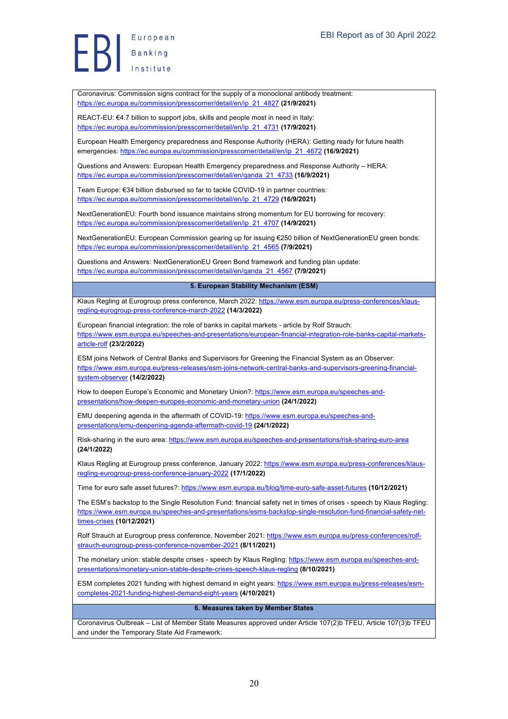European Europea<br>Banking

Coronavirus: Commission signs contract for the supply of a monoclonal antibody treatment: https://ec.europa.eu/commission/presscorner/detail/en/ip\_21\_4827 **(21/9/2021)**

REACT-EU: €4.7 billion to support jobs, skills and people most in need in Italy: https://ec.europa.eu/commission/presscorner/detail/en/ip\_21\_4731 **(17/9/2021)**

European Health Emergency preparedness and Response Authority (HERA): Getting ready for future health emergencies: https://ec.europa.eu/commission/presscorner/detail/en/ip\_21\_4672 **(16/9/2021)**

Questions and Answers: European Health Emergency preparedness and Response Authority – HERA: https://ec.europa.eu/commission/presscorner/detail/en/qanda\_21\_4733 **(16/9/2021)**

Team Europe: €34 billion disbursed so far to tackle COVID-19 in partner countries: https://ec.europa.eu/commission/presscorner/detail/en/ip\_21\_4729 **(16/9/2021)**

NextGenerationEU: Fourth bond issuance maintains strong momentum for EU borrowing for recovery: https://ec.europa.eu/commission/presscorner/detail/en/ip\_21\_4707 **(14/9/2021)**

NextGenerationEU: European Commission gearing up for issuing €250 billion of NextGenerationEU green bonds: https://ec.europa.eu/commission/presscorner/detail/en/ip\_21\_4565 **(7/9/2021)**

Questions and Answers: NextGenerationEU Green Bond framework and funding plan update: https://ec.europa.eu/commission/presscorner/detail/en/qanda\_21\_4567 **(7/9/2021)**

**5. European Stability Mechanism (ESM)**

Klaus Regling at Eurogroup press conference, March 2022: https://www.esm.europa.eu/press-conferences/klausregling-eurogroup-press-conference-march-2022 **(14/3/2022)**

European financial integration: the role of banks in capital markets - article by Rolf Strauch: https://www.esm.europa.eu/speeches-and-presentations/european-financial-integration-role-banks-capital-marketsarticle-rolf **(23/2/2022)**

ESM joins Network of Central Banks and Supervisors for Greening the Financial System as an Observer: https://www.esm.europa.eu/press-releases/esm-joins-network-central-banks-and-supervisors-greening-financialsystem-observer **(14/2/2022)**

How to deepen Europe's Economic and Monetary Union?: https://www.esm.europa.eu/speeches-andpresentations/how-deepen-europes-economic-and-monetary-union **(24/1/2022)**

EMU deepening agenda in the aftermath of COVID-19: https://www.esm.europa.eu/speeches-andpresentations/emu-deepening-agenda-aftermath-covid-19 **(24/1/2022)**

Risk-sharing in the euro area: https://www.esm.europa.eu/speeches-and-presentations/risk-sharing-euro-area **(24/1/2022)**

Klaus Regling at Eurogroup press conference, January 2022: https://www.esm.europa.eu/press-conferences/klausregling-eurogroup-press-conference-january-2022 **(17/1/2022)**

Time for euro safe asset futures?: https://www.esm.europa.eu/blog/time-euro-safe-asset-futures **(10/12/2021)**

The ESM's backstop to the Single Resolution Fund: financial safety net in times of crises - speech by Klaus Regling: https://www.esm.europa.eu/speeches-and-presentations/esms-backstop-single-resolution-fund-financial-safety-nettimes-crises **(10/12/2021)**

Rolf Strauch at Eurogroup press conference, November 2021: https://www.esm.europa.eu/press-conferences/rolfstrauch-eurogroup-press-conference-november-2021 **(8/11/2021)**

The monetary union: stable despite crises - speech by Klaus Regling: https://www.esm.europa.eu/speeches-andpresentations/monetary-union-stable-despite-crises-speech-klaus-regling **(8/10/2021)**

ESM completes 2021 funding with highest demand in eight years: https://www.esm.europa.eu/press-releases/esmcompletes-2021-funding-highest-demand-eight-years **(4/10/2021)**

#### **6. Measures taken by Member States**

Coronavirus Outbreak – List of Member State Measures approved under Article 107(2)b TFEU, Article 107(3)b TFEU and under the Temporary State Aid Framework: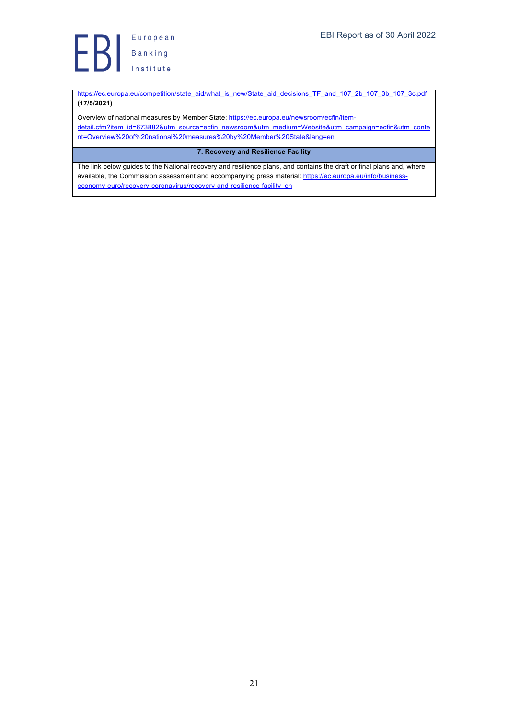**Exploring**<br> **B** Banking<br>
Institute

https://ec.europa.eu/competition/state\_aid/what\_is\_new/State\_aid\_decisions\_TF\_and\_107\_2b\_107\_3b\_107\_3c.pdf **(17/5/2021)**

Overview of national measures by Member State: https://ec.europa.eu/newsroom/ecfin/itemdetail.cfm?item\_id=673882&utm\_source=ecfin\_newsroom&utm\_medium=Website&utm\_campaign=ecfin&utm\_conte nt=Overview%20of%20national%20measures%20by%20Member%20State&lang=en

# **7. Recovery and Resilience Facility**

The link below guides to the National recovery and resilience plans, and contains the draft or final plans and, where available, the Commission assessment and accompanying press material: https://ec.europa.eu/info/businesseconomy-euro/recovery-coronavirus/recovery-and-resilience-facility\_en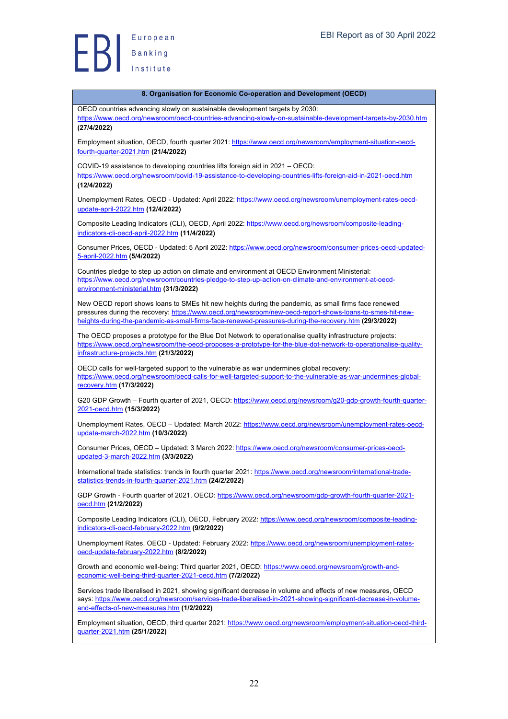

| 8. Organisation for Economic Co-operation and Development (OECD)                                                                                                                                                                                                                                                           |
|----------------------------------------------------------------------------------------------------------------------------------------------------------------------------------------------------------------------------------------------------------------------------------------------------------------------------|
| OECD countries advancing slowly on sustainable development targets by 2030:                                                                                                                                                                                                                                                |
| https://www.oecd.org/newsroom/oecd-countries-advancing-slowly-on-sustainable-development-targets-by-2030.htm<br>(27/4/2022)                                                                                                                                                                                                |
| Employment situation, OECD, fourth quarter 2021: https://www.oecd.org/newsroom/employment-situation-oecd-<br>fourth-quarter-2021.htm (21/4/2022)                                                                                                                                                                           |
| COVID-19 assistance to developing countries lifts foreign aid in 2021 - OECD:<br>https://www.oecd.org/newsroom/covid-19-assistance-to-developing-countries-lifts-foreign-aid-in-2021-oecd.htm                                                                                                                              |
| (12/4/2022)                                                                                                                                                                                                                                                                                                                |
| Unemployment Rates, OECD - Updated: April 2022: https://www.oecd.org/newsroom/unemployment-rates-oecd-<br>update-april-2022.htm (12/4/2022)                                                                                                                                                                                |
| Composite Leading Indicators (CLI), OECD, April 2022: https://www.oecd.org/newsroom/composite-leading-<br>indicators-cli-oecd-april-2022.htm (11/4/2022)                                                                                                                                                                   |
| Consumer Prices, OECD - Updated: 5 April 2022: https://www.oecd.org/newsroom/consumer-prices-oecd-updated-<br>5-april-2022.htm (5/4/2022)                                                                                                                                                                                  |
| Countries pledge to step up action on climate and environment at OECD Environment Ministerial:<br>https://www.oecd.org/newsroom/countries-pledge-to-step-up-action-on-climate-and-environment-at-oecd-<br>environment-ministerial.htm (31/3/2022)                                                                          |
| New OECD report shows loans to SMEs hit new heights during the pandemic, as small firms face renewed<br>pressures during the recovery: https://www.oecd.org/newsroom/new-oecd-report-shows-loans-to-smes-hit-new-<br>heights-during-the-pandemic-as-small-firms-face-renewed-pressures-during-the-recovery.htm (29/3/2022) |
| The OECD proposes a prototype for the Blue Dot Network to operationalise quality infrastructure projects:<br>https://www.oecd.org/newsroom/the-oecd-proposes-a-prototype-for-the-blue-dot-network-to-operationalise-quality-<br>infrastructure-projects.htm (21/3/2022)                                                    |
| OECD calls for well-targeted support to the vulnerable as war undermines global recovery:<br>https://www.oecd.org/newsroom/oecd-calls-for-well-targeted-support-to-the-vulnerable-as-war-undermines-global-<br>recovery.htm (17/3/2022)                                                                                    |
| G20 GDP Growth - Fourth quarter of 2021, OECD: https://www.oecd.org/newsroom/g20-gdp-growth-fourth-quarter-<br>2021-oecd.htm (15/3/2022)                                                                                                                                                                                   |
| Unemployment Rates, OECD - Updated: March 2022: https://www.oecd.org/newsroom/unemployment-rates-oecd-<br>update-march-2022.htm (10/3/2022)                                                                                                                                                                                |
| Consumer Prices, OECD - Updated: 3 March 2022: https://www.oecd.org/newsroom/consumer-prices-oecd-<br>updated-3-march-2022.htm (3/3/2022)                                                                                                                                                                                  |
| International trade statistics: trends in fourth quarter 2021: https://www.oecd.org/newsroom/international-trade-<br>statistics-trends-in-fourth-quarter-2021.htm (24/2/2022)                                                                                                                                              |
| GDP Growth - Fourth quarter of 2021, OECD: https://www.oecd.org/newsroom/gdp-growth-fourth-quarter-2021-<br>oecd.htm (21/2/2022)                                                                                                                                                                                           |
| Composite Leading Indicators (CLI), OECD, February 2022: https://www.oecd.org/newsroom/composite-leading-<br>indicators-cli-oecd-february-2022.htm (9/2/2022)                                                                                                                                                              |
| Unemployment Rates, OECD - Updated: February 2022: https://www.oecd.org/newsroom/unemployment-rates-<br>oecd-update-february-2022.htm (8/2/2022)                                                                                                                                                                           |
| Growth and economic well-being: Third quarter 2021, OECD: https://www.oecd.org/newsroom/growth-and-<br>economic-well-being-third-quarter-2021-oecd.htm (7/2/2022)                                                                                                                                                          |
| Services trade liberalised in 2021, showing significant decrease in volume and effects of new measures, OECD<br>says: https://www.oecd.org/newsroom/services-trade-liberalised-in-2021-showing-significant-decrease-in-volume-                                                                                             |
| and-effects-of-new-measures.htm (1/2/2022)                                                                                                                                                                                                                                                                                 |
| Employment situation, OECD, third quarter 2021: https://www.oecd.org/newsroom/employment-situation-oecd-third-<br>quarter-2021.htm (25/1/2022)                                                                                                                                                                             |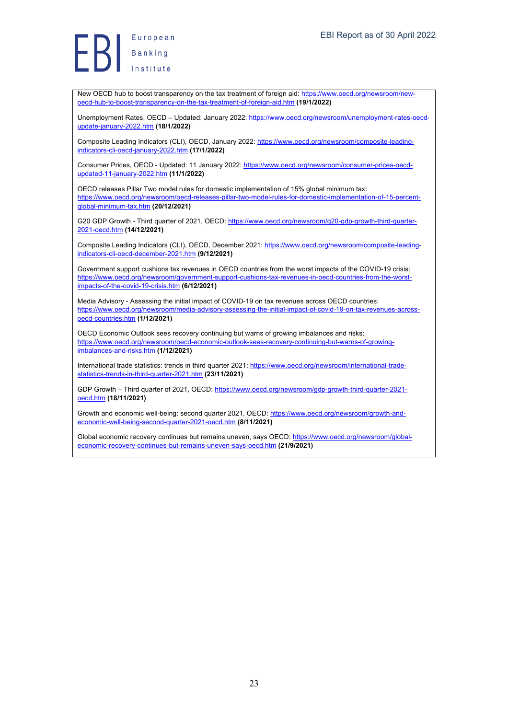New OECD hub to boost transparency on the tax treatment of foreign aid: https://www.oecd.org/newsroom/newoecd-hub-to-boost-transparency-on-the-tax-treatment-of-foreign-aid.htm **(19/1/2022)**

Unemployment Rates, OECD – Updated: January 2022: https://www.oecd.org/newsroom/unemployment-rates-oecdupdate-january-2022.htm **(18/1/2022)**

Composite Leading Indicators (CLI), OECD, January 2022: https://www.oecd.org/newsroom/composite-leadingindicators-cli-oecd-january-2022.htm **(17/1/2022)**

Consumer Prices, OECD - Updated: 11 January 2022: https://www.oecd.org/newsroom/consumer-prices-oecdupdated-11-january-2022.htm **(11/1/2022)**

OECD releases Pillar Two model rules for domestic implementation of 15% global minimum tax: https://www.oecd.org/newsroom/oecd-releases-pillar-two-model-rules-for-domestic-implementation-of-15-percentglobal-minimum-tax.htm **(20/12/2021)**

G20 GDP Growth - Third quarter of 2021, OECD: https://www.oecd.org/newsroom/g20-gdp-growth-third-guarter-2021-oecd.htm **(14/12/2021)**

Composite Leading Indicators (CLI), OECD, December 2021: https://www.oecd.org/newsroom/composite-leadingindicators-cli-oecd-december-2021.htm **(9/12/2021)**

Government support cushions tax revenues in OECD countries from the worst impacts of the COVID-19 crisis: https://www.oecd.org/newsroom/government-support-cushions-tax-revenues-in-oecd-countries-from-the-worstimpacts-of-the-covid-19-crisis.htm **(6/12/2021)**

Media Advisory - Assessing the initial impact of COVID-19 on tax revenues across OECD countries: https://www.oecd.org/newsroom/media-advisory-assessing-the-initial-impact-of-covid-19-on-tax-revenues-acrossoecd-countries.htm **(1/12/2021)**

OECD Economic Outlook sees recovery continuing but warns of growing imbalances and risks: https://www.oecd.org/newsroom/oecd-economic-outlook-sees-recovery-continuing-but-warns-of-growingimbalances-and-risks.htm **(1/12/2021)**

International trade statistics: trends in third quarter 2021: https://www.oecd.org/newsroom/international-tradestatistics-trends-in-third-quarter-2021.htm **(23/11/2021)**

GDP Growth – Third quarter of 2021, OECD: https://www.oecd.org/newsroom/gdp-growth-third-quarter-2021 oecd.htm **(18/11/2021)**

Growth and economic well-being: second quarter 2021, OECD: https://www.oecd.org/newsroom/growth-andeconomic-well-being-second-quarter-2021-oecd.htm **(8/11/2021)**

Global economic recovery continues but remains uneven, says OECD: https://www.oecd.org/newsroom/globaleconomic-recovery-continues-but-remains-uneven-says-oecd.htm **(21/9/2021)**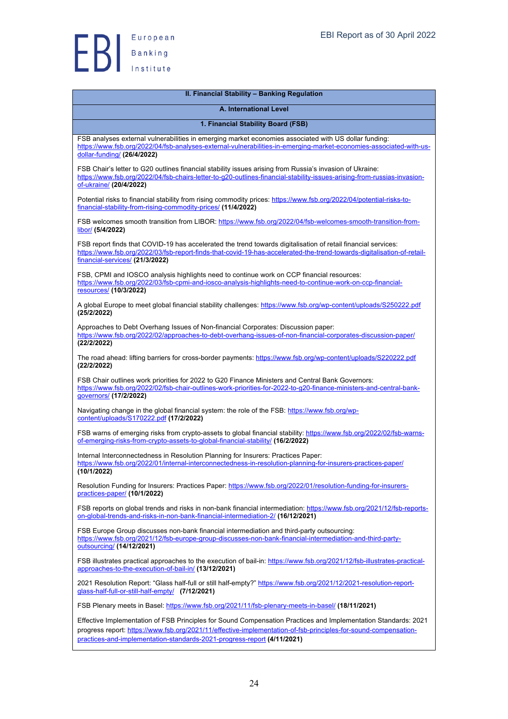

| II. Financial Stability - Banking Regulation                                                                                                                                                                                                                                                                 |
|--------------------------------------------------------------------------------------------------------------------------------------------------------------------------------------------------------------------------------------------------------------------------------------------------------------|
| A. International Level                                                                                                                                                                                                                                                                                       |
| 1. Financial Stability Board (FSB)                                                                                                                                                                                                                                                                           |
| FSB analyses external vulnerabilities in emerging market economies associated with US dollar funding:<br>https://www.fsb.org/2022/04/fsb-analyses-external-vulnerabilities-in-emerging-market-economies-associated-with-us-<br>dollar-funding/ (26/4/2022)                                                   |
| FSB Chair's letter to G20 outlines financial stability issues arising from Russia's invasion of Ukraine:<br>https://www.fsb.org/2022/04/fsb-chairs-letter-to-g20-outlines-financial-stability-issues-arising-from-russias-invasion-<br>of-ukraine/ (20/4/2022)                                               |
| Potential risks to financial stability from rising commodity prices: https://www.fsb.org/2022/04/potential-risks-to-<br>financial-stability-from-rising-commodity-prices/ (11/4/2022)                                                                                                                        |
| FSB welcomes smooth transition from LIBOR: https://www.fsb.org/2022/04/fsb-welcomes-smooth-transition-from-<br>libor/ (5/4/2022)                                                                                                                                                                             |
| FSB report finds that COVID-19 has accelerated the trend towards digitalisation of retail financial services:<br>https://www.fsb.org/2022/03/fsb-report-finds-that-covid-19-has-accelerated-the-trend-towards-digitalisation-of-retail-<br>financial-services/ (21/3/2022)                                   |
| FSB, CPMI and IOSCO analysis highlights need to continue work on CCP financial resources:<br>https://www.fsb.org/2022/03/fsb-cpmi-and-iosco-analysis-highlights-need-to-continue-work-on-ccp-financial-<br>resources/ (10/3/2022)                                                                            |
| A global Europe to meet global financial stability challenges: https://www.fsb.org/wp-content/uploads/S250222.pdf<br>(25/2/2022)                                                                                                                                                                             |
| Approaches to Debt Overhang Issues of Non-financial Corporates: Discussion paper:<br>https://www.fsb.org/2022/02/approaches-to-debt-overhang-issues-of-non-financial-corporates-discussion-paper/<br>(22/2/2022)                                                                                             |
| The road ahead: lifting barriers for cross-border payments: https://www.fsb.org/wp-content/uploads/S220222.pdf<br>(22/2/2022)                                                                                                                                                                                |
| FSB Chair outlines work priorities for 2022 to G20 Finance Ministers and Central Bank Governors:<br>https://www.fsb.org/2022/02/fsb-chair-outlines-work-priorities-for-2022-to-q20-finance-ministers-and-central-bank-<br>governors/ (17/2/2022)                                                             |
| Navigating change in the global financial system: the role of the FSB: https://www.fsb.org/wp-<br>content/uploads/S170222.pdf (17/2/2022)                                                                                                                                                                    |
| FSB warns of emerging risks from crypto-assets to global financial stability: https://www.fsb.org/2022/02/fsb-warns-<br>of-emerging-risks-from-crypto-assets-to-global-financial-stability/ (16/2/2022)                                                                                                      |
| Internal Interconnectedness in Resolution Planning for Insurers: Practices Paper:<br>https://www.fsb.org/2022/01/internal-interconnectedness-in-resolution-planning-for-insurers-practices-paper/<br>(10/1/2022)                                                                                             |
| Resolution Funding for Insurers: Practices Paper: https://www.fsb.org/2022/01/resolution-funding-for-insurers-<br>practices-paper/ (10/1/2022)                                                                                                                                                               |
| FSB reports on global trends and risks in non-bank financial intermediation: https://www.fsb.org/2021/12/fsb-reports-<br>on-global-trends-and-risks-in-non-bank-financial-intermediation-2/(16/12/2021)                                                                                                      |
| FSB Europe Group discusses non-bank financial intermediation and third-party outsourcing:<br>https://www.fsb.org/2021/12/fsb-europe-group-discusses-non-bank-financial-intermediation-and-third-party-<br>outsourcing/ (14/12/2021)                                                                          |
| FSB illustrates practical approaches to the execution of bail-in: https://www.fsb.org/2021/12/fsb-illustrates-practical-<br>approaches-to-the-execution-of-bail-in/ (13/12/2021)                                                                                                                             |
| 2021 Resolution Report: "Glass half-full or still half-empty?" https://www.fsb.org/2021/12/2021-resolution-report-<br>glass-half-full-or-still-half-empty/ (7/12/2021)                                                                                                                                       |
| FSB Plenary meets in Basel: https://www.fsb.org/2021/11/fsb-plenary-meets-in-basel/ (18/11/2021)                                                                                                                                                                                                             |
| Effective Implementation of FSB Principles for Sound Compensation Practices and Implementation Standards: 2021<br>progress report: https://www.fsb.org/2021/11/effective-implementation-of-fsb-principles-for-sound-compensation-<br>practices-and-implementation-standards-2021-progress-report (4/11/2021) |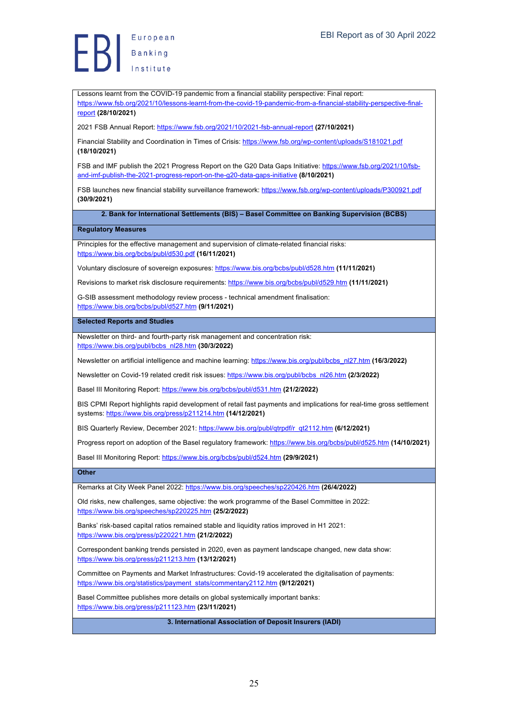Lessons learnt from the COVID-19 pandemic from a financial stability perspective: Final report: https://www.fsb.org/2021/10/lessons-learnt-from-the-covid-19-pandemic-from-a-financial-stability-perspective-finalreport **(28/10/2021)**

2021 FSB Annual Report: https://www.fsb.org/2021/10/2021-fsb-annual-report **(27/10/2021)**

Financial Stability and Coordination in Times of Crisis: https://www.fsb.org/wp-content/uploads/S181021.pdf **(18/10/2021)**

FSB and IMF publish the 2021 Progress Report on the G20 Data Gaps Initiative: https://www.fsb.org/2021/10/fsband-imf-publish-the-2021-progress-report-on-the-g20-data-gaps-initiative **(8/10/2021)**

FSB launches new financial stability surveillance framework: https://www.fsb.org/wp-content/uploads/P300921.pdf **(30/9/2021)**

**2. Bank for International Settlements (BIS) – Basel Committee on Banking Supervision (BCBS)**

### **Regulatory Measures**

Principles for the effective management and supervision of climate-related financial risks: https://www.bis.org/bcbs/publ/d530.pdf **(16/11/2021)**

Voluntary disclosure of sovereign exposures: https://www.bis.org/bcbs/publ/d528.htm **(11/11/2021)**

Revisions to market risk disclosure requirements: https://www.bis.org/bcbs/publ/d529.htm **(11/11/2021)**

G-SIB assessment methodology review process - technical amendment finalisation: https://www.bis.org/bcbs/publ/d527.htm **(9/11/2021)**

# **Selected Reports and Studies**

Newsletter on third- and fourth-party risk management and concentration risk: https://www.bis.org/publ/bcbs\_nl28.htm **(30/3/2022)**

Newsletter on artificial intelligence and machine learning: https://www.bis.org/publ/bcbs\_nl27.htm **(16/3/2022)**

Newsletter on Covid-19 related credit risk issues: https://www.bis.org/publ/bcbs\_nl26.htm **(2/3/2022)**

Basel III Monitoring Report: https://www.bis.org/bcbs/publ/d531.htm **(21/2/2022)**

BIS CPMI Report highlights rapid development of retail fast payments and implications for real-time gross settlement systems: https://www.bis.org/press/p211214.htm **(14/12/2021)**

BIS Quarterly Review, December 2021: https://www.bis.org/publ/qtrpdf/r\_qt2112.htm **(6/12/2021)**

Progress report on adoption of the Basel regulatory framework: https://www.bis.org/bcbs/publ/d525.htm **(14/10/2021)**

Basel III Monitoring Report: https://www.bis.org/bcbs/publ/d524.htm **(29/9/2021)**

# **Other**

Remarks at City Week Panel 2022: https://www.bis.org/speeches/sp220426.htm **(26/4/2022)**

Old risks, new challenges, same objective: the work programme of the Basel Committee in 2022: https://www.bis.org/speeches/sp220225.htm **(25/2/2022)**

Banks' risk-based capital ratios remained stable and liquidity ratios improved in H1 2021: https://www.bis.org/press/p220221.htm **(21/2/2022)**

Correspondent banking trends persisted in 2020, even as payment landscape changed, new data show: https://www.bis.org/press/p211213.htm **(13/12/2021)**

Committee on Payments and Market Infrastructures: Covid-19 accelerated the digitalisation of payments: https://www.bis.org/statistics/payment\_stats/commentary2112.htm **(9/12/2021)**

Basel Committee publishes more details on global systemically important banks: https://www.bis.org/press/p211123.htm **(23/11/2021)**

**3. International Association of Deposit Insurers (IADI)**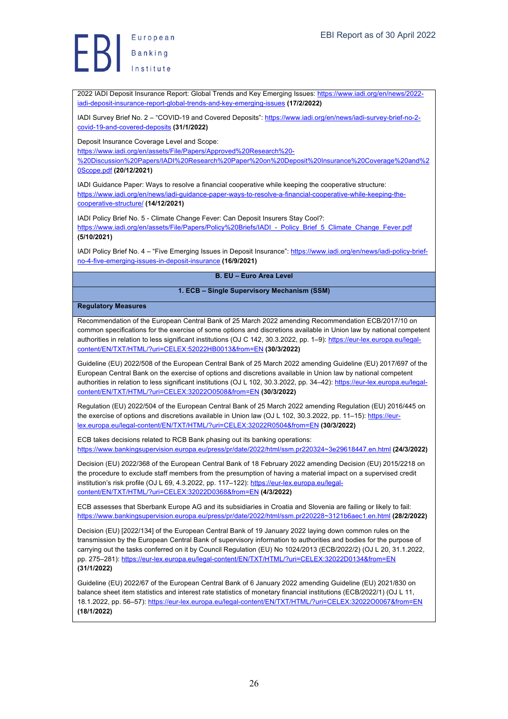2022 IADI Deposit Insurance Report: Global Trends and Key Emerging Issues: https://www.iadi.org/en/news/2022 iadi-deposit-insurance-report-global-trends-and-key-emerging-issues **(17/2/2022)**

IADI Survey Brief No. 2 – "COVID-19 and Covered Deposits": https://www.iadi.org/en/news/iadi-survey-brief-no-2 covid-19-and-covered-deposits **(31/1/2022)**

Deposit Insurance Coverage Level and Scope:

https://www.iadi.org/en/assets/File/Papers/Approved%20Research%20- %20Discussion%20Papers/IADI%20Research%20Paper%20on%20Deposit%20Insurance%20Coverage%20and%2 0Scope.pdf **(20/12/2021)**

IADI Guidance Paper: Ways to resolve a financial cooperative while keeping the cooperative structure: https://www.iadi.org/en/news/iadi-guidance-paper-ways-to-resolve-a-financial-cooperative-while-keeping-thecooperative-structure/ **(14/12/2021)**

IADI Policy Brief No. 5 - Climate Change Fever: Can Deposit Insurers Stay Cool?: https://www.iadi.org/en/assets/File/Papers/Policy%20Briefs/IADI - Policy\_Brief\_5\_Climate\_Change\_Fever.pdf **(5/10/2021)**

IADI Policy Brief No. 4 – "Five Emerging Issues in Deposit Insurance": https://www.iadi.org/en/news/iadi-policy-briefno-4-five-emerging-issues-in-deposit-insurance **(16/9/2021)**

# **B. EU – Euro Area Level**

### **1. ECB – Single Supervisory Mechanism (SSM)**

# **Regulatory Measures**

Recommendation of the European Central Bank of 25 March 2022 amending Recommendation ECB/2017/10 on common specifications for the exercise of some options and discretions available in Union law by national competent authorities in relation to less significant institutions (OJ C 142, 30.3.2022, pp. 1–9): https://eur-lex.europa.eu/legalcontent/EN/TXT/HTML/?uri=CELEX:52022HB0013&from=EN **(30/3/2022)**

Guideline (EU) 2022/508 of the European Central Bank of 25 March 2022 amending Guideline (EU) 2017/697 of the European Central Bank on the exercise of options and discretions available in Union law by national competent authorities in relation to less significant institutions (OJ L 102, 30.3.2022, pp. 34-42): https://eur-lex.europa.eu/legalcontent/EN/TXT/HTML/?uri=CELEX:32022O0508&from=EN **(30/3/2022)**

Regulation (EU) 2022/504 of the European Central Bank of 25 March 2022 amending Regulation (EU) 2016/445 on the exercise of options and discretions available in Union law (OJ L 102, 30.3.2022, pp. 11–15): https://eurlex.europa.eu/legal-content/EN/TXT/HTML/?uri=CELEX:32022R0504&from=EN **(30/3/2022)**

ECB takes decisions related to RCB Bank phasing out its banking operations: https://www.bankingsupervision.europa.eu/press/pr/date/2022/html/ssm.pr220324~3e29618447.en.html **(24/3/2022)**

Decision (EU) 2022/368 of the European Central Bank of 18 February 2022 amending Decision (EU) 2015/2218 on the procedure to exclude staff members from the presumption of having a material impact on a supervised credit institution's risk profile (OJ L 69, 4.3.2022, pp. 117–122): https://eur-lex.europa.eu/legalcontent/EN/TXT/HTML/?uri=CELEX:32022D0368&from=EN **(4/3/2022)**

ECB assesses that Sberbank Europe AG and its subsidiaries in Croatia and Slovenia are failing or likely to fail: https://www.bankingsupervision.europa.eu/press/pr/date/2022/html/ssm.pr220228~3121b6aec1.en.html **(28/2/2022)**

Decision (EU) [2022/134] of the European Central Bank of 19 January 2022 laying down common rules on the transmission by the European Central Bank of supervisory information to authorities and bodies for the purpose of carrying out the tasks conferred on it by Council Regulation (EU) No 1024/2013 (ECB/2022/2) (OJ L 20, 31.1.2022, pp. 275–281): https://eur-lex.europa.eu/legal-content/EN/TXT/HTML/?uri=CELEX:32022D0134&from=EN **(31/1/2022)**

Guideline (EU) 2022/67 of the European Central Bank of 6 January 2022 amending Guideline (EU) 2021/830 on balance sheet item statistics and interest rate statistics of monetary financial institutions (ECB/2022/1) (OJ L 11, 18.1.2022, pp. 56–57): https://eur-lex.europa.eu/legal-content/EN/TXT/HTML/?uri=CELEX:32022O0067&from=EN **(18/1/2022)**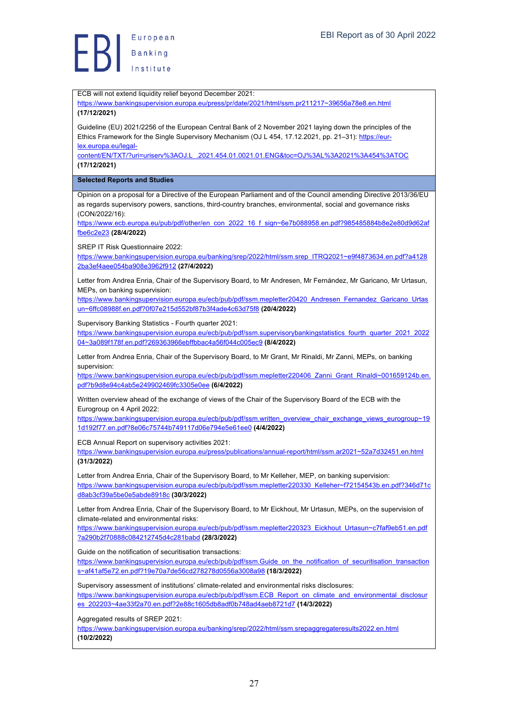ECB will not extend liquidity relief beyond December 2021: https://www.bankingsupervision.europa.eu/press/pr/date/2021/html/ssm.pr211217~39656a78e8.en.html **(17/12/2021)** Guideline (EU) 2021/2256 of the European Central Bank of 2 November 2021 laying down the principles of the Ethics Framework for the Single Supervisory Mechanism (OJ L 454, 17.12.2021, pp. 21–31): https://eurlex.europa.eu/legalcontent/EN/TXT/?uri=uriserv%3AOJ.L\_.2021.454.01.0021.01.ENG&toc=OJ%3AL%3A2021%3A454%3ATOC **(17/12/2021) Selected Reports and Studies** Opinion on a proposal for a Directive of the European Parliament and of the Council amending Directive 2013/36/EU as regards supervisory powers, sanctions, third-country branches, environmental, social and governance risks (CON/2022/16): https://www.ecb.europa.eu/pub/pdf/other/en\_con\_2022\_16\_f\_sign~6e7b088958.en.pdf?985485884b8e2e80d9d62af fbe6c2e23 **(28/4/2022)** SREP IT Risk Questionnaire 2022: https://www.bankingsupervision.europa.eu/banking/srep/2022/html/ssm.srep\_ITRQ2021~e9f4873634.en.pdf?a4128 2ba3ef4aee054ba908e3962f912 **(27/4/2022)** Letter from Andrea Enria, Chair of the Supervisory Board, to Mr Andresen, Mr Fernández, Mr Garicano, Mr Urtasun, MEPs, on banking supervision: https://www.bankingsupervision.europa.eu/ecb/pub/pdf/ssm.mepletter20420\_Andresen\_Fernandez\_Garicano\_Urtas un~6ffc08988f.en.pdf?0f07e215d552bf87b3f4ade4c63d75f8 **(20/4/2022)** Supervisory Banking Statistics - Fourth quarter 2021: https://www.bankingsupervision.europa.eu/ecb/pub/pdf/ssm.supervisorybankingstatistics\_fourth\_quarter\_2021\_2022 04~3a089f178f.en.pdf?269363966ebffbbac4a56f044c005ec9 **(8/4/2022)** Letter from Andrea Enria, Chair of the Supervisory Board, to Mr Grant, Mr Rinaldi, Mr Zanni, MEPs, on banking supervision: https://www.bankingsupervision.europa.eu/ecb/pub/pdf/ssm.mepletter220406\_Zanni\_Grant\_Rinaldi~001659124b.en. pdf?b9d8e94c4ab5e249902469fc3305e0ee **(6/4/2022)** Written overview ahead of the exchange of views of the Chair of the Supervisory Board of the ECB with the Eurogroup on 4 April 2022: https://www.bankingsupervision.europa.eu/ecb/pub/pdf/ssm.written\_overview\_chair\_exchange\_views\_eurogroup~19 1d192f77.en.pdf?8e06c75744b749117d06e794e5e61ee0 **(4/4/2022)** ECB Annual Report on supervisory activities 2021: https://www.bankingsupervision.europa.eu/press/publications/annual-report/html/ssm.ar2021~52a7d32451.en.html **(31/3/2022)** Letter from Andrea Enria, Chair of the Supervisory Board, to Mr Kelleher, MEP, on banking supervision: https://www.bankingsupervision.europa.eu/ecb/pub/pdf/ssm.mepletter220330\_Kelleher~f72154543b.en.pdf?346d71c d8ab3cf39a5be0e5abde8918c **(30/3/2022)** Letter from Andrea Enria, Chair of the Supervisory Board, to Mr Eickhout, Mr Urtasun, MEPs, on the supervision of climate-related and environmental risks: https://www.bankingsupervision.europa.eu/ecb/pub/pdf/ssm.mepletter220323\_Eickhout\_Urtasun~c7faf9eb51.en.pdf ?a290b2f70888c084212745d4c281babd **(28/3/2022)** Guide on the notification of securitisation transactions: https://www.bankingsupervision.europa.eu/ecb/pub/pdf/ssm.Guide\_on\_the\_notification\_of\_securitisation\_transaction s~af41af5e72.en.pdf?19e70a7de56cd278278d0556a3008a98 **(18/3/2022)** Supervisory assessment of institutions' climate-related and environmental risks disclosures: https://www.bankingsupervision.europa.eu/ecb/pub/pdf/ssm.ECB\_Report\_on\_climate\_and\_environmental\_disclosur es\_202203~4ae33f2a70.en.pdf?2e88c1605db8adf0b748ad4aeb8721d7 **(14/3/2022)** Aggregated results of SREP 2021:

https://www.bankingsupervision.europa.eu/banking/srep/2022/html/ssm.srepaggregateresults2022.en.html **(10/2/2022)**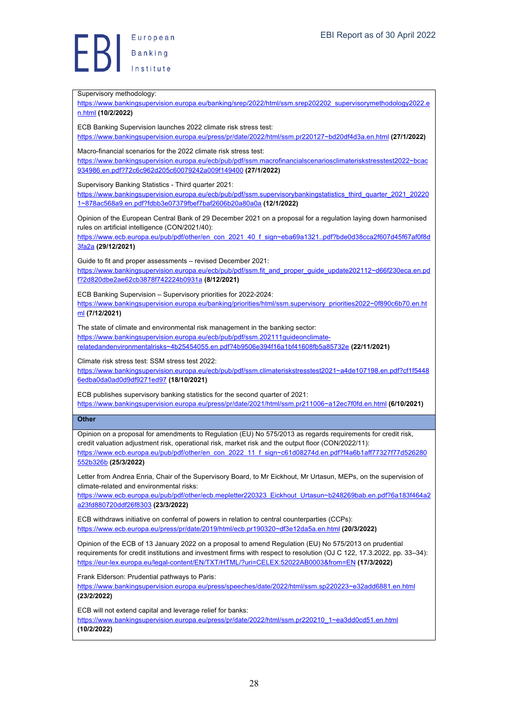#### Supervisory methodology:

https://www.bankingsupervision.europa.eu/banking/srep/2022/html/ssm.srep202202\_supervisorymethodology2022.e n.html **(10/2/2022)**

ECB Banking Supervision launches 2022 climate risk stress test: https://www.bankingsupervision.europa.eu/press/pr/date/2022/html/ssm.pr220127~bd20df4d3a.en.html **(27/1/2022)**

Macro-financial scenarios for the 2022 climate risk stress test:

https://www.bankingsupervision.europa.eu/ecb/pub/pdf/ssm.macrofinancialscenariosclimateriskstresstest2022~bcac 934986.en.pdf?72c6c962d205c60079242a009f149400 **(27/1/2022)**

Supervisory Banking Statistics - Third quarter 2021:

https://www.bankingsupervision.europa.eu/ecb/pub/pdf/ssm.supervisorybankingstatistics\_third\_quarter\_2021\_20220 1~878ac568a9.en.pdf?fdbb3e07379fbef7baf2606b20a80a0a **(12/1/2022)**

Opinion of the European Central Bank of 29 December 2021 on a proposal for a regulation laying down harmonised rules on artificial intelligence (CON/2021/40):

https://www.ecb.europa.eu/pub/pdf/other/en\_con\_2021\_40\_f\_sign~eba69a1321..pdf?bde0d38cca2f607d45f67af0f8d 3fa2a **(29/12/2021)**

Guide to fit and proper assessments – revised December 2021:

https://www.bankingsupervision.europa.eu/ecb/pub/pdf/ssm.fit\_and\_proper\_guide\_update202112~d66f230eca.en.pd f?2d820dbe2ae62cb3878f742224b0931a **(8/12/2021)**

ECB Banking Supervision – Supervisory priorities for 2022-2024:

https://www.bankingsupervision.europa.eu/banking/priorities/html/ssm.supervisory\_priorities2022~0f890c6b70.en.ht ml **(7/12/2021)**

The state of climate and environmental risk management in the banking sector: https://www.bankingsupervision.europa.eu/ecb/pub/pdf/ssm.202111guideonclimaterelatedandenvironmentalrisks~4b25454055.en.pdf?4b9506e394f16a1bf41608fb5a85732e **(22/11/2021)**

Climate risk stress test: SSM stress test 2022:

https://www.bankingsupervision.europa.eu/ecb/pub/pdf/ssm.climateriskstresstest2021~a4de107198.en.pdf?cf1f5448 6edba0da0ad0d9df9271ed97 **(18/10/2021)**

ECB publishes supervisory banking statistics for the second quarter of 2021: https://www.bankingsupervision.europa.eu/press/pr/date/2021/html/ssm.pr211006~a12ec7f0fd.en.html **(6/10/2021)**

#### **Other**

Opinion on a proposal for amendments to Regulation (EU) No 575/2013 as regards requirements for credit risk, credit valuation adjustment risk, operational risk, market risk and the output floor (CON/2022/11): https://www.ecb.europa.eu/pub/pdf/other/en\_con\_2022\_11\_f\_sign~c61d08274d.en.pdf?f4a6b1aff77327f77d526280 552b326b **(25/3/2022)**

Letter from Andrea Enria, Chair of the Supervisory Board, to Mr Eickhout, Mr Urtasun, MEPs, on the supervision of climate-related and environmental risks:

https://www.ecb.europa.eu/pub/pdf/other/ecb.mepletter220323\_Eickhout\_Urtasun~b248269bab.en.pdf?6a183f464a2 a23fd880720ddf26f8303 **(23/3/2022)**

ECB withdraws initiative on conferral of powers in relation to central counterparties (CCPs): https://www.ecb.europa.eu/press/pr/date/2019/html/ecb.pr190320~df3e12da5a.en.html **(20/3/2022)**

Opinion of the ECB of 13 January 2022 on a proposal to amend Regulation (EU) No 575/2013 on prudential requirements for credit institutions and investment firms with respect to resolution (OJ C 122, 17.3.2022, pp. 33–34): https://eur-lex.europa.eu/legal-content/EN/TXT/HTML/?uri=CELEX:52022AB0003&from=EN **(17/3/2022)**

Frank Elderson: Prudential pathways to Paris:

https://www.bankingsupervision.europa.eu/press/speeches/date/2022/html/ssm.sp220223~e32add6881.en.html **(23/2/2022)**

ECB will not extend capital and leverage relief for banks:

https://www.bankingsupervision.europa.eu/press/pr/date/2022/html/ssm.pr220210\_1~ea3dd0cd51.en.html **(10/2/2022)**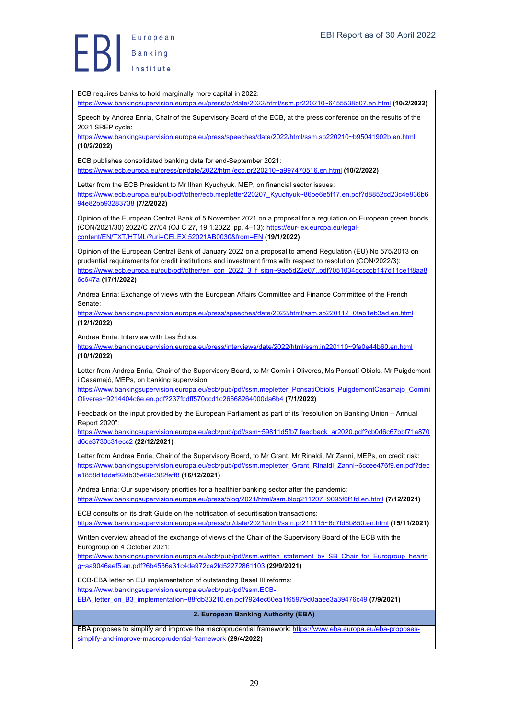ECB requires banks to hold marginally more capital in 2022: https://www.bankingsupervision.europa.eu/press/pr/date/2022/html/ssm.pr220210~6455538b07.en.html **(10/2/2022)** Speech by Andrea Enria, Chair of the Supervisory Board of the ECB, at the press conference on the results of the 2021 SREP cycle: https://www.bankingsupervision.europa.eu/press/speeches/date/2022/html/ssm.sp220210~b95041902b.en.html **(10/2/2022)** ECB publishes consolidated banking data for end-September 2021: https://www.ecb.europa.eu/press/pr/date/2022/html/ecb.pr220210~a997470516.en.html **(10/2/2022)** Letter from the ECB President to Mr Ilhan Kyuchyuk, MEP, on financial sector issues: https://www.ecb.europa.eu/pub/pdf/other/ecb.mepletter220207\_Kyuchyuk~86be6e5f17.en.pdf?d8852cd23c4e836b6 94e82bb93283738 **(7/2/2022)** Opinion of the European Central Bank of 5 November 2021 on a proposal for a regulation on European green bonds (CON/2021/30) 2022/C 27/04 (OJ C 27, 19.1.2022, pp. 4–13): https://eur-lex.europa.eu/legalcontent/EN/TXT/HTML/?uri=CELEX:52021AB0030&from=EN **(19/1/2022)** Opinion of the European Central Bank of January 2022 on a proposal to amend Regulation (EU) No 575/2013 on prudential requirements for credit institutions and investment firms with respect to resolution (CON/2022/3): https://www.ecb.europa.eu/pub/pdf/other/en\_con\_2022\_3\_f\_sign~9ae5d22e07..pdf?051034dccccb147d11ce1f8aa8 6c647a **(17/1/2022)** Andrea Enria: Exchange of views with the European Affairs Committee and Finance Committee of the French Senate: https://www.bankingsupervision.europa.eu/press/speeches/date/2022/html/ssm.sp220112~0fab1eb3ad.en.html **(12/1/2022)** Andrea Enria: Interview with Les Échos: https://www.bankingsupervision.europa.eu/press/interviews/date/2022/html/ssm.in220110~9fa0e44b60.en.html **(10/1/2022)** Letter from Andrea Enria, Chair of the Supervisory Board, to Mr Comín i Oliveres, Ms Ponsatí Obiols, Mr Puigdemont i Casamajó, MEPs, on banking supervision: https://www.bankingsupervision.europa.eu/ecb/pub/pdf/ssm.mepletter\_PonsatiObiols\_PuigdemontCasamajo\_Comini Oliveres~9214404c6e.en.pdf?237fbdff570ccd1c26668264000da6b4 **(7/1/2022)** Feedback on the input provided by the European Parliament as part of its "resolution on Banking Union – Annual Report 2020": https://www.bankingsupervision.europa.eu/ecb/pub/pdf/ssm~59811d5fb7.feedback\_ar2020.pdf?cb0d6c67bbf71a870 d6ce3730c31ecc2 **(22/12/2021)** Letter from Andrea Enria, Chair of the Supervisory Board, to Mr Grant, Mr Rinaldi, Mr Zanni, MEPs, on credit risk: https://www.bankingsupervision.europa.eu/ecb/pub/pdf/ssm.mepletter\_Grant\_Rinaldi\_Zanni~6ccee476f9.en.pdf?dec e1858d1ddaf92db35e68c382feff8 **(16/12/2021)** Andrea Enria: Our supervisory priorities for a healthier banking sector after the pandemic: https://www.bankingsupervision.europa.eu/press/blog/2021/html/ssm.blog211207~9095f6f1fd.en.html **(7/12/2021)** ECB consults on its draft Guide on the notification of securitisation transactions: https://www.bankingsupervision.europa.eu/press/pr/date/2021/html/ssm.pr211115~6c7fd6b850.en.html **(15/11/2021)** Written overview ahead of the exchange of views of the Chair of the Supervisory Board of the ECB with the Eurogroup on 4 October 2021: https://www.bankingsupervision.europa.eu/ecb/pub/pdf/ssm.written\_statement\_by\_SB\_Chair\_for\_Eurogroup\_hearin g~aa9046aef5.en.pdf?6b4536a31c4de972ca2fd52272861103 **(29/9/2021)** ECB-EBA letter on EU implementation of outstanding Basel III reforms: https://www.bankingsupervision.europa.eu/ecb/pub/pdf/ssm.ECB-EBA\_letter\_on\_B3\_implementation~88fdb33210.en.pdf?924ec60ea1f65979d0aaee3a39476c49 **(7/9/2021) 2. European Banking Authority (EBA)** EBA proposes to simplify and improve the macroprudential framework: https://www.eba.europa.eu/eba-proposessimplify-and-improve-macroprudential-framework **(29/4/2022)**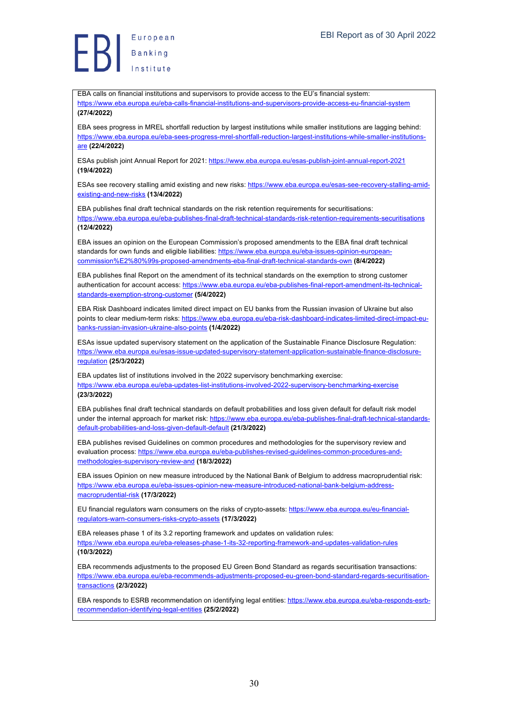European Europea<br>Banking<br>Lessons

EBA calls on financial institutions and supervisors to provide access to the EU's financial system: https://www.eba.europa.eu/eba-calls-financial-institutions-and-supervisors-provide-access-eu-financial-system **(27/4/2022)**

EBA sees progress in MREL shortfall reduction by largest institutions while smaller institutions are lagging behind: https://www.eba.europa.eu/eba-sees-progress-mrel-shortfall-reduction-largest-institutions-while-smaller-institutionsare **(22/4/2022)**

ESAs publish joint Annual Report for 2021: https://www.eba.europa.eu/esas-publish-joint-annual-report-2021 **(19/4/2022)**

ESAs see recovery stalling amid existing and new risks: https://www.eba.europa.eu/esas-see-recovery-stalling-amidexisting-and-new-risks **(13/4/2022)**

EBA publishes final draft technical standards on the risk retention requirements for securitisations: https://www.eba.europa.eu/eba-publishes-final-draft-technical-standards-risk-retention-requirements-securitisations **(12/4/2022)**

EBA issues an opinion on the European Commission's proposed amendments to the EBA final draft technical standards for own funds and eligible liabilities: https://www.eba.europa.eu/eba-issues-opinion-europeancommission%E2%80%99s-proposed-amendments-eba-final-draft-technical-standards-own **(8/4/2022)**

EBA publishes final Report on the amendment of its technical standards on the exemption to strong customer authentication for account access: https://www.eba.europa.eu/eba-publishes-final-report-amendment-its-technicalstandards-exemption-strong-customer **(5/4/2022)**

EBA Risk Dashboard indicates limited direct impact on EU banks from the Russian invasion of Ukraine but also points to clear medium-term risks: https://www.eba.europa.eu/eba-risk-dashboard-indicates-limited-direct-impact-eubanks-russian-invasion-ukraine-also-points **(1/4/2022)**

ESAs issue updated supervisory statement on the application of the Sustainable Finance Disclosure Regulation: https://www.eba.europa.eu/esas-issue-updated-supervisory-statement-application-sustainable-finance-disclosureregulation **(25/3/2022)**

EBA updates list of institutions involved in the 2022 supervisory benchmarking exercise: https://www.eba.europa.eu/eba-updates-list-institutions-involved-2022-supervisory-benchmarking-exercise **(23/3/2022)**

EBA publishes final draft technical standards on default probabilities and loss given default for default risk model under the internal approach for market risk: https://www.eba.europa.eu/eba-publishes-final-draft-technical-standardsdefault-probabilities-and-loss-given-default-default **(21/3/2022)**

EBA publishes revised Guidelines on common procedures and methodologies for the supervisory review and evaluation process: https://www.eba.europa.eu/eba-publishes-revised-guidelines-common-procedures-andmethodologies-supervisory-review-and **(18/3/2022)**

EBA issues Opinion on new measure introduced by the National Bank of Belgium to address macroprudential risk: https://www.eba.europa.eu/eba-issues-opinion-new-measure-introduced-national-bank-belgium-addressmacroprudential-risk **(17/3/2022)**

EU financial regulators warn consumers on the risks of crypto-assets: https://www.eba.europa.eu/eu-financialregulators-warn-consumers-risks-crypto-assets **(17/3/2022)**

EBA releases phase 1 of its 3.2 reporting framework and updates on validation rules: https://www.eba.europa.eu/eba-releases-phase-1-its-32-reporting-framework-and-updates-validation-rules **(10/3/2022)**

EBA recommends adjustments to the proposed EU Green Bond Standard as regards securitisation transactions: https://www.eba.europa.eu/eba-recommends-adjustments-proposed-eu-green-bond-standard-regards-securitisationtransactions **(2/3/2022)**

EBA responds to ESRB recommendation on identifying legal entities: https://www.eba.europa.eu/eba-responds-esrbrecommendation-identifying-legal-entities **(25/2/2022)**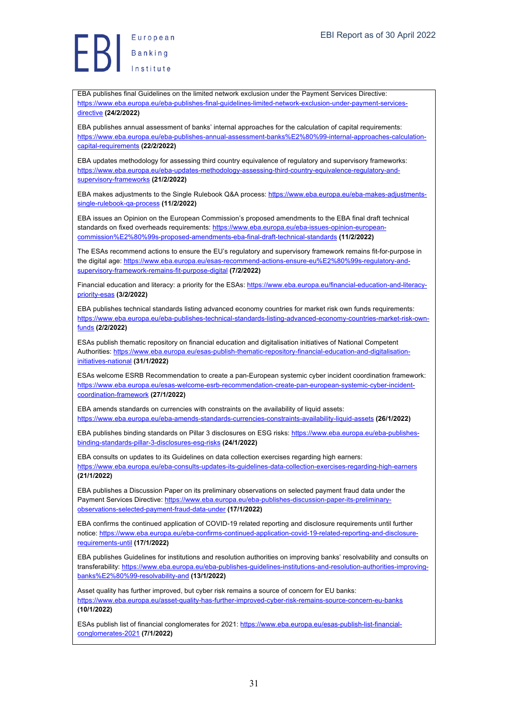European Europea<br>Banking<br>Institute

EBA publishes final Guidelines on the limited network exclusion under the Payment Services Directive: https://www.eba.europa.eu/eba-publishes-final-guidelines-limited-network-exclusion-under-payment-servicesdirective **(24/2/2022)**

EBA publishes annual assessment of banks' internal approaches for the calculation of capital requirements: https://www.eba.europa.eu/eba-publishes-annual-assessment-banks%E2%80%99-internal-approaches-calculationcapital-requirements **(22/2/2022)**

EBA updates methodology for assessing third country equivalence of regulatory and supervisory frameworks: https://www.eba.europa.eu/eba-updates-methodology-assessing-third-country-equivalence-regulatory-andsupervisory-frameworks **(21/2/2022)**

EBA makes adjustments to the Single Rulebook Q&A process: https://www.eba.europa.eu/eba-makes-adjustmentssingle-rulebook-qa-process **(11/2/2022)**

EBA issues an Opinion on the European Commission's proposed amendments to the EBA final draft technical standards on fixed overheads requirements: https://www.eba.europa.eu/eba-issues-opinion-europeancommission%E2%80%99s-proposed-amendments-eba-final-draft-technical-standards **(11/2/2022)**

The ESAs recommend actions to ensure the EU's regulatory and supervisory framework remains fit-for-purpose in the digital age: https://www.eba.europa.eu/esas-recommend-actions-ensure-eu%E2%80%99s-requlatory-andsupervisory-framework-remains-fit-purpose-digital **(7/2/2022)**

Financial education and literacy: a priority for the ESAs: https://www.eba.europa.eu/financial-education-and-literacypriority-esas **(3/2/2022)**

EBA publishes technical standards listing advanced economy countries for market risk own funds requirements: https://www.eba.europa.eu/eba-publishes-technical-standards-listing-advanced-economy-countries-market-risk-ownfunds **(2/2/2022)**

ESAs publish thematic repository on financial education and digitalisation initiatives of National Competent Authorities: https://www.eba.europa.eu/esas-publish-thematic-repository-financial-education-and-digitalisationinitiatives-national **(31/1/2022)**

ESAs welcome ESRB Recommendation to create a pan-European systemic cyber incident coordination framework: https://www.eba.europa.eu/esas-welcome-esrb-recommendation-create-pan-european-systemic-cyber-incidentcoordination-framework **(27/1/2022)**

EBA amends standards on currencies with constraints on the availability of liquid assets: https://www.eba.europa.eu/eba-amends-standards-currencies-constraints-availability-liquid-assets **(26/1/2022)**

EBA publishes binding standards on Pillar 3 disclosures on ESG risks: https://www.eba.europa.eu/eba-publishesbinding-standards-pillar-3-disclosures-esg-risks **(24/1/2022)**

EBA consults on updates to its Guidelines on data collection exercises regarding high earners: https://www.eba.europa.eu/eba-consults-updates-its-guidelines-data-collection-exercises-regarding-high-earners **(21/1/2022)**

EBA publishes a Discussion Paper on its preliminary observations on selected payment fraud data under the Payment Services Directive: https://www.eba.europa.eu/eba-publishes-discussion-paper-its-preliminaryobservations-selected-payment-fraud-data-under **(17/1/2022)**

EBA confirms the continued application of COVID-19 related reporting and disclosure requirements until further notice: https://www.eba.europa.eu/eba-confirms-continued-application-covid-19-related-reporting-and-disclosurerequirements-until **(17/1/2022)**

EBA publishes Guidelines for institutions and resolution authorities on improving banks' resolvability and consults on transferability: https://www.eba.europa.eu/eba-publishes-guidelines-institutions-and-resolution-authorities-improvingbanks%E2%80%99-resolvability-and **(13/1/2022)**

Asset quality has further improved, but cyber risk remains a source of concern for EU banks: https://www.eba.europa.eu/asset-quality-has-further-improved-cyber-risk-remains-source-concern-eu-banks **(10/1/2022)**

ESAs publish list of financial conglomerates for 2021: https://www.eba.europa.eu/esas-publish-list-financialconglomerates-2021 **(7/1/2022)**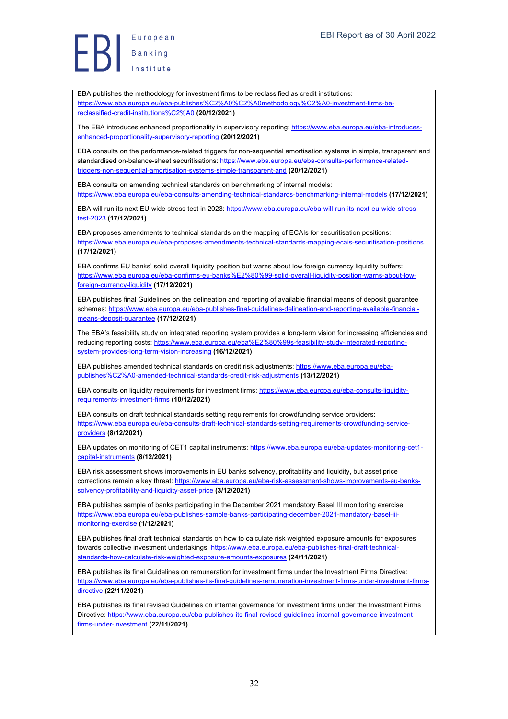Europea<br>Banking<br>Institute European

EBA publishes the methodology for investment firms to be reclassified as credit institutions: https://www.eba.europa.eu/eba-publishes%C2%A0%C2%A0methodology%C2%A0-investment-firms-bereclassified-credit-institutions%C2%A0 **(20/12/2021)**

The EBA introduces enhanced proportionality in supervisory reporting: https://www.eba.europa.eu/eba-introducesenhanced-proportionality-supervisory-reporting **(20/12/2021)**

EBA consults on the performance-related triggers for non-sequential amortisation systems in simple, transparent and standardised on-balance-sheet securitisations: https://www.eba.europa.eu/eba-consults-performance-relatedtriggers-non-sequential-amortisation-systems-simple-transparent-and **(20/12/2021)**

EBA consults on amending technical standards on benchmarking of internal models: https://www.eba.europa.eu/eba-consults-amending-technical-standards-benchmarking-internal-models **(17/12/2021)**

EBA will run its next EU-wide stress test in 2023: https://www.eba.europa.eu/eba-will-run-its-next-eu-wide-stresstest-2023 **(17/12/2021)**

EBA proposes amendments to technical standards on the mapping of ECAIs for securitisation positions: https://www.eba.europa.eu/eba-proposes-amendments-technical-standards-mapping-ecais-securitisation-positions **(17/12/2021)**

EBA confirms EU banks' solid overall liquidity position but warns about low foreign currency liquidity buffers: https://www.eba.europa.eu/eba-confirms-eu-banks%E2%80%99-solid-overall-liquidity-position-warns-about-lowforeign-currency-liquidity **(17/12/2021)**

EBA publishes final Guidelines on the delineation and reporting of available financial means of deposit guarantee schemes: https://www.eba.europa.eu/eba-publishes-final-guidelines-delineation-and-reporting-available-financialmeans-deposit-guarantee **(17/12/2021)**

The EBA's feasibility study on integrated reporting system provides a long-term vision for increasing efficiencies and reducing reporting costs: https://www.eba.europa.eu/eba%E2%80%99s-feasibility-study-integrated-reportingsystem-provides-long-term-vision-increasing **(16/12/2021)**

EBA publishes amended technical standards on credit risk adjustments: https://www.eba.europa.eu/ebapublishes%C2%A0-amended-technical-standards-credit-risk-adjustments **(13/12/2021)**

EBA consults on liquidity requirements for investment firms: https://www.eba.europa.eu/eba-consults-liquidityrequirements-investment-firms **(10/12/2021)**

EBA consults on draft technical standards setting requirements for crowdfunding service providers: https://www.eba.europa.eu/eba-consults-draft-technical-standards-setting-requirements-crowdfunding-serviceproviders **(8/12/2021)**

EBA updates on monitoring of CET1 capital instruments: https://www.eba.europa.eu/eba-updates-monitoring-cet1capital-instruments **(8/12/2021)**

EBA risk assessment shows improvements in EU banks solvency, profitability and liquidity, but asset price corrections remain a key threat: https://www.eba.europa.eu/eba-risk-assessment-shows-improvements-eu-bankssolvency-profitability-and-liquidity-asset-price **(3/12/2021)**

EBA publishes sample of banks participating in the December 2021 mandatory Basel III monitoring exercise: https://www.eba.europa.eu/eba-publishes-sample-banks-participating-december-2021-mandatory-basel-iiimonitoring-exercise **(1/12/2021)**

EBA publishes final draft technical standards on how to calculate risk weighted exposure amounts for exposures towards collective investment undertakings: https://www.eba.europa.eu/eba-publishes-final-draft-technicalstandards-how-calculate-risk-weighted-exposure-amounts-exposures **(24/11/2021)**

EBA publishes its final Guidelines on remuneration for investment firms under the Investment Firms Directive: https://www.eba.europa.eu/eba-publishes-its-final-guidelines-remuneration-investment-firms-under-investment-firmsdirective **(22/11/2021)**

EBA publishes its final revised Guidelines on internal governance for investment firms under the Investment Firms Directive: https://www.eba.europa.eu/eba-publishes-its-final-revised-guidelines-internal-governance-investmentfirms-under-investment **(22/11/2021)**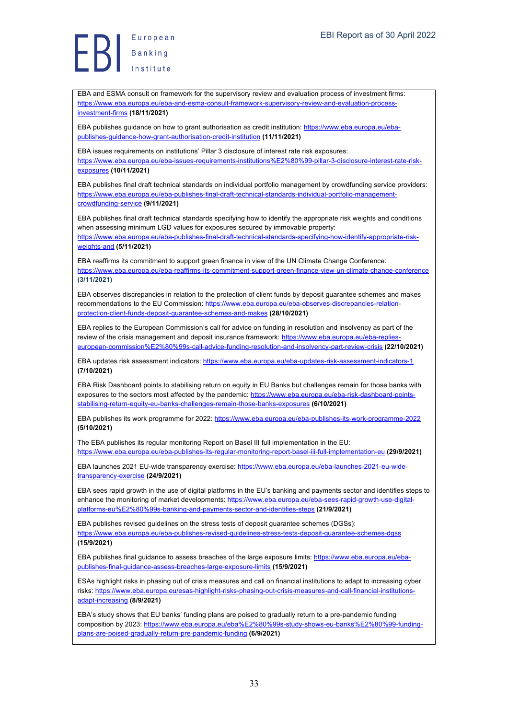EBA and ESMA consult on framework for the supervisory review and evaluation process of investment firms: https://www.eba.europa.eu/eba-and-esma-consult-framework-supervisory-review-and-evaluation-processinvestment-firms **(18/11/2021)**

EBA publishes guidance on how to grant authorisation as credit institution: https://www.eba.europa.eu/ebapublishes-guidance-how-grant-authorisation-credit-institution **(11/11/2021)**

EBA issues requirements on institutions' Pillar 3 disclosure of interest rate risk exposures: https://www.eba.europa.eu/eba-issues-requirements-institutions%E2%80%99-pillar-3-disclosure-interest-rate-risk-

#### exposures **(10/11/2021)**

EBA publishes final draft technical standards on individual portfolio management by crowdfunding service providers: https://www.eba.europa.eu/eba-publishes-final-draft-technical-standards-individual-portfolio-managementcrowdfunding-service **(9/11/2021)**

EBA publishes final draft technical standards specifying how to identify the appropriate risk weights and conditions when assessing minimum LGD values for exposures secured by immovable property:

https://www.eba.europa.eu/eba-publishes-final-draft-technical-standards-specifying-how-identify-appropriate-riskweights-and **(5/11/2021)**

EBA reaffirms its commitment to support green finance in view of the UN Climate Change Conference: https://www.eba.europa.eu/eba-reaffirms-its-commitment-support-green-finance-view-un-climate-change-conference **(3/11/2021)**

EBA observes discrepancies in relation to the protection of client funds by deposit guarantee schemes and makes recommendations to the EU Commission: https://www.eba.europa.eu/eba-observes-discrepancies-relationprotection-client-funds-deposit-guarantee-schemes-and-makes **(28/10/2021)**

EBA replies to the European Commission's call for advice on funding in resolution and insolvency as part of the review of the crisis management and deposit insurance framework: https://www.eba.europa.eu/eba-replieseuropean-commission%E2%80%99s-call-advice-funding-resolution-and-insolvency-part-review-crisis **(22/10/2021)**

EBA updates risk assessment indicators: https://www.eba.europa.eu/eba-updates-risk-assessment-indicators-1 **(7/10/2021)**

EBA Risk Dashboard points to stabilising return on equity in EU Banks but challenges remain for those banks with exposures to the sectors most affected by the pandemic: https://www.eba.europa.eu/eba-risk-dashboard-pointsstabilising-return-equity-eu-banks-challenges-remain-those-banks-exposures **(6/10/2021)**

EBA publishes its work programme for 2022: https://www.eba.europa.eu/eba-publishes-its-work-programme-2022 **(5/10/2021)**

The EBA publishes its regular monitoring Report on Basel III full implementation in the EU: https://www.eba.europa.eu/eba-publishes-its-regular-monitoring-report-basel-iii-full-implementation-eu **(29/9/2021)**

EBA launches 2021 EU-wide transparency exercise: https://www.eba.europa.eu/eba-launches-2021-eu-widetransparency-exercise **(24/9/2021)**

EBA sees rapid growth in the use of digital platforms in the EU's banking and payments sector and identifies steps to enhance the monitoring of market developments: https://www.eba.europa.eu/eba-sees-rapid-growth-use-digitalplatforms-eu%E2%80%99s-banking-and-payments-sector-and-identifies-steps **(21/9/2021)**

EBA publishes revised guidelines on the stress tests of deposit guarantee schemes (DGSs): https://www.eba.europa.eu/eba-publishes-revised-guidelines-stress-tests-deposit-guarantee-schemes-dgss **(15/9/2021)**

EBA publishes final guidance to assess breaches of the large exposure limits: https://www.eba.europa.eu/ebapublishes-final-guidance-assess-breaches-large-exposure-limits **(15/9/2021)**

ESAs highlight risks in phasing out of crisis measures and call on financial institutions to adapt to increasing cyber risks: https://www.eba.europa.eu/esas-highlight-risks-phasing-out-crisis-measures-and-call-financial-institutionsadapt-increasing **(8/9/2021)**

EBA's study shows that EU banks' funding plans are poised to gradually return to a pre-pandemic funding composition by 2023: https://www.eba.europa.eu/eba%E2%80%99s-study-shows-eu-banks%E2%80%99-fundingplans-are-poised-gradually-return-pre-pandemic-funding **(6/9/2021)**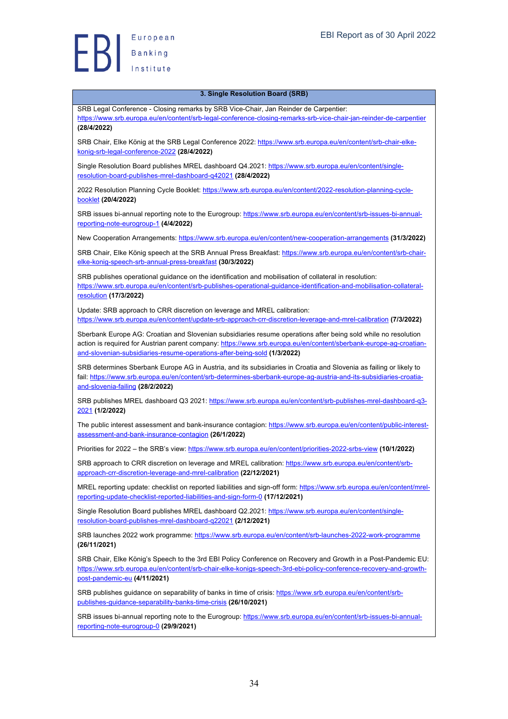**(28/4/2022)**

#### **3. Single Resolution Board (SRB)**

SRB Legal Conference - Closing remarks by SRB Vice-Chair, Jan Reinder de Carpentier: https://www.srb.europa.eu/en/content/srb-legal-conference-closing-remarks-srb-vice-chair-jan-reinder-de-carpentier

SRB Chair, Elke König at the SRB Legal Conference 2022: https://www.srb.europa.eu/en/content/srb-chair-elkekonig-srb-legal-conference-2022 **(28/4/2022)**

Single Resolution Board publishes MREL dashboard Q4.2021: https://www.srb.europa.eu/en/content/singleresolution-board-publishes-mrel-dashboard-q42021 **(28/4/2022)**

2022 Resolution Planning Cycle Booklet: https://www.srb.europa.eu/en/content/2022-resolution-planning-cyclebooklet **(20/4/2022)**

SRB issues bi-annual reporting note to the Eurogroup: https://www.srb.europa.eu/en/content/srb-issues-bi-annualreporting-note-eurogroup-1 **(4/4/2022)**

New Cooperation Arrangements: https://www.srb.europa.eu/en/content/new-cooperation-arrangements **(31/3/2022)**

SRB Chair, Elke König speech at the SRB Annual Press Breakfast: https://www.srb.europa.eu/en/content/srb-chairelke-konig-speech-srb-annual-press-breakfast **(30/3/2022)**

SRB publishes operational guidance on the identification and mobilisation of collateral in resolution: https://www.srb.europa.eu/en/content/srb-publishes-operational-guidance-identification-and-mobilisation-collateralresolution **(17/3/2022)**

Update: SRB approach to CRR discretion on leverage and MREL calibration: https://www.srb.europa.eu/en/content/update-srb-approach-crr-discretion-leverage-and-mrel-calibration **(7/3/2022)**

Sberbank Europe AG: Croatian and Slovenian subsidiaries resume operations after being sold while no resolution action is required for Austrian parent company: https://www.srb.europa.eu/en/content/sberbank-europe-ag-croatianand-slovenian-subsidiaries-resume-operations-after-being-sold **(1/3/2022)**

SRB determines Sberbank Europe AG in Austria, and its subsidiaries in Croatia and Slovenia as failing or likely to fail: https://www.srb.europa.eu/en/content/srb-determines-sberbank-europe-ag-austria-and-its-subsidiaries-croatiaand-slovenia-failing **(28/2/2022)**

SRB publishes MREL dashboard Q3 2021: https://www.srb.europa.eu/en/content/srb-publishes-mrel-dashboard-q3- 2021 **(1/2/2022)**

The public interest assessment and bank-insurance contagion: https://www.srb.europa.eu/en/content/public-interestassessment-and-bank-insurance-contagion **(26/1/2022)**

Priorities for 2022 – the SRB's view: https://www.srb.europa.eu/en/content/priorities-2022-srbs-view **(10/1/2022)**

SRB approach to CRR discretion on leverage and MREL calibration: https://www.srb.europa.eu/en/content/srbapproach-crr-discretion-leverage-and-mrel-calibration **(22/12/2021)**

MREL reporting update: checklist on reported liabilities and sign-off form: https://www.srb.europa.eu/en/content/mrelreporting-update-checklist-reported-liabilities-and-sign-form-0 **(17/12/2021)**

Single Resolution Board publishes MRFL dashboard Q2.2021: https://www.srb.europa.eu/en/content/singleresolution-board-publishes-mrel-dashboard-q22021 **(2/12/2021)**

SRB launches 2022 work programme: https://www.srb.europa.eu/en/content/srb-launches-2022-work-programme **(26/11/2021)**

SRB Chair, Elke König's Speech to the 3rd EBI Policy Conference on Recovery and Growth in a Post-Pandemic EU: https://www.srb.europa.eu/en/content/srb-chair-elke-konigs-speech-3rd-ebi-policy-conference-recovery-and-growthpost-pandemic-eu **(4/11/2021)**

SRB publishes guidance on separability of banks in time of crisis: https://www.srb.europa.eu/en/content/srbpublishes-guidance-separability-banks-time-crisis **(26/10/2021)**

SRB issues bi-annual reporting note to the Eurogroup: https://www.srb.europa.eu/en/content/srb-issues-bi-annualreporting-note-eurogroup-0 **(29/9/2021)**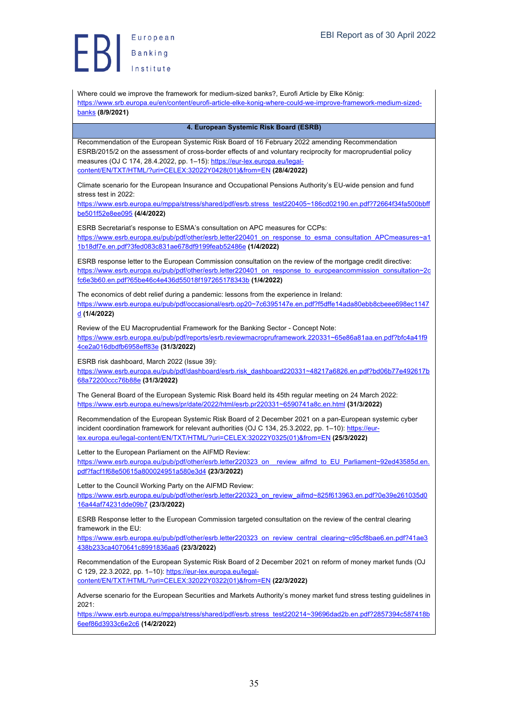European Europea<br>Banking<br>Institute

Where could we improve the framework for medium-sized banks?, Eurofi Article by Elke König: https://www.srb.europa.eu/en/content/eurofi-article-elke-konig-where-could-we-improve-framework-medium-sizedbanks **(8/9/2021) 4. European Systemic Risk Board (ESRB)** Recommendation of the European Systemic Risk Board of 16 February 2022 amending Recommendation ESRB/2015/2 on the assessment of cross-border effects of and voluntary reciprocity for macroprudential policy measures (OJ C 174, 28.4.2022, pp. 1–15): https://eur-lex.europa.eu/legalcontent/EN/TXT/HTML/?uri=CELEX:32022Y0428(01)&from=EN **(28/4/2022)** Climate scenario for the European Insurance and Occupational Pensions Authority's EU-wide pension and fund stress test in 2022: https://www.esrb.europa.eu/mppa/stress/shared/pdf/esrb.stress\_test220405~186cd02190.en.pdf?72664f34fa500bbff be501f52e8ee095 **(4/4/2022)** ESRB Secretariat's response to ESMA's consultation on APC measures for CCPs: https://www.esrb.europa.eu/pub/pdf/other/esrb.letter220401\_on\_response\_to\_esma\_consultation\_APCmeasures~a1 1b18df7e.en.pdf?3fed083c831ae678df9199feab52486e **(1/4/2022)** ESRB response letter to the European Commission consultation on the review of the mortgage credit directive: https://www.esrb.europa.eu/pub/pdf/other/esrb.letter220401\_on\_response\_to\_europeancommission\_consultation~2c fc6e3b60.en.pdf?65be46c4e436d55018f197265178343b **(1/4/2022)** The economics of debt relief during a pandemic: lessons from the experience in Ireland: https://www.esrb.europa.eu/pub/pdf/occasional/esrb.op20~7c6395147e.en.pdf?f5dffe14ada80ebb8cbeee698ec1147 d **(1/4/2022)** Review of the EU Macroprudential Framework for the Banking Sector - Concept Note: https://www.esrb.europa.eu/pub/pdf/reports/esrb.reviewmacropruframework.220331~65e86a81aa.en.pdf?bfc4a41f9 4ce2a016dbdfb6958eff83e **(31/3/2022)** ESRB risk dashboard, March 2022 (Issue 39): https://www.esrb.europa.eu/pub/pdf/dashboard/esrb.risk\_dashboard220331~48217a6826.en.pdf?bd06b77e492617b 68a72200ccc76b88e **(31/3/2022)** The General Board of the European Systemic Risk Board held its 45th regular meeting on 24 March 2022: https://www.esrb.europa.eu/news/pr/date/2022/html/esrb.pr220331~6590741a8c.en.html **(31/3/2022)** Recommendation of the European Systemic Risk Board of 2 December 2021 on a pan-European systemic cyber incident coordination framework for relevant authorities (OJ C 134, 25.3.2022, pp. 1-10): https://eurlex.europa.eu/legal-content/EN/TXT/HTML/?uri=CELEX:32022Y0325(01)&from=EN **(25/3/2022)** Letter to the European Parliament on the AIFMD Review: https://www.esrb.europa.eu/pub/pdf/other/esrb.letter220323\_on\_\_review\_aifmd\_to\_EU\_Parliament~92ed43585d.en. pdf?facf1f68e50615a800024951a580e3d4 **(23/3/2022)** Letter to the Council Working Party on the AIFMD Review: https://www.esrb.europa.eu/pub/pdf/other/esrb.letter220323\_on\_review\_aifmd~825f613963.en.pdf?0e39e261035d0 16a44af74231dde09b7 **(23/3/2022)** ESRB Response letter to the European Commission targeted consultation on the review of the central clearing framework in the EU: https://www.esrb.europa.eu/pub/pdf/other/esrb.letter220323\_on\_review\_central\_clearing~c95cf8bae6.en.pdf?41ae3 438b233ca4070641c8991836aa6 **(23/3/2022)** Recommendation of the European Systemic Risk Board of 2 December 2021 on reform of money market funds (OJ C 129, 22.3.2022, pp. 1-10): https://eur-lex.europa.eu/legalcontent/EN/TXT/HTML/?uri=CELEX:32022Y0322(01)&from=EN **(22/3/2022)** Adverse scenario for the European Securities and Markets Authority's money market fund stress testing guidelines in 2021: https://www.esrb.europa.eu/mppa/stress/shared/pdf/esrb.stress\_test220214~39696dad2b.en.pdf?2857394c587418b 6eef86d3933c6e2c6 **(14/2/2022)**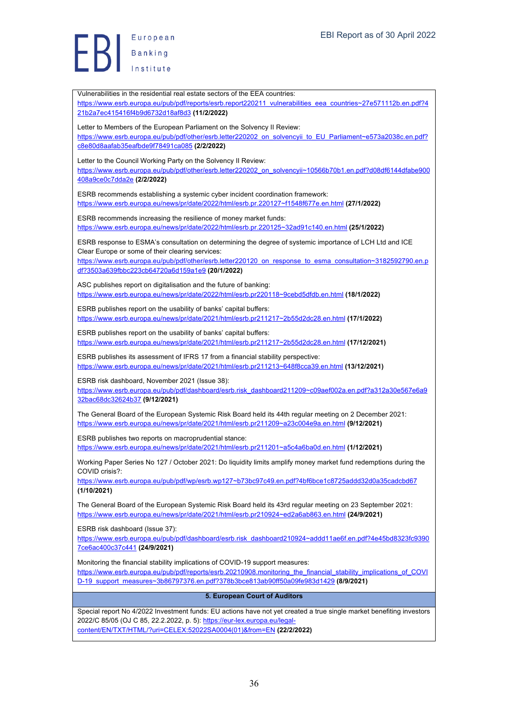Vulnerabilities in the residential real estate sectors of the EEA countries: https://www.esrb.europa.eu/pub/pdf/reports/esrb.report220211\_vulnerabilities\_eea\_countries~27e571112b.en.pdf?4 21b2a7ec415416f4b9d6732d18af8d3 **(11/2/2022)** Letter to Members of the European Parliament on the Solvency II Review: https://www.esrb.europa.eu/pub/pdf/other/esrb.letter220202\_on\_solvencyii\_to\_EU\_Parliament~e573a2038c.en.pdf? c8e80d8aafab35eafbde9f78491ca085 **(2/2/2022)** Letter to the Council Working Party on the Solvency II Review: https://www.esrb.europa.eu/pub/pdf/other/esrb.letter220202\_on\_solvencyii~10566b70b1.en.pdf?d08df6144dfabe900 408a9ce0c7dda2e **(2/2/2022)** ESRB recommends establishing a systemic cyber incident coordination framework: https://www.esrb.europa.eu/news/pr/date/2022/html/esrb.pr.220127~f1548f677e.en.html **(27/1/2022)** ESRB recommends increasing the resilience of money market funds: https://www.esrb.europa.eu/news/pr/date/2022/html/esrb.pr.220125~32ad91c140.en.html **(25/1/2022)** ESRB response to ESMA's consultation on determining the degree of systemic importance of LCH Ltd and ICE Clear Europe or some of their clearing services: https://www.esrb.europa.eu/pub/pdf/other/esrb.letter220120\_on\_response\_to\_esma\_consultation~3182592790.en.p df?3503a639fbbc223cb64720a6d159a1e9 **(20/1/2022)** ASC publishes report on digitalisation and the future of banking: https://www.esrb.europa.eu/news/pr/date/2022/html/esrb.pr220118~9cebd5dfdb.en.html **(18/1/2022)** ESRB publishes report on the usability of banks' capital buffers: https://www.esrb.europa.eu/news/pr/date/2021/html/esrb.pr211217~2b55d2dc28.en.html **(17/1/2022)** ESRB publishes report on the usability of banks' capital buffers: https://www.esrb.europa.eu/news/pr/date/2021/html/esrb.pr211217~2b55d2dc28.en.html **(17/12/2021)** ESRB publishes its assessment of IFRS 17 from a financial stability perspective: https://www.esrb.europa.eu/news/pr/date/2021/html/esrb.pr211213~648f8cca39.en.html **(13/12/2021)** ESRB risk dashboard, November 2021 (Issue 38): https://www.esrb.europa.eu/pub/pdf/dashboard/esrb.risk\_dashboard211209~c09aef002a.en.pdf?a312a30e567e6a9 32bac68dc32624b37 **(9/12/2021)** The General Board of the European Systemic Risk Board held its 44th regular meeting on 2 December 2021: https://www.esrb.europa.eu/news/pr/date/2021/html/esrb.pr211209~a23c004e9a.en.html **(9/12/2021)** ESRB publishes two reports on macroprudential stance: https://www.esrb.europa.eu/news/pr/date/2021/html/esrb.pr211201~a5c4a6ba0d.en.html **(1/12/2021)** Working Paper Series No 127 / October 2021: Do liquidity limits amplify money market fund redemptions during the COVID crisis?: https://www.esrb.europa.eu/pub/pdf/wp/esrb.wp127~b73bc97c49.en.pdf?4bf6bce1c8725addd32d0a35cadcbd67 **(1/10/2021)** The General Board of the European Systemic Risk Board held its 43rd regular meeting on 23 September 2021: https://www.esrb.europa.eu/news/pr/date/2021/html/esrb.pr210924~ed2a6ab863.en.html **(24/9/2021)** ESRB risk dashboard (Issue 37): https://www.esrb.europa.eu/pub/pdf/dashboard/esrb.risk\_dashboard210924~addd11ae6f.en.pdf?4e45bd8323fc9390 7ce6ac400c37c441 **(24/9/2021)** Monitoring the financial stability implications of COVID-19 support measures: https://www.esrb.europa.eu/pub/pdf/reports/esrb.20210908.monitoring\_the\_financial\_stability\_implications\_of\_COVI D-19\_support\_measures~3b86797376.en.pdf?378b3bce813ab90ff50a09fe983d1429 **(8/9/2021) 5. European Court of Auditors** Special report No 4/2022 Investment funds: EU actions have not yet created a true single market benefiting investors 2022/C 85/05 (OJ C 85, 22.2.2022, p. 5): https://eur-lex.europa.eu/legalcontent/EN/TXT/HTML/?uri=CELEX:52022SA0004(01)&from=EN **(22/2/2022)**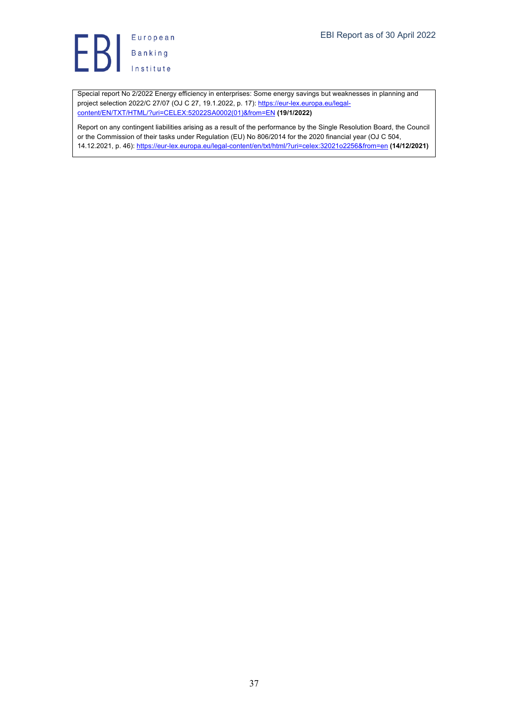

Special report No 2/2022 Energy efficiency in enterprises: Some energy savings but weaknesses in planning and project selection 2022/C 27/07 (OJ C 27, 19.1.2022, p. 17): https://eur-lex.europa.eu/legalcontent/EN/TXT/HTML/?uri=CELEX:52022SA0002(01)&from=EN **(19/1/2022)**

Report on any contingent liabilities arising as a result of the performance by the Single Resolution Board, the Council or the Commission of their tasks under Regulation (EU) No 806/2014 for the 2020 financial year (OJ C 504, 14.12.2021, p. 46): https://eur-lex.europa.eu/legal-content/en/txt/html/?uri=celex:32021o2256&from=en **(14/12/2021)**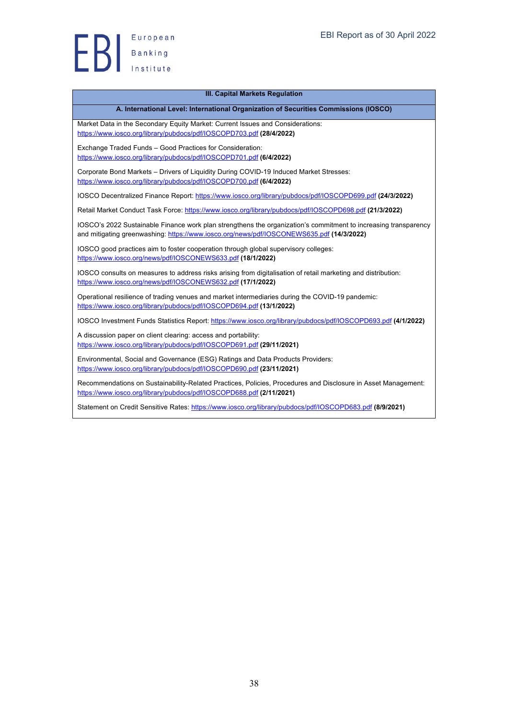

#### **III. Capital Markets Regulation**

### **A. International Level: International Organization of Securities Commissions (IOSCO)**

Market Data in the Secondary Equity Market: Current Issues and Considerations: https://www.iosco.org/library/pubdocs/pdf/IOSCOPD703.pdf **(28/4/2022)**

Exchange Traded Funds – Good Practices for Consideration: https://www.iosco.org/library/pubdocs/pdf/IOSCOPD701.pdf **(6/4/2022)**

Corporate Bond Markets – Drivers of Liquidity During COVID-19 Induced Market Stresses: https://www.iosco.org/library/pubdocs/pdf/IOSCOPD700.pdf **(6/4/2022)**

IOSCO Decentralized Finance Report: https://www.iosco.org/library/pubdocs/pdf/IOSCOPD699.pdf **(24/3/2022)**

Retail Market Conduct Task Force: https://www.iosco.org/library/pubdocs/pdf/IOSCOPD698.pdf **(21/3/2022)**

IOSCO's 2022 Sustainable Finance work plan strengthens the organization's commitment to increasing transparency and mitigating greenwashing: https://www.iosco.org/news/pdf/IOSCONEWS635.pdf (14/3/2022)

IOSCO good practices aim to foster cooperation through global supervisory colleges: https://www.iosco.org/news/pdf/IOSCONEWS633.pdf **(18/1/2022)**

IOSCO consults on measures to address risks arising from digitalisation of retail marketing and distribution: https://www.iosco.org/news/pdf/IOSCONEWS632.pdf **(17/1/2022)**

Operational resilience of trading venues and market intermediaries during the COVID-19 pandemic: https://www.iosco.org/library/pubdocs/pdf/IOSCOPD694.pdf **(13/1/2022)**

IOSCO Investment Funds Statistics Report: https://www.iosco.org/library/pubdocs/pdf/IOSCOPD693.pdf **(4/1/2022)**

A discussion paper on client clearing: access and portability: https://www.iosco.org/library/pubdocs/pdf/IOSCOPD691.pdf **(29/11/2021)**

Environmental, Social and Governance (ESG) Ratings and Data Products Providers: https://www.iosco.org/library/pubdocs/pdf/IOSCOPD690.pdf **(23/11/2021)**

Recommendations on Sustainability-Related Practices, Policies, Procedures and Disclosure in Asset Management: https://www.iosco.org/library/pubdocs/pdf/IOSCOPD688.pdf **(2/11/2021)**

Statement on Credit Sensitive Rates: https://www.iosco.org/library/pubdocs/pdf/IOSCOPD683.pdf **(8/9/2021)**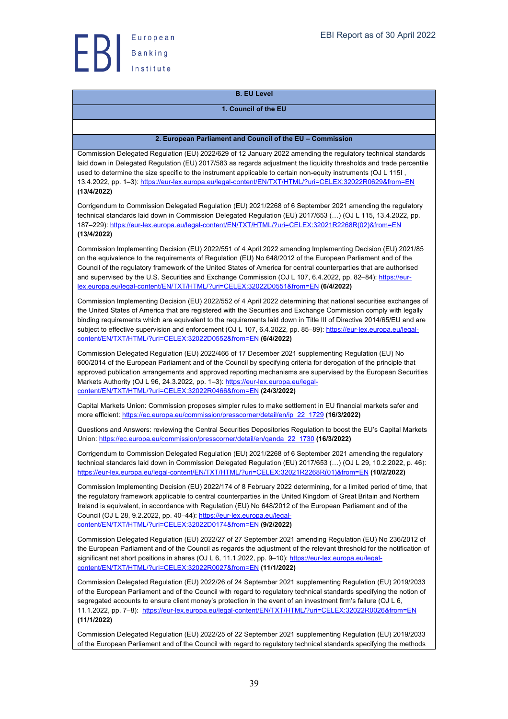

# **B. EU Level**

# **1. Council of the EU**

# **2. European Parliament and Council of the EU – Commission**

Commission Delegated Regulation (EU) 2022/629 of 12 January 2022 amending the regulatory technical standards laid down in Delegated Regulation (EU) 2017/583 as regards adjustment the liquidity thresholds and trade percentile used to determine the size specific to the instrument applicable to certain non-equity instruments (OJ L 115I , 13.4.2022, pp. 1–3): https://eur-lex.europa.eu/legal-content/EN/TXT/HTML/?uri=CELEX:32022R0629&from=EN **(13/4/2022)**

Corrigendum to Commission Delegated Regulation (EU) 2021/2268 of 6 September 2021 amending the regulatory technical standards laid down in Commission Delegated Regulation (EU) 2017/653 (…) (OJ L 115, 13.4.2022, pp. 187–229): https://eur-lex.europa.eu/legal-content/EN/TXT/HTML/?uri=CELEX:32021R2268R(02)&from=EN **(13/4/2022)**

Commission Implementing Decision (EU) 2022/551 of 4 April 2022 amending Implementing Decision (EU) 2021/85 on the equivalence to the requirements of Regulation (EU) No 648/2012 of the European Parliament and of the Council of the regulatory framework of the United States of America for central counterparties that are authorised and supervised by the U.S. Securities and Exchange Commission (OJ L 107, 6.4.2022, pp. 82-84): https://eurlex.europa.eu/legal-content/EN/TXT/HTML/?uri=CELEX:32022D0551&from=EN **(6/4/2022)**

Commission Implementing Decision (EU) 2022/552 of 4 April 2022 determining that national securities exchanges of the United States of America that are registered with the Securities and Exchange Commission comply with legally binding requirements which are equivalent to the requirements laid down in Title III of Directive 2014/65/EU and are subject to effective supervision and enforcement (OJ L 107, 6.4.2022, pp. 85–89): https://eur-lex.europa.eu/legalcontent/EN/TXT/HTML/?uri=CELEX:32022D0552&from=EN **(6/4/2022)**

Commission Delegated Regulation (EU) 2022/466 of 17 December 2021 supplementing Regulation (EU) No 600/2014 of the European Parliament and of the Council by specifying criteria for derogation of the principle that approved publication arrangements and approved reporting mechanisms are supervised by the European Securities Markets Authority (OJ L 96, 24.3.2022, pp. 1-3): https://eur-lex.europa.eu/legalcontent/EN/TXT/HTML/?uri=CELEX:32022R0466&from=EN **(24/3/2022)**

Capital Markets Union: Commission proposes simpler rules to make settlement in EU financial markets safer and more efficient: https://ec.europa.eu/commission/presscorner/detail/en/ip\_22\_1729 **(16/3/2022)**

Questions and Answers: reviewing the Central Securities Depositories Regulation to boost the EU's Capital Markets Union: https://ec.europa.eu/commission/presscorner/detail/en/qanda\_22\_1730 **(16/3/2022)**

Corrigendum to Commission Delegated Regulation (EU) 2021/2268 of 6 September 2021 amending the regulatory technical standards laid down in Commission Delegated Regulation (EU) 2017/653 (…) (OJ L 29, 10.2.2022, p. 46): https://eur-lex.europa.eu/legal-content/EN/TXT/HTML/?uri=CELEX:32021R2268R(01)&from=EN **(10/2/2022)**

Commission Implementing Decision (EU) 2022/174 of 8 February 2022 determining, for a limited period of time, that the regulatory framework applicable to central counterparties in the United Kingdom of Great Britain and Northern Ireland is equivalent, in accordance with Regulation (EU) No 648/2012 of the European Parliament and of the Council (OJ L 28, 9.2.2022, pp. 40–44): https://eur-lex.europa.eu/legalcontent/EN/TXT/HTML/?uri=CELEX:32022D0174&from=EN **(9/2/2022)**

Commission Delegated Regulation (EU) 2022/27 of 27 September 2021 amending Regulation (EU) No 236/2012 of the European Parliament and of the Council as regards the adjustment of the relevant threshold for the notification of significant net short positions in shares (OJ L 6, 11.1.2022, pp. 9-10): https://eur-lex.europa.eu/legalcontent/EN/TXT/HTML/?uri=CELEX:32022R0027&from=EN **(11/1/2022)**

Commission Delegated Regulation (EU) 2022/26 of 24 September 2021 supplementing Regulation (EU) 2019/2033 of the European Parliament and of the Council with regard to regulatory technical standards specifying the notion of segregated accounts to ensure client money's protection in the event of an investment firm's failure (OJ L 6, 11.1.2022, pp. 7–8): https://eur-lex.europa.eu/legal-content/EN/TXT/HTML/?uri=CELEX:32022R0026&from=EN **(11/1/2022)**

Commission Delegated Regulation (EU) 2022/25 of 22 September 2021 supplementing Regulation (EU) 2019/2033 of the European Parliament and of the Council with regard to regulatory technical standards specifying the methods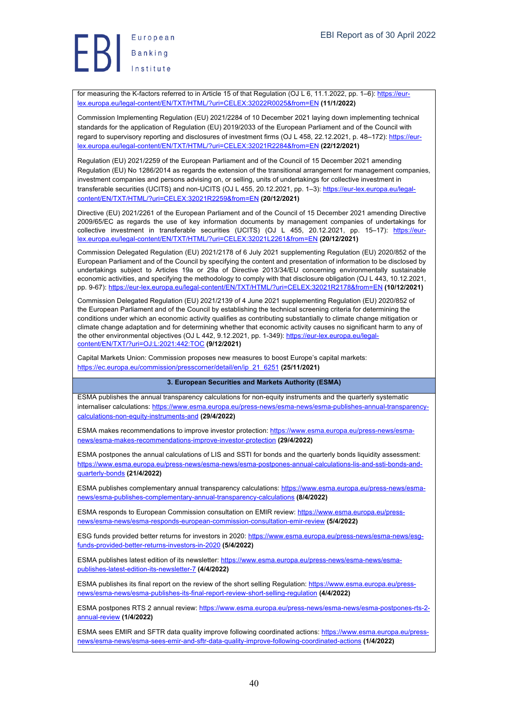for measuring the K-factors referred to in Article 15 of that Regulation (OJ L 6, 11.1.2022, pp. 1–6): https://eurlex.europa.eu/legal-content/EN/TXT/HTML/?uri=CELEX:32022R0025&from=EN **(11/1/2022)**

Commission Implementing Regulation (EU) 2021/2284 of 10 December 2021 laying down implementing technical standards for the application of Regulation (EU) 2019/2033 of the European Parliament and of the Council with regard to supervisory reporting and disclosures of investment firms (OJ L 458, 22.12.2021, p. 48–172): https://eurlex.europa.eu/legal-content/EN/TXT/HTML/?uri=CELEX:32021R2284&from=EN **(22/12/2021)**

Regulation (EU) 2021/2259 of the European Parliament and of the Council of 15 December 2021 amending Regulation (EU) No 1286/2014 as regards the extension of the transitional arrangement for management companies, investment companies and persons advising on, or selling, units of undertakings for collective investment in transferable securities (UCITS) and non-UCITS (OJ L 455, 20.12.2021, pp. 1-3): https://eur-lex.europa.eu/legalcontent/EN/TXT/HTML/?uri=CELEX:32021R2259&from=EN **(20/12/2021)**

Directive (EU) 2021/2261 of the European Parliament and of the Council of 15 December 2021 amending Directive 2009/65/EC as regards the use of key information documents by management companies of undertakings for collective investment in transferable securities (UCITS) (OJ L 455, 20.12.2021, pp. 15–17): https://eurlex.europa.eu/legal-content/EN/TXT/HTML/?uri=CELEX:32021L2261&from=EN **(20/12/2021)**

Commission Delegated Regulation (EU) 2021/2178 of 6 July 2021 supplementing Regulation (EU) 2020/852 of the European Parliament and of the Council by specifying the content and presentation of information to be disclosed by undertakings subject to Articles 19a or 29a of Directive 2013/34/EU concerning environmentally sustainable economic activities, and specifying the methodology to comply with that disclosure obligation (OJ L 443, 10.12.2021, pp. 9-67): https://eur-lex.europa.eu/legal-content/EN/TXT/HTML/?uri=CELEX:32021R2178&from=EN **(10/12/2021)**

Commission Delegated Regulation (EU) 2021/2139 of 4 June 2021 supplementing Regulation (EU) 2020/852 of the European Parliament and of the Council by establishing the technical screening criteria for determining the conditions under which an economic activity qualifies as contributing substantially to climate change mitigation or climate change adaptation and for determining whether that economic activity causes no significant harm to any of the other environmental objectives (OJ L 442, 9.12.2021, pp. 1-349): https://eur-lex.europa.eu/legalcontent/EN/TXT/?uri=OJ:L:2021:442:TOC **(9/12/2021)**

Capital Markets Union: Commission proposes new measures to boost Europe's capital markets: https://ec.europa.eu/commission/presscorner/detail/en/ip\_21\_6251 **(25/11/2021)**

#### **3. European Securities and Markets Authority (ESMA)**

ESMA publishes the annual transparency calculations for non-equity instruments and the quarterly systematic internaliser calculations: https://www.esma.europa.eu/press-news/esma-news/esma-publishes-annual-transparencycalculations-non-equity-instruments-and **(29/4/2022)**

ESMA makes recommendations to improve investor protection: https://www.esma.europa.eu/press-news/esmanews/esma-makes-recommendations-improve-investor-protection **(29/4/2022)**

ESMA postpones the annual calculations of LIS and SSTI for bonds and the quarterly bonds liquidity assessment: https://www.esma.europa.eu/press-news/esma-news/esma-postpones-annual-calculations-lis-and-ssti-bonds-andquarterly-bonds **(21/4/2022)**

ESMA publishes complementary annual transparency calculations: https://www.esma.europa.eu/press-news/esmanews/esma-publishes-complementary-annual-transparency-calculations **(8/4/2022)**

ESMA responds to European Commission consultation on EMIR review: https://www.esma.europa.eu/pressnews/esma-news/esma-responds-european-commission-consultation-emir-review **(5/4/2022)**

ESG funds provided better returns for investors in 2020: https://www.esma.europa.eu/press-news/esma-news/esqfunds-provided-better-returns-investors-in-2020 **(5/4/2022)**

ESMA publishes latest edition of its newsletter: https://www.esma.europa.eu/press-news/esma-news/esmapublishes-latest-edition-its-newsletter-7 **(4/4/2022)**

ESMA publishes its final report on the review of the short selling Regulation: https://www.esma.europa.eu/pressnews/esma-news/esma-publishes-its-final-report-review-short-selling-regulation **(4/4/2022)**

ESMA postpones RTS 2 annual review: https://www.esma.europa.eu/press-news/esma-news/esma-postpones-rts-2 annual-review **(1/4/2022)**

ESMA sees EMIR and SFTR data quality improve following coordinated actions: https://www.esma.europa.eu/pressnews/esma-news/esma-sees-emir-and-sftr-data-quality-improve-following-coordinated-actions **(1/4/2022)**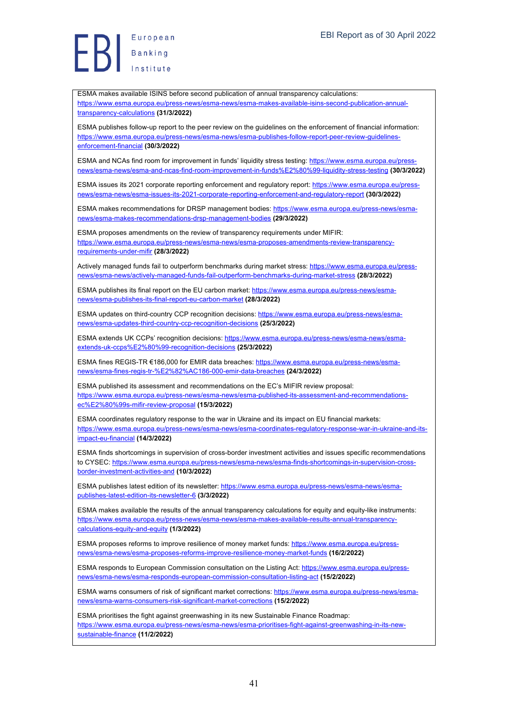European Europea<br>Banking<br>Institute

ESMA makes available ISINS before second publication of annual transparency calculations: https://www.esma.europa.eu/press-news/esma-news/esma-makes-available-isins-second-publication-annualtransparency-calculations **(31/3/2022)**

ESMA publishes follow-up report to the peer review on the guidelines on the enforcement of financial information: https://www.esma.europa.eu/press-news/esma-news/esma-publishes-follow-report-peer-review-guidelinesenforcement-financial **(30/3/2022)**

ESMA and NCAs find room for improvement in funds' liquidity stress testing: https://www.esma.europa.eu/pressnews/esma-news/esma-and-ncas-find-room-improvement-in-funds%E2%80%99-liquidity-stress-testing **(30/3/2022)**

ESMA issues its 2021 corporate reporting enforcement and regulatory report: https://www.esma.europa.eu/pressnews/esma-news/esma-issues-its-2021-corporate-reporting-enforcement-and-regulatory-report **(30/3/2022)**

ESMA makes recommendations for DRSP management bodies: https://www.esma.europa.eu/press-news/esmanews/esma-makes-recommendations-drsp-management-bodies **(29/3/2022)**

ESMA proposes amendments on the review of transparency requirements under MIFIR: https://www.esma.europa.eu/press-news/esma-news/esma-proposes-amendments-review-transparencyrequirements-under-mifir **(28/3/2022)**

Actively managed funds fail to outperform benchmarks during market stress: https://www.esma.europa.eu/pressnews/esma-news/actively-managed-funds-fail-outperform-benchmarks-during-market-stress **(28/3/2022)**

ESMA publishes its final report on the EU carbon market: https://www.esma.europa.eu/press-news/esmanews/esma-publishes-its-final-report-eu-carbon-market **(28/3/2022)**

ESMA updates on third-country CCP recognition decisions: https://www.esma.europa.eu/press-news/esmanews/esma-updates-third-country-ccp-recognition-decisions **(25/3/2022)**

ESMA extends UK CCPs' recognition decisions: https://www.esma.europa.eu/press-news/esma-news/esmaextends-uk-ccps%E2%80%99-recognition-decisions **(25/3/2022)**

ESMA fines REGIS-TR €186,000 for EMIR data breaches: https://www.esma.europa.eu/press-news/esmanews/esma-fines-regis-tr-%E2%82%AC186-000-emir-data-breaches **(24/3/2022)**

ESMA published its assessment and recommendations on the EC's MIFIR review proposal: https://www.esma.europa.eu/press-news/esma-news/esma-published-its-assessment-and-recommendationsec%E2%80%99s-mifir-review-proposal **(15/3/2022)**

ESMA coordinates regulatory response to the war in Ukraine and its impact on EU financial markets: https://www.esma.europa.eu/press-news/esma-news/esma-coordinates-regulatory-response-war-in-ukraine-and-itsimpact-eu-financial **(14/3/2022)**

ESMA finds shortcomings in supervision of cross-border investment activities and issues specific recommendations to CYSEC: https://www.esma.europa.eu/press-news/esma-news/esma-finds-shortcomings-in-supervision-crossborder-investment-activities-and **(10/3/2022)**

ESMA publishes latest edition of its newsletter: https://www.esma.europa.eu/press-news/esma-news/esmapublishes-latest-edition-its-newsletter-6 **(3/3/2022)**

ESMA makes available the results of the annual transparency calculations for equity and equity-like instruments: https://www.esma.europa.eu/press-news/esma-news/esma-makes-available-results-annual-transparencycalculations-equity-and-equity **(1/3/2022)**

ESMA proposes reforms to improve resilience of money market funds: https://www.esma.europa.eu/pressnews/esma-news/esma-proposes-reforms-improve-resilience-money-market-funds **(16/2/2022)**

ESMA responds to European Commission consultation on the Listing Act: https://www.esma.europa.eu/pressnews/esma-news/esma-responds-european-commission-consultation-listing-act **(15/2/2022)**

ESMA warns consumers of risk of significant market corrections: https://www.esma.europa.eu/press-news/esmanews/esma-warns-consumers-risk-significant-market-corrections **(15/2/2022)**

ESMA prioritises the fight against greenwashing in its new Sustainable Finance Roadmap: https://www.esma.europa.eu/press-news/esma-news/esma-prioritises-fight-against-greenwashing-in-its-newsustainable-finance **(11/2/2022)**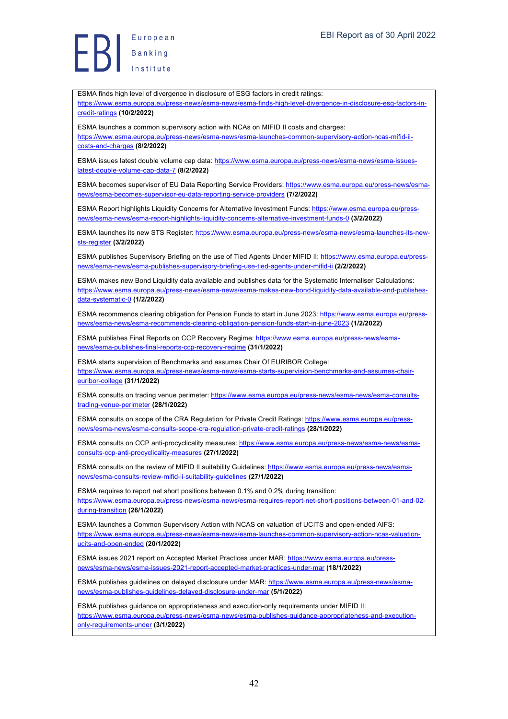ESMA finds high level of divergence in disclosure of ESG factors in credit ratings:

https://www.esma.europa.eu/press-news/esma-news/esma-finds-high-level-divergence-in-disclosure-esg-factors-incredit-ratings **(10/2/2022)**

ESMA launches a common supervisory action with NCAs on MIFID II costs and charges: https://www.esma.europa.eu/press-news/esma-news/esma-launches-common-supervisory-action-ncas-mifid-iicosts-and-charges **(8/2/2022)**

ESMA issues latest double volume cap data: https://www.esma.europa.eu/press-news/esma-news/esma-issueslatest-double-volume-cap-data-7 **(8/2/2022)**

ESMA becomes supervisor of EU Data Reporting Service Providers: https://www.esma.europa.eu/press-news/esmanews/esma-becomes-supervisor-eu-data-reporting-service-providers **(7/2/2022)**

ESMA Report highlights Liquidity Concerns for Alternative Investment Funds: https://www.esma.europa.eu/pressnews/esma-news/esma-report-highlights-liquidity-concerns-alternative-investment-funds-0 **(3/2/2022)**

ESMA launches its new STS Register: https://www.esma.europa.eu/press-news/esma-news/esma-launches-its-newsts-register **(3/2/2022)**

ESMA publishes Supervisory Briefing on the use of Tied Agents Under MIFID II: https://www.esma.europa.eu/pressnews/esma-news/esma-publishes-supervisory-briefing-use-tied-agents-under-mifid-ii **(2/2/2022)**

ESMA makes new Bond Liquidity data available and publishes data for the Systematic Internaliser Calculations: https://www.esma.europa.eu/press-news/esma-news/esma-makes-new-bond-liquidity-data-available-and-publishesdata-systematic-0 **(1/2/2022)**

ESMA recommends clearing obligation for Pension Funds to start in June 2023: https://www.esma.europa.eu/pressnews/esma-news/esma-recommends-clearing-obligation-pension-funds-start-in-june-2023 **(1/2/2022)**

ESMA publishes Final Reports on CCP Recovery Regime: https://www.esma.europa.eu/press-news/esmanews/esma-publishes-final-reports-ccp-recovery-regime **(31/1/2022)**

ESMA starts supervision of Benchmarks and assumes Chair Of EURIBOR College: https://www.esma.europa.eu/press-news/esma-news/esma-starts-supervision-benchmarks-and-assumes-chaireuribor-college **(31/1/2022)**

ESMA consults on trading venue perimeter: https://www.esma.europa.eu/press-news/esma-news/esma-consultstrading-venue-perimeter **(28/1/2022)**

ESMA consults on scope of the CRA Regulation for Private Credit Ratings: https://www.esma.europa.eu/pressnews/esma-news/esma-consults-scope-cra-regulation-private-credit-ratings **(28/1/2022)**

ESMA consults on CCP anti-procyclicality measures: https://www.esma.europa.eu/press-news/esma-news/esmaconsults-ccp-anti-procyclicality-measures **(27/1/2022)**

ESMA consults on the review of MIFID II suitability Guidelines: https://www.esma.europa.eu/press-news/esmanews/esma-consults-review-mifid-ii-suitability-guidelines **(27/1/2022)**

ESMA requires to report net short positions between 0.1% and 0.2% during transition: https://www.esma.europa.eu/press-news/esma-news/esma-requires-report-net-short-positions-between-01-and-02 during-transition **(26/1/2022)**

ESMA launches a Common Supervisory Action with NCAS on valuation of UCITS and open-ended AIFS: https://www.esma.europa.eu/press-news/esma-news/esma-launches-common-supervisory-action-ncas-valuationucits-and-open-ended **(20/1/2022)**

ESMA issues 2021 report on Accepted Market Practices under MAR: https://www.esma.europa.eu/pressnews/esma-news/esma-issues-2021-report-accepted-market-practices-under-mar **(18/1/2022)**

ESMA publishes guidelines on delayed disclosure under MAR: https://www.esma.europa.eu/press-news/esmanews/esma-publishes-guidelines-delayed-disclosure-under-mar **(5/1/2022)**

ESMA publishes guidance on appropriateness and execution-only requirements under MIFID II: https://www.esma.europa.eu/press-news/esma-news/esma-publishes-guidance-appropriateness-and-executiononly-requirements-under **(3/1/2022)**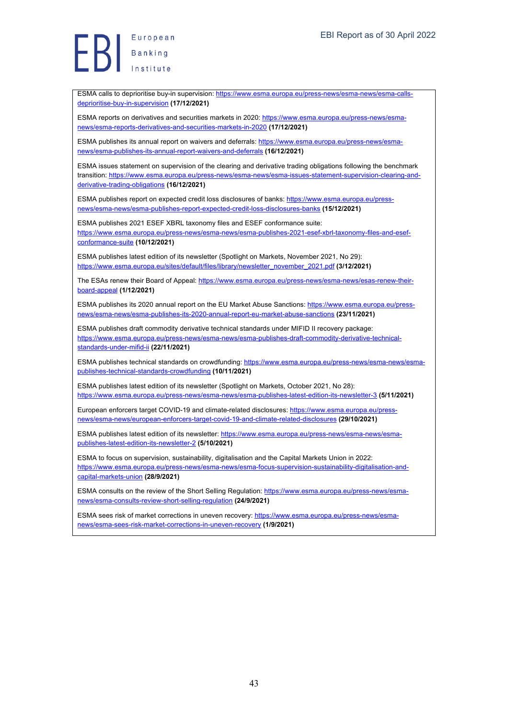European Europea<br>Banking<br>Institute

ESMA calls to deprioritise buy-in supervision: https://www.esma.europa.eu/press-news/esma-news/esma-callsdeprioritise-buy-in-supervision **(17/12/2021)**

ESMA reports on derivatives and securities markets in 2020: https://www.esma.europa.eu/press-news/esmanews/esma-reports-derivatives-and-securities-markets-in-2020 **(17/12/2021)**

ESMA publishes its annual report on waivers and deferrals: https://www.esma.europa.eu/press-news/esmanews/esma-publishes-its-annual-report-waivers-and-deferrals **(16/12/2021)**

ESMA issues statement on supervision of the clearing and derivative trading obligations following the benchmark transition: https://www.esma.europa.eu/press-news/esma-news/esma-issues-statement-supervision-clearing-andderivative-trading-obligations **(16/12/2021)**

ESMA publishes report on expected credit loss disclosures of banks: https://www.esma.europa.eu/pressnews/esma-news/esma-publishes-report-expected-credit-loss-disclosures-banks **(15/12/2021)**

ESMA publishes 2021 ESEF XBRL taxonomy files and ESEF conformance suite: https://www.esma.europa.eu/press-news/esma-news/esma-publishes-2021-esef-xbrl-taxonomy-files-and-esefconformance-suite **(10/12/2021)**

ESMA publishes latest edition of its newsletter (Spotlight on Markets, November 2021, No 29): https://www.esma.europa.eu/sites/default/files/library/newsletter\_november\_2021.pdf **(3/12/2021)**

The ESAs renew their Board of Appeal: https://www.esma.europa.eu/press-news/esma-news/esas-renew-theirboard-appeal **(1/12/2021)**

ESMA publishes its 2020 annual report on the EU Market Abuse Sanctions: https://www.esma.europa.eu/pressnews/esma-news/esma-publishes-its-2020-annual-report-eu-market-abuse-sanctions **(23/11/2021)**

ESMA publishes draft commodity derivative technical standards under MIFID II recovery package: https://www.esma.europa.eu/press-news/esma-news/esma-publishes-draft-commodity-derivative-technicalstandards-under-mifid-ii **(22/11/2021)**

ESMA publishes technical standards on crowdfunding: https://www.esma.europa.eu/press-news/esma-news/esmapublishes-technical-standards-crowdfunding **(10/11/2021)**

ESMA publishes latest edition of its newsletter (Spotlight on Markets, October 2021, No 28): https://www.esma.europa.eu/press-news/esma-news/esma-publishes-latest-edition-its-newsletter-3 **(5/11/2021)**

European enforcers target COVID-19 and climate-related disclosures: https://www.esma.europa.eu/pressnews/esma-news/european-enforcers-target-covid-19-and-climate-related-disclosures **(29/10/2021)**

ESMA publishes latest edition of its newsletter: https://www.esma.europa.eu/press-news/esma-news/esmapublishes-latest-edition-its-newsletter-2 **(5/10/2021)**

ESMA to focus on supervision, sustainability, digitalisation and the Capital Markets Union in 2022: https://www.esma.europa.eu/press-news/esma-news/esma-focus-supervision-sustainability-digitalisation-andcapital-markets-union **(28/9/2021)**

ESMA consults on the review of the Short Selling Regulation: https://www.esma.europa.eu/press-news/esmanews/esma-consults-review-short-selling-regulation **(24/9/2021)**

ESMA sees risk of market corrections in uneven recovery: https://www.esma.europa.eu/press-news/esmanews/esma-sees-risk-market-corrections-in-uneven-recovery **(1/9/2021)**